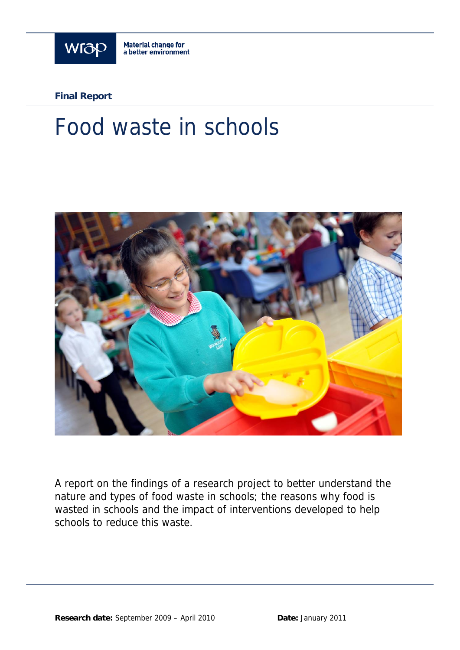

**Final Report**

# Food waste in schools



A report on the findings of a research project to better understand the nature and types of food waste in schools; the reasons why food is wasted in schools and the impact of interventions developed to help schools to reduce this waste.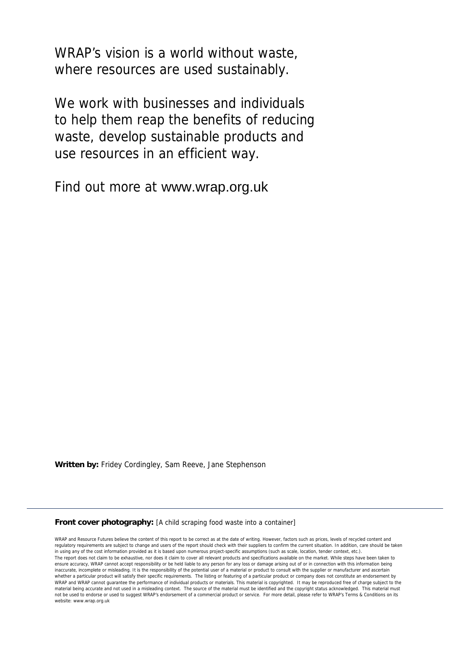WRAP's vision is a world without waste, where resources are used sustainably.

We work with businesses and individuals to help them reap the benefits of reducing waste, develop sustainable products and use resources in an efficient way.

Find out more at www.wrap.org.uk

**Written by:** Fridey Cordingley, Sam Reeve, Jane Stephenson

#### **Front cover photography:** [A child scraping food waste into a container]

WRAP and Resource Futures believe the content of this report to be correct as at the date of writing. However, factors such as prices, levels of recycled content and regulatory requirements are subject to change and users of the report should check with their suppliers to confirm the current situation. In addition, care should be taken in using any of the cost information provided as it is based upon numerous project-specific assumptions (such as scale, location, tender context, etc.). The report does not claim to be exhaustive, nor does it claim to cover all relevant products and specifications available on the market. While steps have been taken to ensure accuracy, WRAP cannot accept responsibility or be held liable to any person for any loss or damage arising out of or in connection with this information being inaccurate, incomplete or misleading. It is the responsibility of the potential user of a material or product to consult with the supplier or manufacturer and ascertain whether a particular product will satisfy their specific requirements. The listing or featuring of a particular product or company does not constitute an endorsement by WRAP cannot guarantee the performance of individual products or materials. This material is copyrighted. It may be reproduced free of charge subject to the material being accurate and not used in a misleading context. The source of the material must be identified and the copyright status acknowledged. This material must not be used to endorse or used to suggest WRAP's endorsement of a commercial product or service. For more detail, please refer to WRAP's Terms & Conditions on its website: www.wrap.org.uk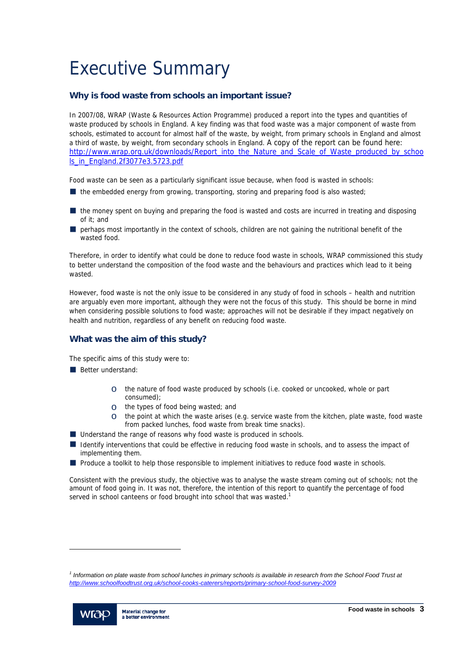# Executive Summary

# **Why is food waste from schools an important issue?**

In 2007/08, WRAP (Waste & Resources Action Programme) produced a report into the types and quantities of waste produced by schools in England. A key finding was that food waste was a major component of waste from schools, estimated to account for almost half of the waste, by weight, from primary schools in England and almost a third of waste, by weight, from secondary schools in England. A copy of the report can be found here: http://www.wrap.org.uk/downloads/Report\_into\_the\_Nature\_and\_Scale\_of\_Waste\_produced\_by\_schoo ls\_in\_England.2f3077e3.5723.pdf

Food waste can be seen as a particularly significant issue because, when food is wasted in schools:

- $\blacksquare$  the embedded energy from growing, transporting, storing and preparing food is also wasted;
- the money spent on buying and preparing the food is wasted and costs are incurred in treating and disposing of it; and
- perhaps most importantly in the context of schools, children are not gaining the nutritional benefit of the wasted food.

Therefore, in order to identify what could be done to reduce food waste in schools, WRAP commissioned this study to better understand the composition of the food waste and the behaviours and practices which lead to it being wasted.

However, food waste is not the only issue to be considered in any study of food in schools – health and nutrition are arguably even more important, although they were not the focus of this study. This should be borne in mind when considering possible solutions to food waste; approaches will not be desirable if they impact negatively on health and nutrition, regardless of any benefit on reducing food waste.

# **What was the aim of this study?**

The specific aims of this study were to:

- Better understand:
	- o the nature of food waste produced by schools (i.e. cooked or uncooked, whole or part consumed);
	- o the types of food being wasted; and
	- $\circ$  the point at which the waste arises (e.g. service waste from the kitchen, plate waste, food waste from packed lunches, food waste from break time snacks).
- Understand the range of reasons why food waste is produced in schools.
- I Identify interventions that could be effective in reducing food waste in schools, and to assess the impact of implementing them.
- **Produce a toolkit to help those responsible to implement initiatives to reduce food waste in schools.**

Consistent with the previous study, the objective was to analyse the waste stream coming out of schools; not the amount of food going in. It was not, therefore, the intention of this report to quantify the percentage of food served in school canteens or food brought into school that was wasted.<sup>1</sup>

<sup>&</sup>lt;sup>1</sup> Information on plate waste from school lunches in primary schools is available in research from the School Food Trust at *http://www.schoolfoodtrust.org.uk/school-cooks-caterers/reports/primary-school-food-survey-2009* 



l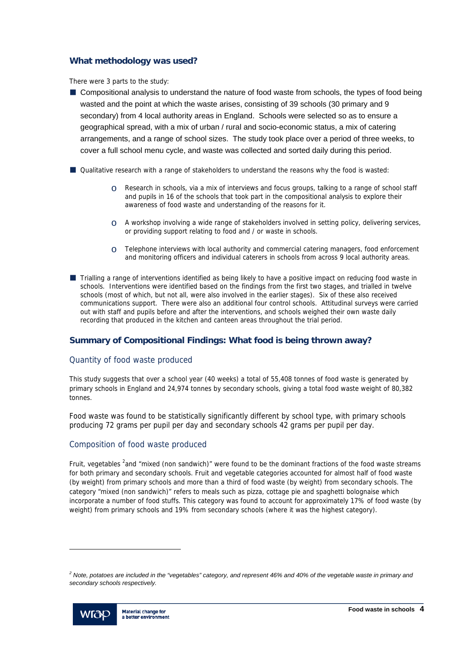# **What methodology was used?**

There were 3 parts to the study:

- Compositional analysis to understand the nature of food waste from schools, the types of food being wasted and the point at which the waste arises, consisting of 39 schools (30 primary and 9 secondary) from 4 local authority areas in England. Schools were selected so as to ensure a geographical spread, with a mix of urban / rural and socio-economic status, a mix of catering arrangements, and a range of school sizes. The study took place over a period of three weeks, to cover a full school menu cycle, and waste was collected and sorted daily during this period.
- Qualitative research with a range of stakeholders to understand the reasons why the food is wasted:
	- o Research in schools, via a mix of interviews and focus groups, talking to a range of school staff and pupils in 16 of the schools that took part in the compositional analysis to explore their awareness of food waste and understanding of the reasons for it.
	- $\circ$  A workshop involving a wide range of stakeholders involved in setting policy, delivering services, or providing support relating to food and / or waste in schools.
	- $\circ$  Telephone interviews with local authority and commercial catering managers, food enforcement and monitoring officers and individual caterers in schools from across 9 local authority areas.
- Trialling a range of interventions identified as being likely to have a positive impact on reducing food waste in schools. Interventions were identified based on the findings from the first two stages, and trialled in twelve schools (most of which, but not all, were also involved in the earlier stages). Six of these also received communications support. There were also an additional four control schools. Attitudinal surveys were carried out with staff and pupils before and after the interventions, and schools weighed their own waste daily recording that produced in the kitchen and canteen areas throughout the trial period.

# **Summary of Compositional Findings: What food is being thrown away?**

# Quantity of food waste produced

This study suggests that over a school year (40 weeks) a total of 55,408 tonnes of food waste is generated by primary schools in England and 24,974 tonnes by secondary schools, giving a total food waste weight of 80,382 tonnes.

Food waste was found to be statistically significantly different by school type, with primary schools producing 72 grams per pupil per day and secondary schools 42 grams per pupil per day.

# Composition of food waste produced

Fruit, vegetables <sup>2</sup>and "mixed (non sandwich)" were found to be the dominant fractions of the food waste streams for both primary and secondary schools. Fruit and vegetable categories accounted for almost half of food waste (by weight) from primary schools and more than a third of food waste (by weight) from secondary schools. The category "mixed (non sandwich)" refers to meals such as pizza, cottage pie and spaghetti bolognaise which incorporate a number of food stuffs. This category was found to account for approximately 17% of food waste (by weight) from primary schools and 19% from secondary schools (where it was the highest category).

<sup>&</sup>lt;sup>2</sup> Note, potatoes are included in the "vegetables" category, and represent 46% and 40% of the vegetable waste in primary and *secondary schools respectively.* 



l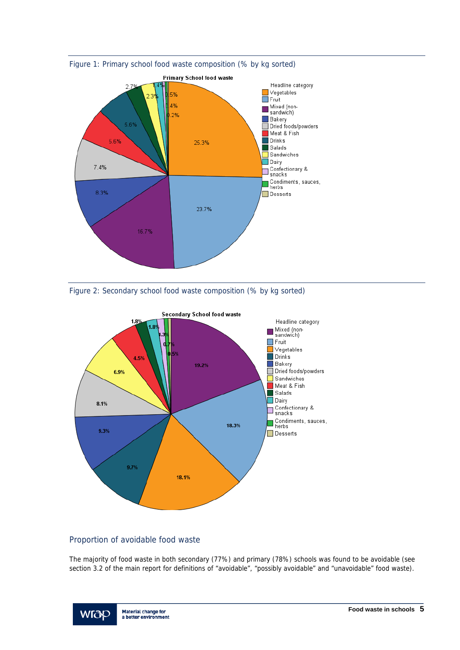







# Proportion of avoidable food waste

The majority of food waste in both secondary (77%) and primary (78%) schools was found to be avoidable (see section 3.2 of the main report for definitions of "avoidable", "possibly avoidable" and "unavoidable" food waste).

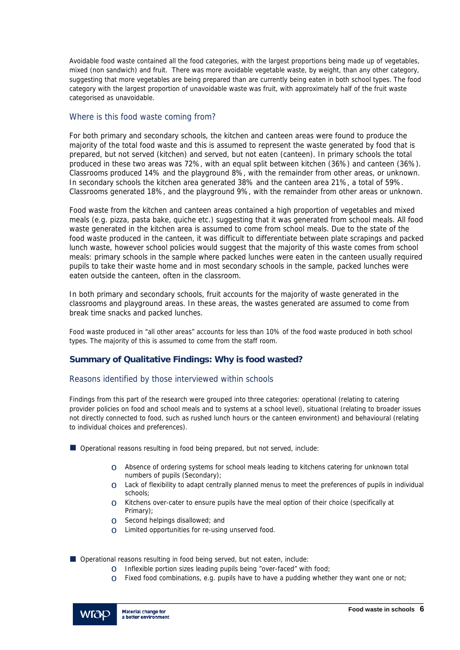Avoidable food waste contained all the food categories, with the largest proportions being made up of vegetables, mixed (non sandwich) and fruit. There was more avoidable vegetable waste, by weight, than any other category, suggesting that more vegetables are being prepared than are currently being eaten in both school types. The food category with the largest proportion of unavoidable waste was fruit, with approximately half of the fruit waste categorised as unavoidable.

# Where is this food waste coming from?

For both primary and secondary schools, the kitchen and canteen areas were found to produce the majority of the total food waste and this is assumed to represent the waste generated by food that is prepared, but not served (kitchen) and served, but not eaten (canteen). In primary schools the total produced in these two areas was 72%, with an equal split between kitchen (36%) and canteen (36%). Classrooms produced 14% and the playground 8%, with the remainder from other areas, or unknown. In secondary schools the kitchen area generated 38% and the canteen area 21%, a total of 59%. Classrooms generated 18%, and the playground 9%, with the remainder from other areas or unknown.

Food waste from the kitchen and canteen areas contained a high proportion of vegetables and mixed meals (e.g. pizza, pasta bake, quiche etc.) suggesting that it was generated from school meals. All food waste generated in the kitchen area is assumed to come from school meals. Due to the state of the food waste produced in the canteen, it was difficult to differentiate between plate scrapings and packed lunch waste, however school policies would suggest that the majority of this waste comes from school meals: primary schools in the sample where packed lunches were eaten in the canteen usually required pupils to take their waste home and in most secondary schools in the sample, packed lunches were eaten outside the canteen, often in the classroom.

In both primary and secondary schools, fruit accounts for the majority of waste generated in the classrooms and playground areas. In these areas, the wastes generated are assumed to come from break time snacks and packed lunches.

Food waste produced in "all other areas" accounts for less than 10% of the food waste produced in both school types. The majority of this is assumed to come from the staff room.

# **Summary of Qualitative Findings: Why is food wasted?**

# Reasons identified by those interviewed within schools

Findings from this part of the research were grouped into three categories: operational (relating to catering provider policies on food and school meals and to systems at a school level), situational (relating to broader issues not directly connected to food, such as rushed lunch hours or the canteen environment) and behavioural (relating to individual choices and preferences).

Operational reasons resulting in food being prepared, but not served, include:

- o Absence of ordering systems for school meals leading to kitchens catering for unknown total numbers of pupils (Secondary);
- o Lack of flexibility to adapt centrally planned menus to meet the preferences of pupils in individual schools;
- $\circ$  Kitchens over-cater to ensure pupils have the meal option of their choice (specifically at Primary);
- o Second helpings disallowed; and
- o Limited opportunities for re-using unserved food.

■ Operational reasons resulting in food being served, but not eaten, include:

- o Inflexible portion sizes leading pupils being "over-faced" with food;
- $\circ$  Fixed food combinations, e.g. pupils have to have a pudding whether they want one or not;

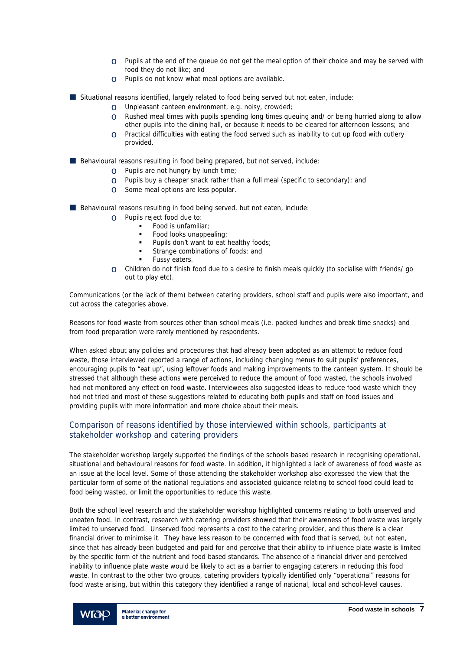- $\circ$  Pupils at the end of the queue do not get the meal option of their choice and may be served with food they do not like; and
- o Pupils do not know what meal options are available.
- Situational reasons identified, largely related to food being served but not eaten, include:
	- O Unpleasant canteen environment, e.g. noisy, crowded;<br>  $\circ$  Rushed meal times with pupils spendina lona times aue
	- Rushed meal times with pupils spending long times queuing and/ or being hurried along to allow other pupils into the dining hall, or because it needs to be cleared for afternoon lessons; and
	- $\circ$  Practical difficulties with eating the food served such as inability to cut up food with cutlery provided.

Behavioural reasons resulting in food being prepared, but not served, include:

- o Pupils are not hungry by lunch time;
- $\circ$  Pupils buy a cheaper snack rather than a full meal (specific to secondary); and
- o Some meal options are less popular.
- Behavioural reasons resulting in food being served, but not eaten, include:
	- o Pupils reject food due to:
		- Food is unfamiliar;
		- Food looks unappealing;
		- Pupils don't want to eat healthy foods;
		- Strange combinations of foods; and
		- Fussy eaters.
	- $\circ$  Children do not finish food due to a desire to finish meals quickly (to socialise with friends/ go out to play etc).

Communications (or the lack of them) between catering providers, school staff and pupils were also important, and cut across the categories above.

Reasons for food waste from sources other than school meals (i.e. packed lunches and break time snacks) and from food preparation were rarely mentioned by respondents.

When asked about any policies and procedures that had already been adopted as an attempt to reduce food waste, those interviewed reported a range of actions, including changing menus to suit pupils' preferences, encouraging pupils to "eat up", using leftover foods and making improvements to the canteen system. It should be stressed that although these actions were perceived to reduce the amount of food wasted, the schools involved had not monitored any effect on food waste. Interviewees also suggested ideas to reduce food waste which they had not tried and most of these suggestions related to educating both pupils and staff on food issues and providing pupils with more information and more choice about their meals.

# Comparison of reasons identified by those interviewed within schools, participants at stakeholder workshop and catering providers

The stakeholder workshop largely supported the findings of the schools based research in recognising operational, situational and behavioural reasons for food waste. In addition, it highlighted a lack of awareness of food waste as an issue at the local level. Some of those attending the stakeholder workshop also expressed the view that the particular form of some of the national regulations and associated guidance relating to school food could lead to food being wasted, or limit the opportunities to reduce this waste.

Both the school level research and the stakeholder workshop highlighted concerns relating to both unserved and uneaten food. In contrast, research with catering providers showed that their awareness of food waste was largely limited to unserved food. Unserved food represents a cost to the catering provider, and thus there is a clear financial driver to minimise it. They have less reason to be concerned with food that is served, but not eaten, since that has already been budgeted and paid for and perceive that their ability to influence plate waste is limited by the specific form of the nutrient and food based standards. The absence of a financial driver and perceived inability to influence plate waste would be likely to act as a barrier to engaging caterers in reducing this food waste. In contrast to the other two groups, catering providers typically identified only "operational" reasons for food waste arising, but within this category they identified a range of national, local and school-level causes.

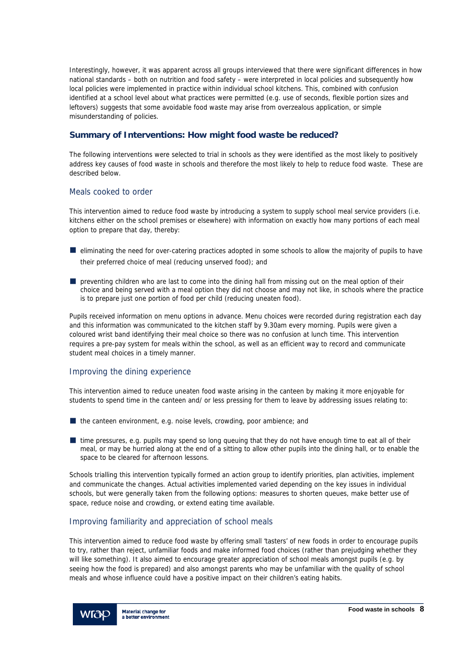Interestingly, however, it was apparent across all groups interviewed that there were significant differences in how national standards – both on nutrition and food safety – were interpreted in local policies and subsequently how local policies were implemented in practice within individual school kitchens. This, combined with confusion identified at a school level about what practices were permitted (e.g. use of seconds, flexible portion sizes and leftovers) suggests that some avoidable food waste may arise from overzealous application, or simple misunderstanding of policies.

# **Summary of Interventions: How might food waste be reduced?**

The following interventions were selected to trial in schools as they were identified as the most likely to positively address key causes of food waste in schools and therefore the most likely to help to reduce food waste. These are described below.

# Meals cooked to order

This intervention aimed to reduce food waste by introducing a system to supply school meal service providers (i.e. kitchens either on the school premises or elsewhere) with information on exactly how many portions of each meal option to prepare that day, thereby:

- $\blacksquare$  eliminating the need for over-catering practices adopted in some schools to allow the majority of pupils to have their preferred choice of meal (reducing unserved food); and
- $\blacksquare$  preventing children who are last to come into the dining hall from missing out on the meal option of their choice and being served with a meal option they did not choose and may not like, in schools where the practice is to prepare just one portion of food per child (reducing uneaten food).

Pupils received information on menu options in advance. Menu choices were recorded during registration each day and this information was communicated to the kitchen staff by 9.30am every morning. Pupils were given a coloured wrist band identifying their meal choice so there was no confusion at lunch time. This intervention requires a pre-pay system for meals within the school, as well as an efficient way to record and communicate student meal choices in a timely manner.

# Improving the dining experience

This intervention aimed to reduce uneaten food waste arising in the canteen by making it more enjoyable for students to spend time in the canteen and/ or less pressing for them to leave by addressing issues relating to:

 $\blacksquare$  the canteen environment, e.g. noise levels, crowding, poor ambience; and

**If** time pressures, e.g. pupils may spend so long queuing that they do not have enough time to eat all of their meal, or may be hurried along at the end of a sitting to allow other pupils into the dining hall, or to enable the space to be cleared for afternoon lessons.

Schools trialling this intervention typically formed an action group to identify priorities, plan activities, implement and communicate the changes. Actual activities implemented varied depending on the key issues in individual schools, but were generally taken from the following options: measures to shorten queues, make better use of space, reduce noise and crowding, or extend eating time available.

# Improving familiarity and appreciation of school meals

This intervention aimed to reduce food waste by offering small 'tasters' of new foods in order to encourage pupils to try, rather than reject, unfamiliar foods and make informed food choices (rather than prejudging whether they will like something). It also aimed to encourage greater appreciation of school meals amongst pupils (e.g. by seeing how the food is prepared) and also amongst parents who may be unfamiliar with the quality of school meals and whose influence could have a positive impact on their children's eating habits.

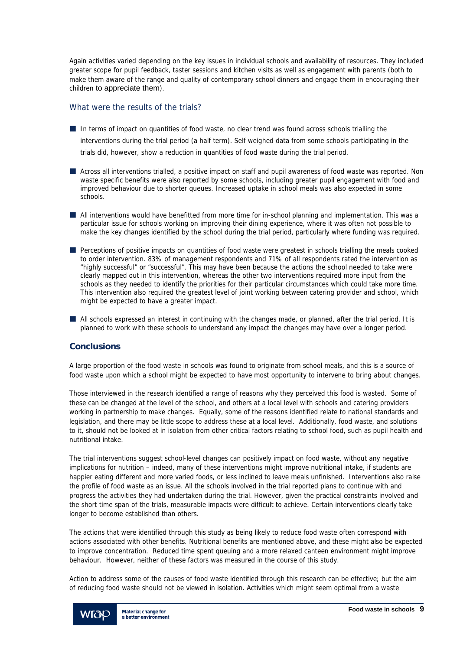Again activities varied depending on the key issues in individual schools and availability of resources. They included greater scope for pupil feedback, taster sessions and kitchen visits as well as engagement with parents (both to make them aware of the range and quality of contemporary school dinners and engage them in encouraging their children to appreciate them).

# What were the results of the trials?

- In terms of impact on quantities of food waste, no clear trend was found across schools trialling the interventions during the trial period (a half term). Self weighed data from some schools participating in the trials did, however, show a reduction in quantities of food waste during the trial period.
- Across all interventions trialled, a positive impact on staff and pupil awareness of food waste was reported. Non waste specific benefits were also reported by some schools, including greater pupil engagement with food and improved behaviour due to shorter queues. Increased uptake in school meals was also expected in some schools.
- All interventions would have benefitted from more time for in-school planning and implementation. This was a particular issue for schools working on improving their dining experience, where it was often not possible to make the key changes identified by the school during the trial period, particularly where funding was required.
- **Perceptions of positive impacts on quantities of food waste were greatest in schools trialling the meals cooked** to order intervention. 83% of management respondents and 71% of all respondents rated the intervention as "highly successful" or "successful". This may have been because the actions the school needed to take were clearly mapped out in this intervention, whereas the other two interventions required more input from the schools as they needed to identify the priorities for their particular circumstances which could take more time. This intervention also required the greatest level of joint working between catering provider and school, which might be expected to have a greater impact.
- All schools expressed an interest in continuing with the changes made, or planned, after the trial period. It is planned to work with these schools to understand any impact the changes may have over a longer period.

# **Conclusions**

A large proportion of the food waste in schools was found to originate from school meals, and this is a source of food waste upon which a school might be expected to have most opportunity to intervene to bring about changes.

Those interviewed in the research identified a range of reasons why they perceived this food is wasted. Some of these can be changed at the level of the school, and others at a local level with schools and catering providers working in partnership to make changes. Equally, some of the reasons identified relate to national standards and legislation, and there may be little scope to address these at a local level. Additionally, food waste, and solutions to it, should not be looked at in isolation from other critical factors relating to school food, such as pupil health and nutritional intake.

The trial interventions suggest school-level changes can positively impact on food waste, without any negative implications for nutrition – indeed, many of these interventions might improve nutritional intake, if students are happier eating different and more varied foods, or less inclined to leave meals unfinished. Interventions also raise the profile of food waste as an issue. All the schools involved in the trial reported plans to continue with and progress the activities they had undertaken during the trial. However, given the practical constraints involved and the short time span of the trials, measurable impacts were difficult to achieve. Certain interventions clearly take longer to become established than others.

The actions that were identified through this study as being likely to reduce food waste often correspond with actions associated with other benefits. Nutritional benefits are mentioned above, and these might also be expected to improve concentration. Reduced time spent queuing and a more relaxed canteen environment might improve behaviour. However, neither of these factors was measured in the course of this study.

Action to address some of the causes of food waste identified through this research can be effective; but the aim of reducing food waste should not be viewed in isolation. Activities which might seem optimal from a waste

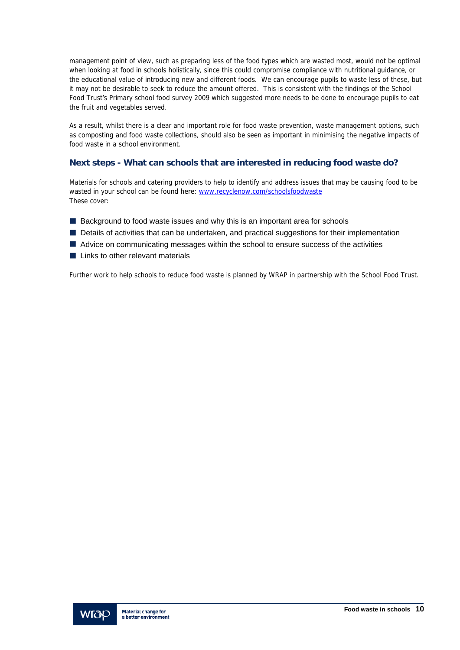management point of view, such as preparing less of the food types which are wasted most, would not be optimal when looking at food in schools holistically, since this could compromise compliance with nutritional guidance, or the educational value of introducing new and different foods. We can encourage pupils to waste less of these, but it may not be desirable to seek to reduce the amount offered. This is consistent with the findings of the School Food Trust's Primary school food survey 2009 which suggested more needs to be done to encourage pupils to eat the fruit and vegetables served.

As a result, whilst there is a clear and important role for food waste prevention, waste management options, such as composting and food waste collections, should also be seen as important in minimising the negative impacts of food waste in a school environment.

# **Next steps - What can schools that are interested in reducing food waste do?**

Materials for schools and catering providers to help to identify and address issues that may be causing food to be wasted in your school can be found here: www.recyclenow.com/schoolsfoodwaste These cover:

- Background to food waste issues and why this is an important area for schools
- Details of activities that can be undertaken, and practical suggestions for their implementation
- Advice on communicating messages within the school to ensure success of the activities
- **Links to other relevant materials**

Further work to help schools to reduce food waste is planned by WRAP in partnership with the School Food Trust.

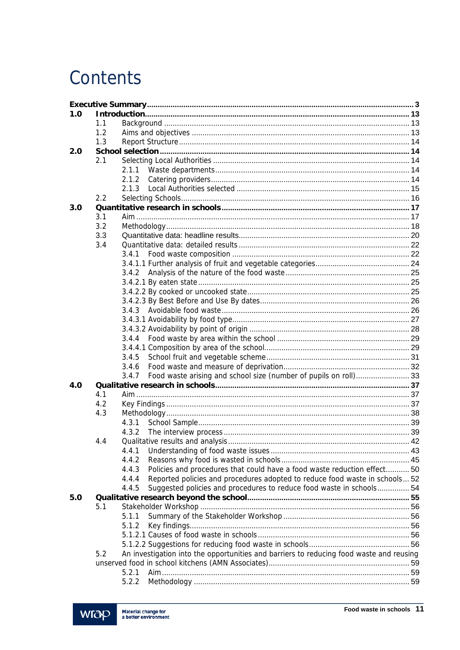# Contents

| 1.0 |     |                                                                                         |                                                                             |  |  |  |
|-----|-----|-----------------------------------------------------------------------------------------|-----------------------------------------------------------------------------|--|--|--|
|     | 1.1 |                                                                                         |                                                                             |  |  |  |
|     | 1.2 |                                                                                         |                                                                             |  |  |  |
|     | 1.3 |                                                                                         |                                                                             |  |  |  |
| 2.0 |     |                                                                                         |                                                                             |  |  |  |
|     | 2.1 |                                                                                         |                                                                             |  |  |  |
|     |     | 2.1.1                                                                                   |                                                                             |  |  |  |
|     |     | 2.1.2                                                                                   |                                                                             |  |  |  |
|     |     | 213                                                                                     |                                                                             |  |  |  |
|     | 2.2 |                                                                                         |                                                                             |  |  |  |
| 3.0 |     |                                                                                         |                                                                             |  |  |  |
|     | 3.1 |                                                                                         |                                                                             |  |  |  |
|     | 3.2 |                                                                                         |                                                                             |  |  |  |
|     | 3.3 |                                                                                         |                                                                             |  |  |  |
|     | 3.4 |                                                                                         |                                                                             |  |  |  |
|     |     | 3.4.1                                                                                   |                                                                             |  |  |  |
|     |     |                                                                                         |                                                                             |  |  |  |
|     |     | 3.4.2                                                                                   |                                                                             |  |  |  |
|     |     |                                                                                         |                                                                             |  |  |  |
|     |     |                                                                                         |                                                                             |  |  |  |
|     |     |                                                                                         |                                                                             |  |  |  |
|     |     | 3.4.3                                                                                   |                                                                             |  |  |  |
|     |     |                                                                                         |                                                                             |  |  |  |
|     |     |                                                                                         |                                                                             |  |  |  |
|     |     | 3.4.4                                                                                   |                                                                             |  |  |  |
|     |     |                                                                                         |                                                                             |  |  |  |
|     |     | 3.4.5                                                                                   |                                                                             |  |  |  |
|     |     | 3.4.6                                                                                   |                                                                             |  |  |  |
|     |     | 3.4.7                                                                                   | Food waste arising and school size (number of pupils on roll) 33            |  |  |  |
| 4.0 |     |                                                                                         |                                                                             |  |  |  |
|     | 4.1 |                                                                                         |                                                                             |  |  |  |
|     | 4.2 |                                                                                         |                                                                             |  |  |  |
|     | 4.3 |                                                                                         |                                                                             |  |  |  |
|     |     | 4.3.1                                                                                   |                                                                             |  |  |  |
|     |     | 4.3.2                                                                                   |                                                                             |  |  |  |
|     | 4.4 |                                                                                         |                                                                             |  |  |  |
|     |     | 4.4.1                                                                                   |                                                                             |  |  |  |
|     |     | 4.4.2                                                                                   |                                                                             |  |  |  |
|     |     | 4.4.3                                                                                   | Policies and procedures that could have a food waste reduction effect 50    |  |  |  |
|     |     | 4.4.4                                                                                   | Reported policies and procedures adopted to reduce food waste in schools 52 |  |  |  |
|     |     | 4.4.5                                                                                   | Suggested policies and procedures to reduce food waste in schools 54        |  |  |  |
| 5.0 |     |                                                                                         |                                                                             |  |  |  |
|     | 5.1 |                                                                                         |                                                                             |  |  |  |
|     |     | 5.1.1                                                                                   |                                                                             |  |  |  |
|     |     | 5.1.2                                                                                   |                                                                             |  |  |  |
|     |     |                                                                                         |                                                                             |  |  |  |
|     |     |                                                                                         |                                                                             |  |  |  |
|     |     |                                                                                         |                                                                             |  |  |  |
|     | 5.2 | An investigation into the opportunities and barriers to reducing food waste and reusing |                                                                             |  |  |  |
|     |     | 5.2.1                                                                                   |                                                                             |  |  |  |
|     |     |                                                                                         |                                                                             |  |  |  |
|     |     | 5.2.2                                                                                   |                                                                             |  |  |  |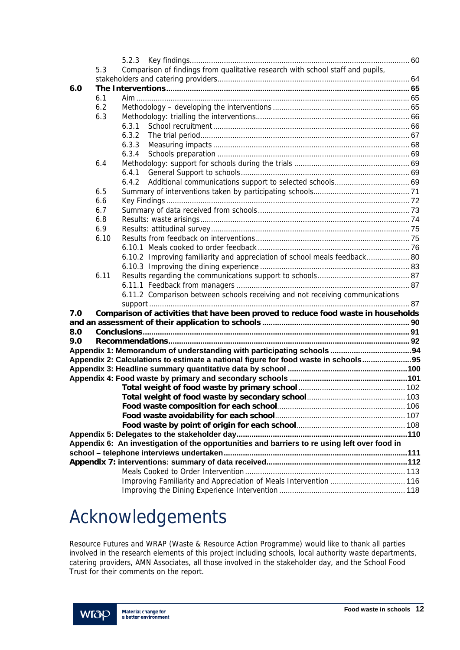|     | 5.3  | Comparison of findings from qualitative research with school staff and pupils,               |  |
|-----|------|----------------------------------------------------------------------------------------------|--|
|     |      |                                                                                              |  |
| 6.0 |      |                                                                                              |  |
|     | 6.1  |                                                                                              |  |
|     | 6.2  |                                                                                              |  |
|     | 6.3  |                                                                                              |  |
|     |      | 6.3.1                                                                                        |  |
|     |      | 6.3.2                                                                                        |  |
|     |      | 6.3.3                                                                                        |  |
|     |      | 6.3.4                                                                                        |  |
|     | 6.4  |                                                                                              |  |
|     |      | 6.4.1                                                                                        |  |
|     |      | 6.4.2                                                                                        |  |
|     | 6.5  |                                                                                              |  |
|     | 6.6  |                                                                                              |  |
|     | 6.7  |                                                                                              |  |
|     | 6.8  |                                                                                              |  |
|     | 6.9  |                                                                                              |  |
|     | 6.10 |                                                                                              |  |
|     |      |                                                                                              |  |
|     |      | 6.10.2 Improving familiarity and appreciation of school meals feedback 80                    |  |
|     |      |                                                                                              |  |
|     | 6.11 |                                                                                              |  |
|     |      |                                                                                              |  |
|     |      | 6.11.2 Comparison between schools receiving and not receiving communications                 |  |
| 7.0 |      | Comparison of activities that have been proved to reduce food waste in households            |  |
|     |      |                                                                                              |  |
| 8.0 |      |                                                                                              |  |
| 9.0 |      |                                                                                              |  |
|     |      |                                                                                              |  |
|     |      | Appendix 2: Calculations to estimate a national figure for food waste in schools 95          |  |
|     |      |                                                                                              |  |
|     |      |                                                                                              |  |
|     |      |                                                                                              |  |
|     |      |                                                                                              |  |
|     |      |                                                                                              |  |
|     |      |                                                                                              |  |
|     |      |                                                                                              |  |
|     |      |                                                                                              |  |
|     |      | Appendix 6: An investigation of the opportunities and barriers to re using left over food in |  |
|     |      |                                                                                              |  |
|     |      |                                                                                              |  |
|     |      |                                                                                              |  |
|     |      | Improving Familiarity and Appreciation of Meals Intervention  116                            |  |
|     |      |                                                                                              |  |

# Acknowledgements

Resource Futures and WRAP (Waste & Resource Action Programme) would like to thank all parties involved in the research elements of this project including schools, local authority waste departments, catering providers, AMN Associates, all those involved in the stakeholder day, and the School Food Trust for their comments on the report.

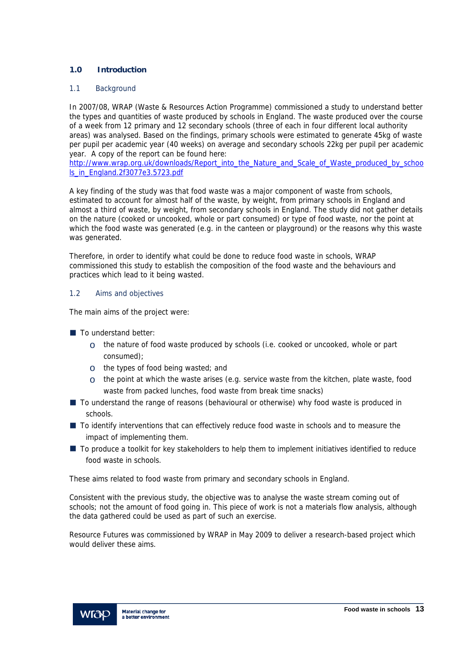# **1.0 Introduction**

#### 1.1 Background

In 2007/08, WRAP (Waste & Resources Action Programme) commissioned a study to understand better the types and quantities of waste produced by schools in England. The waste produced over the course of a week from 12 primary and 12 secondary schools (three of each in four different local authority areas) was analysed. Based on the findings, primary schools were estimated to generate 45kg of waste per pupil per academic year (40 weeks) on average and secondary schools 22kg per pupil per academic year. A copy of the report can be found here:

http://www.wrap.org.uk/downloads/Report\_into\_the\_Nature\_and\_Scale\_of\_Waste\_produced\_by\_schoo ls\_in\_England.2f3077e3.5723.pdf

A key finding of the study was that food waste was a major component of waste from schools, estimated to account for almost half of the waste, by weight, from primary schools in England and almost a third of waste, by weight, from secondary schools in England. The study did not gather details on the nature (cooked or uncooked, whole or part consumed) or type of food waste, nor the point at which the food waste was generated (e.g. in the canteen or playground) or the reasons why this waste was generated.

Therefore, in order to identify what could be done to reduce food waste in schools, WRAP commissioned this study to establish the composition of the food waste and the behaviours and practices which lead to it being wasted.

# 1.2 Aims and objectives

The main aims of the project were:

- $\blacksquare$  To understand better:
	- $\circ$  the nature of food waste produced by schools (i.e. cooked or uncooked, whole or part consumed);
	- $\circ$  the types of food being wasted; and
	- $\circ$  the point at which the waste arises (e.g. service waste from the kitchen, plate waste, food waste from packed lunches, food waste from break time snacks)
- To understand the range of reasons (behavioural or otherwise) why food waste is produced in schools.
- To identify interventions that can effectively reduce food waste in schools and to measure the impact of implementing them.
- To produce a toolkit for key stakeholders to help them to implement initiatives identified to reduce food waste in schools.

These aims related to food waste from primary and secondary schools in England.

Consistent with the previous study, the objective was to analyse the waste stream coming out of schools; not the amount of food going in. This piece of work is not a materials flow analysis, although the data gathered could be used as part of such an exercise.

Resource Futures was commissioned by WRAP in May 2009 to deliver a research-based project which would deliver these aims.

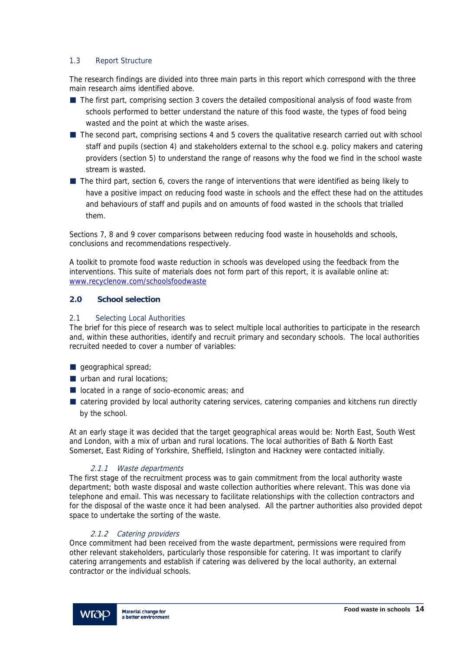# 1.3 Report Structure

The research findings are divided into three main parts in this report which correspond with the three main research aims identified above.

- The first part, comprising section 3 covers the detailed compositional analysis of food waste from schools performed to better understand the nature of this food waste, the types of food being wasted and the point at which the waste arises.
- The second part, comprising sections 4 and 5 covers the qualitative research carried out with school staff and pupils (section 4) and stakeholders external to the school e.g. policy makers and catering providers (section 5) to understand the range of reasons why the food we find in the school waste stream is wasted.
- The third part, section 6, covers the range of interventions that were identified as being likely to have a positive impact on reducing food waste in schools and the effect these had on the attitudes and behaviours of staff and pupils and on amounts of food wasted in the schools that trialled them.

Sections 7, 8 and 9 cover comparisons between reducing food waste in households and schools, conclusions and recommendations respectively.

A toolkit to promote food waste reduction in schools was developed using the feedback from the interventions. This suite of materials does not form part of this report, it is available online at: www.recyclenow.com/schoolsfoodwaste

# **2.0 School selection**

# 2.1 Selecting Local Authorities

The brief for this piece of research was to select multiple local authorities to participate in the research and, within these authorities, identify and recruit primary and secondary schools. The local authorities recruited needed to cover a number of variables:

- **geographical spread**;
- urban and rural locations:
- located in a range of socio-economic areas; and
- catering provided by local authority catering services, catering companies and kitchens run directly by the school.

At an early stage it was decided that the target geographical areas would be: North East, South West and London, with a mix of urban and rural locations. The local authorities of Bath & North East Somerset, East Riding of Yorkshire, Sheffield, Islington and Hackney were contacted initially.

# 2.1.1 Waste departments

The first stage of the recruitment process was to gain commitment from the local authority waste department; both waste disposal and waste collection authorities where relevant. This was done via telephone and email. This was necessary to facilitate relationships with the collection contractors and for the disposal of the waste once it had been analysed. All the partner authorities also provided depot space to undertake the sorting of the waste.

# 2.1.2 Catering providers

Once commitment had been received from the waste department, permissions were required from other relevant stakeholders, particularly those responsible for catering. It was important to clarify catering arrangements and establish if catering was delivered by the local authority, an external contractor or the individual schools.

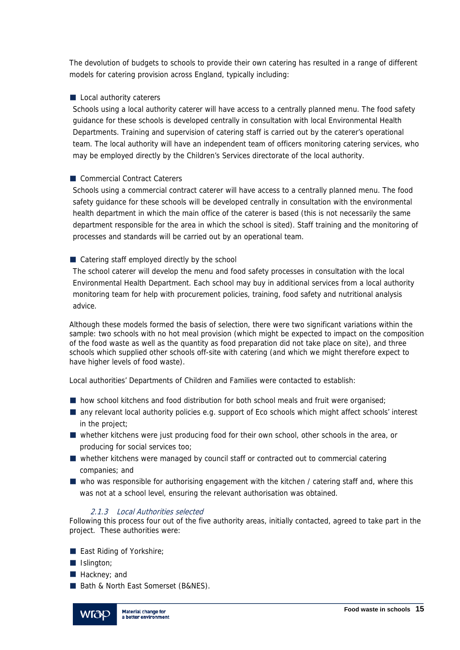The devolution of budgets to schools to provide their own catering has resulted in a range of different models for catering provision across England, typically including:

# Local authority caterers

Schools using a local authority caterer will have access to a centrally planned menu. The food safety guidance for these schools is developed centrally in consultation with local Environmental Health Departments. Training and supervision of catering staff is carried out by the caterer's operational team. The local authority will have an independent team of officers monitoring catering services, who may be employed directly by the Children's Services directorate of the local authority.

# Commercial Contract Caterers

Schools using a commercial contract caterer will have access to a centrally planned menu. The food safety guidance for these schools will be developed centrally in consultation with the environmental health department in which the main office of the caterer is based (this is not necessarily the same department responsible for the area in which the school is sited). Staff training and the monitoring of processes and standards will be carried out by an operational team.

# Catering staff employed directly by the school

The school caterer will develop the menu and food safety processes in consultation with the local Environmental Health Department. Each school may buy in additional services from a local authority monitoring team for help with procurement policies, training, food safety and nutritional analysis advice.

Although these models formed the basis of selection, there were two significant variations within the sample: two schools with no hot meal provision (which might be expected to impact on the composition of the food waste as well as the quantity as food preparation did not take place on site), and three schools which supplied other schools off-site with catering (and which we might therefore expect to have higher levels of food waste).

Local authorities' Departments of Children and Families were contacted to establish:

- **h** how school kitchens and food distribution for both school meals and fruit were organised;
- **E** any relevant local authority policies e.g. support of Eco schools which might affect schools' interest in the project;
- whether kitchens were just producing food for their own school, other schools in the area, or producing for social services too;
- $\blacksquare$  whether kitchens were managed by council staff or contracted out to commercial catering companies; and
- who was responsible for authorising engagement with the kitchen / catering staff and, where this was not at a school level, ensuring the relevant authorisation was obtained.

# 2.1.3 Local Authorities selected

Following this process four out of the five authority areas, initially contacted, agreed to take part in the project. These authorities were:

- **East Riding of Yorkshire;**
- **I**I Islington;
- **Hackney**: and
- Bath & North East Somerset (B&NES).

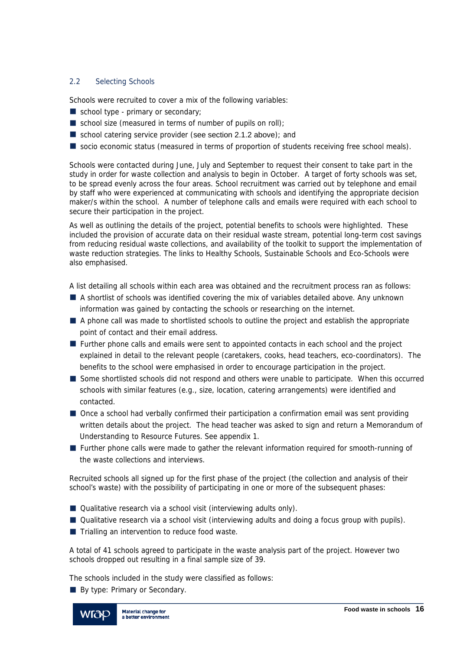# 2.2 Selecting Schools

Schools were recruited to cover a mix of the following variables:

- school type primary or secondary;
- school size (measured in terms of number of pupils on roll);
- school catering service provider (see section 2.1.2 above); and
- socio economic status (measured in terms of proportion of students receiving free school meals).

Schools were contacted during June, July and September to request their consent to take part in the study in order for waste collection and analysis to begin in October. A target of forty schools was set, to be spread evenly across the four areas. School recruitment was carried out by telephone and email by staff who were experienced at communicating with schools and identifying the appropriate decision maker/s within the school. A number of telephone calls and emails were required with each school to secure their participation in the project.

As well as outlining the details of the project, potential benefits to schools were highlighted. These included the provision of accurate data on their residual waste stream, potential long-term cost savings from reducing residual waste collections, and availability of the toolkit to support the implementation of waste reduction strategies. The links to Healthy Schools, Sustainable Schools and Eco-Schools were also emphasised.

A list detailing all schools within each area was obtained and the recruitment process ran as follows:

- A shortlist of schools was identified covering the mix of variables detailed above. Any unknown information was gained by contacting the schools or researching on the internet.
- A phone call was made to shortlisted schools to outline the project and establish the appropriate point of contact and their email address.
- **Further phone calls and emails were sent to appointed contacts in each school and the project** explained in detail to the relevant people (caretakers, cooks, head teachers, eco-coordinators). The benefits to the school were emphasised in order to encourage participation in the project.
- Some shortlisted schools did not respond and others were unable to participate. When this occurred schools with similar features (e.g., size, location, catering arrangements) were identified and contacted.
- Once a school had verbally confirmed their participation a confirmation email was sent providing written details about the project. The head teacher was asked to sign and return a Memorandum of Understanding to Resource Futures. See appendix 1.
- **Further phone calls were made to gather the relevant information required for smooth-running of** the waste collections and interviews.

Recruited schools all signed up for the first phase of the project (the collection and analysis of their school's waste) with the possibility of participating in one or more of the subsequent phases:

- Qualitative research via a school visit (interviewing adults only).
- Qualitative research via a school visit (interviewing adults and doing a focus group with pupils).
- $\blacksquare$  Trialling an intervention to reduce food waste.

A total of 41 schools agreed to participate in the waste analysis part of the project. However two schools dropped out resulting in a final sample size of 39.

The schools included in the study were classified as follows:

By type: Primary or Secondary.

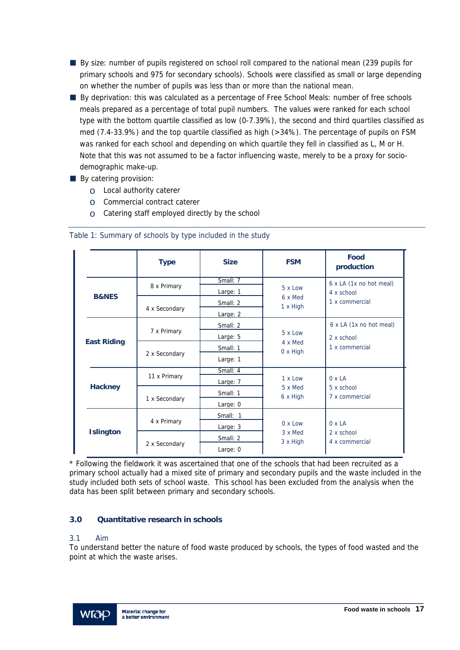- By size: number of pupils registered on school roll compared to the national mean (239 pupils for primary schools and 975 for secondary schools). Schools were classified as small or large depending on whether the number of pupils was less than or more than the national mean.
- By deprivation: this was calculated as a percentage of Free School Meals: number of free schools meals prepared as a percentage of total pupil numbers. The values were ranked for each school type with the bottom quartile classified as low (0-7.39%), the second and third quartiles classified as med (7.4-33.9%) and the top quartile classified as high (>34%). The percentage of pupils on FSM was ranked for each school and depending on which quartile they fell in classified as L, M or H. Note that this was not assumed to be a factor influencing waste, merely to be a proxy for sociodemographic make-up.
- By catering provision:
	- o Local authority caterer
	- o Commercial contract caterer
	- $\circ$  Catering staff employed directly by the school

|                    | <b>Type</b>   | <b>Size</b>            | <b>FSM</b>                 | Food<br>production                    |  |
|--------------------|---------------|------------------------|----------------------------|---------------------------------------|--|
|                    | 8 x Primary   | Small: 7<br>Large: 1   | 5 x Low                    | 6 x LA (1x no hot meal)<br>4 x school |  |
| <b>B&amp;NES</b>   | 4 x Secondary | Small: 2<br>Large: 2   | 6 x Med<br>1 x High        | 1 x commercial                        |  |
|                    | 7 x Primary   | Small: 2<br>Large: 5   | $5 \times 1$ OW            | 6 x LA (1x no hot meal)<br>2 x school |  |
| <b>East Riding</b> | 2 x Secondary | Small: 1<br>Large: 1   | 4 x Med<br>$0 \times$ High | 1 x commercial                        |  |
|                    | 11 x Primary  | Small: 4<br>Large: 7   |                            | $0 \times LA$                         |  |
| <b>Hackney</b>     | 1 x Secondary | Small: 1<br>Large: 0   | 5 x Med<br>6 x High        | 5 x school<br>7 x commercial          |  |
|                    | 4 x Primary   | Small: 1<br>Large: 3   | $0 \times$ Low             | $0 \times LA$                         |  |
| <b>Islington</b>   | 2 x Secondary | Small: 2<br>Large: $0$ | 3 x Med<br>3 x High        | 2 x school<br>4 x commercial          |  |

Table 1: Summary of schools by type included in the study

\* Following the fieldwork it was ascertained that one of the schools that had been recruited as a primary school actually had a mixed site of primary and secondary pupils and the waste included in the study included both sets of school waste. This school has been excluded from the analysis when the data has been split between primary and secondary schools.

# **3.0 Quantitative research in schools**

# 3.1 Aim

To understand better the nature of food waste produced by schools, the types of food wasted and the point at which the waste arises.

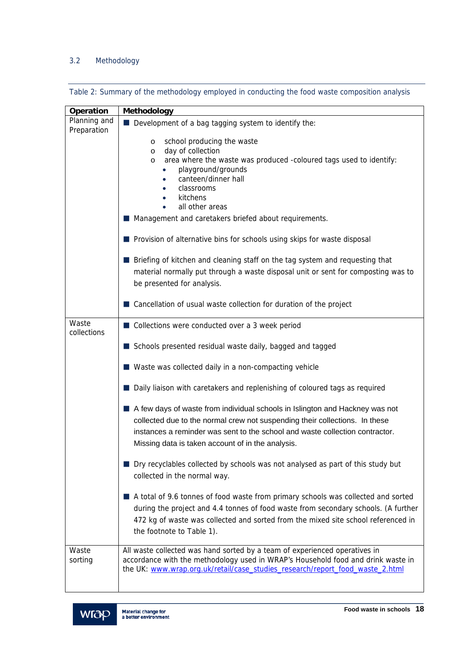# 3.2 Methodology

Table 2: Summary of the methodology employed in conducting the food waste composition analysis

| Operation                   | Methodology                                                                                                                                                                                                                                                                                               |  |  |  |
|-----------------------------|-----------------------------------------------------------------------------------------------------------------------------------------------------------------------------------------------------------------------------------------------------------------------------------------------------------|--|--|--|
| Planning and<br>Preparation | Development of a bag tagging system to identify the:                                                                                                                                                                                                                                                      |  |  |  |
|                             | school producing the waste<br>$\circ$<br>day of collection<br>$\circ$<br>area where the waste was produced -coloured tags used to identify:<br>$\circ$<br>playground/grounds<br>canteen/dinner hall<br>classrooms<br>kitchens<br>all other areas<br>Management and caretakers briefed about requirements. |  |  |  |
|                             |                                                                                                                                                                                                                                                                                                           |  |  |  |
|                             | Provision of alternative bins for schools using skips for waste disposal                                                                                                                                                                                                                                  |  |  |  |
|                             | Briefing of kitchen and cleaning staff on the tag system and requesting that<br>material normally put through a waste disposal unit or sent for composting was to<br>be presented for analysis.                                                                                                           |  |  |  |
|                             | Cancellation of usual waste collection for duration of the project                                                                                                                                                                                                                                        |  |  |  |
| Waste<br>collections        | Collections were conducted over a 3 week period                                                                                                                                                                                                                                                           |  |  |  |
|                             | Schools presented residual waste daily, bagged and tagged                                                                                                                                                                                                                                                 |  |  |  |
|                             | ■ Waste was collected daily in a non-compacting vehicle                                                                                                                                                                                                                                                   |  |  |  |
|                             | Daily liaison with caretakers and replenishing of coloured tags as required                                                                                                                                                                                                                               |  |  |  |
|                             | A few days of waste from individual schools in Islington and Hackney was not<br>collected due to the normal crew not suspending their collections. In these<br>instances a reminder was sent to the school and waste collection contractor.<br>Missing data is taken account of in the analysis.          |  |  |  |
|                             | Dry recyclables collected by schools was not analysed as part of this study but<br>collected in the normal way.                                                                                                                                                                                           |  |  |  |
|                             | A total of 9.6 tonnes of food waste from primary schools was collected and sorted<br>during the project and 4.4 tonnes of food waste from secondary schools. (A further<br>472 kg of waste was collected and sorted from the mixed site school referenced in<br>the footnote to Table 1).                 |  |  |  |
| Waste<br>sorting            | All waste collected was hand sorted by a team of experienced operatives in<br>accordance with the methodology used in WRAP's Household food and drink waste in<br>the UK: www.wrap.org.uk/retail/case_studies_research/report_food_waste_2.html                                                           |  |  |  |

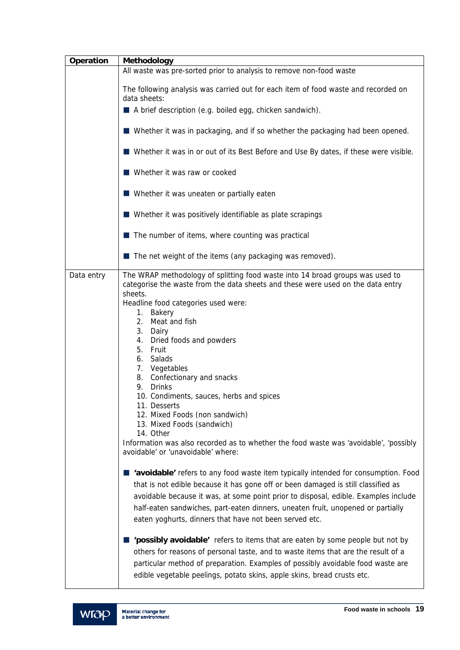| Operation  | Methodology                                                                                                                                                                                                                                                                                                                                                                                                                                                                                                                                                                                                                                                          |  |  |  |
|------------|----------------------------------------------------------------------------------------------------------------------------------------------------------------------------------------------------------------------------------------------------------------------------------------------------------------------------------------------------------------------------------------------------------------------------------------------------------------------------------------------------------------------------------------------------------------------------------------------------------------------------------------------------------------------|--|--|--|
|            | All waste was pre-sorted prior to analysis to remove non-food waste                                                                                                                                                                                                                                                                                                                                                                                                                                                                                                                                                                                                  |  |  |  |
|            | The following analysis was carried out for each item of food waste and recorded on<br>data sheets:                                                                                                                                                                                                                                                                                                                                                                                                                                                                                                                                                                   |  |  |  |
|            | A brief description (e.g. boiled egg, chicken sandwich).                                                                                                                                                                                                                                                                                                                                                                                                                                                                                                                                                                                                             |  |  |  |
|            | ■ Whether it was in packaging, and if so whether the packaging had been opened.                                                                                                                                                                                                                                                                                                                                                                                                                                                                                                                                                                                      |  |  |  |
|            | ■ Whether it was in or out of its Best Before and Use By dates, if these were visible.                                                                                                                                                                                                                                                                                                                                                                                                                                                                                                                                                                               |  |  |  |
|            | Whether it was raw or cooked                                                                                                                                                                                                                                                                                                                                                                                                                                                                                                                                                                                                                                         |  |  |  |
|            | ■ Whether it was uneaten or partially eaten                                                                                                                                                                                                                                                                                                                                                                                                                                                                                                                                                                                                                          |  |  |  |
|            | ■ Whether it was positively identifiable as plate scrapings                                                                                                                                                                                                                                                                                                                                                                                                                                                                                                                                                                                                          |  |  |  |
|            | $\blacksquare$ The number of items, where counting was practical                                                                                                                                                                                                                                                                                                                                                                                                                                                                                                                                                                                                     |  |  |  |
|            | $\blacksquare$ The net weight of the items (any packaging was removed).                                                                                                                                                                                                                                                                                                                                                                                                                                                                                                                                                                                              |  |  |  |
| Data entry | The WRAP methodology of splitting food waste into 14 broad groups was used to<br>categorise the waste from the data sheets and these were used on the data entry<br>sheets.<br>Headline food categories used were:<br>1. Bakery<br>2.<br>Meat and fish<br>3.<br>Dairy<br>Dried foods and powders<br>4.<br>5. Fruit<br>6. Salads<br>7. Vegetables<br>8. Confectionary and snacks<br>9. Drinks<br>10. Condiments, sauces, herbs and spices<br>11. Desserts<br>12. Mixed Foods (non sandwich)<br>13. Mixed Foods (sandwich)<br>14. Other<br>Information was also recorded as to whether the food waste was 'avoidable', 'possibly<br>avoidable' or 'unavoidable' where: |  |  |  |
|            | 'avoidable' refers to any food waste item typically intended for consumption. Food<br>that is not edible because it has gone off or been damaged is still classified as<br>avoidable because it was, at some point prior to disposal, edible. Examples include<br>half-eaten sandwiches, part-eaten dinners, uneaten fruit, unopened or partially<br>eaten yoghurts, dinners that have not been served etc.                                                                                                                                                                                                                                                          |  |  |  |
|            | 'possibly avoidable' refers to items that are eaten by some people but not by<br>others for reasons of personal taste, and to waste items that are the result of a<br>particular method of preparation. Examples of possibly avoidable food waste are<br>edible vegetable peelings, potato skins, apple skins, bread crusts etc.                                                                                                                                                                                                                                                                                                                                     |  |  |  |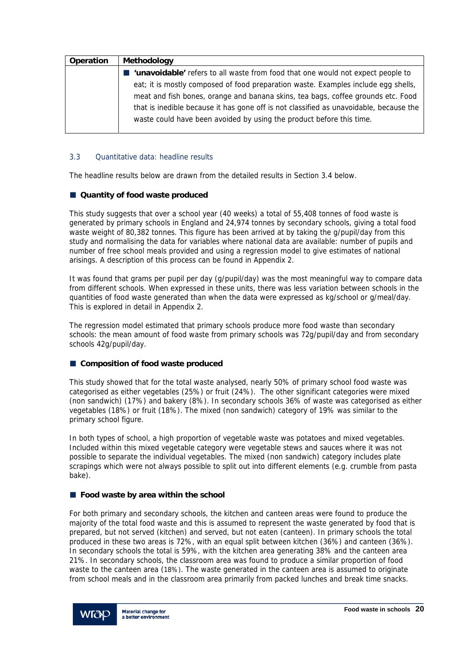| Operation | Methodology                                                                                 |
|-----------|---------------------------------------------------------------------------------------------|
|           | <b>lack 'unavoidable'</b> refers to all waste from food that one would not expect people to |
|           | eat; it is mostly composed of food preparation waste. Examples include egg shells,          |
|           | meat and fish bones, orange and banana skins, tea bags, coffee grounds etc. Food            |
|           | that is inedible because it has gone off is not classified as unavoidable, because the      |
|           | waste could have been avoided by using the product before this time.                        |
|           |                                                                                             |

# 3.3 Quantitative data: headline results

The headline results below are drawn from the detailed results in Section 3.4 below.

# ■ Quantity of food waste produced

This study suggests that over a school year (40 weeks) a total of 55,408 tonnes of food waste is generated by primary schools in England and 24,974 tonnes by secondary schools, giving a total food waste weight of 80,382 tonnes. This figure has been arrived at by taking the g/pupil/day from this study and normalising the data for variables where national data are available: number of pupils and number of free school meals provided and using a regression model to give estimates of national arisings. A description of this process can be found in Appendix 2.

It was found that grams per pupil per day (g/pupil/day) was the most meaningful way to compare data from different schools. When expressed in these units, there was less variation between schools in the quantities of food waste generated than when the data were expressed as kg/school or g/meal/day. This is explored in detail in Appendix 2.

The regression model estimated that primary schools produce more food waste than secondary schools: the mean amount of food waste from primary schools was 72g/pupil/day and from secondary schools 42g/pupil/day.

# ■ Composition of food waste produced

This study showed that for the total waste analysed, nearly 50% of primary school food waste was categorised as either vegetables (25%) or fruit (24%). The other significant categories were mixed (non sandwich) (17%) and bakery (8%). In secondary schools 36% of waste was categorised as either vegetables (18%) or fruit (18%). The mixed (non sandwich) category of 19% was similar to the primary school figure.

In both types of school, a high proportion of vegetable waste was potatoes and mixed vegetables. Included within this mixed vegetable category were vegetable stews and sauces where it was not possible to separate the individual vegetables. The mixed (non sandwich) category includes plate scrapings which were not always possible to split out into different elements (e.g. crumble from pasta bake).

# **Food waste by area within the school**

For both primary and secondary schools, the kitchen and canteen areas were found to produce the majority of the total food waste and this is assumed to represent the waste generated by food that is prepared, but not served (kitchen) and served, but not eaten (canteen). In primary schools the total produced in these two areas is 72%, with an equal split between kitchen (36%) and canteen (36%). In secondary schools the total is 59%, with the kitchen area generating 38% and the canteen area 21%. In secondary schools, the classroom area was found to produce a similar proportion of food waste to the canteen area (18%). The waste generated in the canteen area is assumed to originate from school meals and in the classroom area primarily from packed lunches and break time snacks.

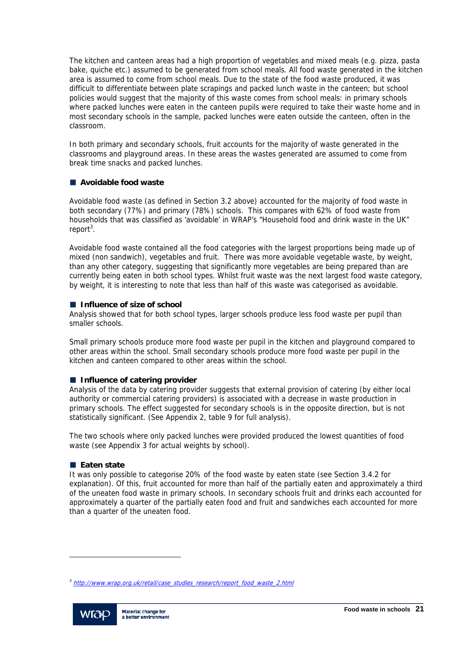The kitchen and canteen areas had a high proportion of vegetables and mixed meals (e.g. pizza, pasta bake, quiche etc.) assumed to be generated from school meals. All food waste generated in the kitchen area is assumed to come from school meals. Due to the state of the food waste produced, it was difficult to differentiate between plate scrapings and packed lunch waste in the canteen; but school policies would suggest that the majority of this waste comes from school meals: in primary schools where packed lunches were eaten in the canteen pupils were required to take their waste home and in most secondary schools in the sample, packed lunches were eaten outside the canteen, often in the classroom.

In both primary and secondary schools, fruit accounts for the majority of waste generated in the classrooms and playground areas. In these areas the wastes generated are assumed to come from break time snacks and packed lunches.

# **Avoidable food waste**

Avoidable food waste (as defined in Section 3.2 above) accounted for the majority of food waste in both secondary (77%) and primary (78%) schools. This compares with 62% of food waste from households that was classified as 'avoidable' in WRAP's "Household food and drink waste in the UK" report<sup>3</sup>.

Avoidable food waste contained all the food categories with the largest proportions being made up of mixed (non sandwich), vegetables and fruit. There was more avoidable vegetable waste, by weight, than any other category, suggesting that significantly more vegetables are being prepared than are currently being eaten in both school types. Whilst fruit waste was the next largest food waste category, by weight, it is interesting to note that less than half of this waste was categorised as avoidable.

# **Influence of size of school**

Analysis showed that for both school types, larger schools produce less food waste per pupil than smaller schools.

Small primary schools produce more food waste per pupil in the kitchen and playground compared to other areas within the school. Small secondary schools produce more food waste per pupil in the kitchen and canteen compared to other areas within the school.

# **Influence of catering provider**

Analysis of the data by catering provider suggests that external provision of catering (by either local authority or commercial catering providers) is associated with a decrease in waste production in primary schools. The effect suggested for secondary schools is in the opposite direction, but is not statistically significant. (See Appendix 2, table 9 for full analysis).

The two schools where only packed lunches were provided produced the lowest quantities of food waste (see Appendix 3 for actual weights by school).

# **Eaten state**

It was only possible to categorise 20% of the food waste by eaten state (see Section 3.4.2 for explanation). Of this, fruit accounted for more than half of the partially eaten and approximately a third of the uneaten food waste in primary schools. In secondary schools fruit and drinks each accounted for approximately a quarter of the partially eaten food and fruit and sandwiches each accounted for more than a quarter of the uneaten food.

*<sup>3</sup>* http://www.wrap.org.uk/retail/case\_studies\_research/report\_food\_waste\_2.html



l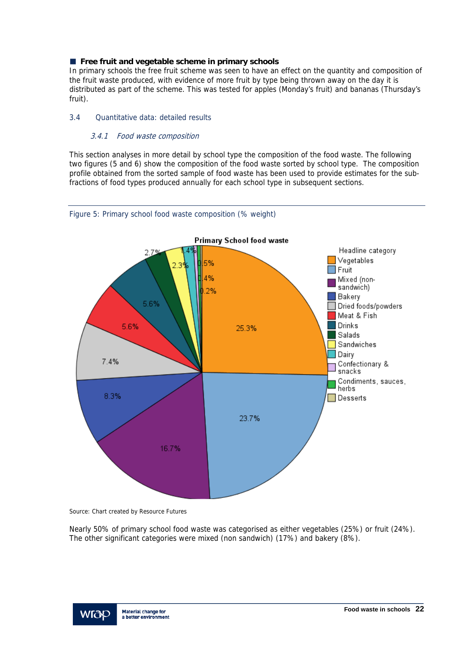# **Free fruit and vegetable scheme in primary schools**

In primary schools the free fruit scheme was seen to have an effect on the quantity and composition of the fruit waste produced, with evidence of more fruit by type being thrown away on the day it is distributed as part of the scheme. This was tested for apples (Monday's fruit) and bananas (Thursday's fruit).

# 3.4 Quantitative data: detailed results

# 3.4.1 Food waste composition

This section analyses in more detail by school type the composition of the food waste. The following two figures (5 and 6) show the composition of the food waste sorted by school type. The composition profile obtained from the sorted sample of food waste has been used to provide estimates for the subfractions of food types produced annually for each school type in subsequent sections.



Figure 5: Primary school food waste composition (% weight)

Source: Chart created by Resource Futures

Nearly 50% of primary school food waste was categorised as either vegetables (25%) or fruit (24%). The other significant categories were mixed (non sandwich) (17%) and bakery (8%).

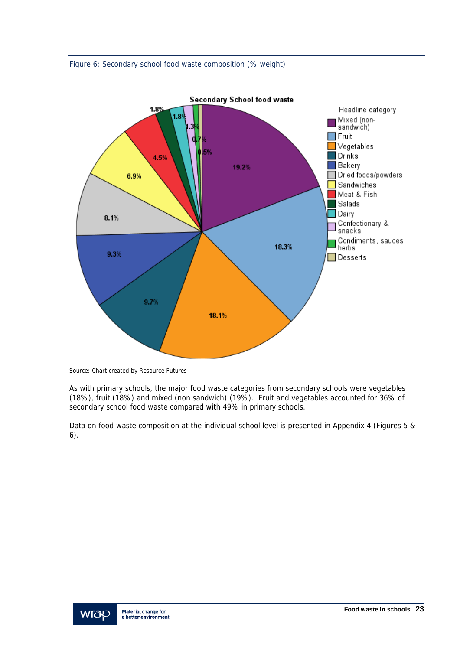



Source: Chart created by Resource Futures

As with primary schools, the major food waste categories from secondary schools were vegetables (18%), fruit (18%) and mixed (non sandwich) (19%). Fruit and vegetables accounted for 36% of secondary school food waste compared with 49% in primary schools.

Data on food waste composition at the individual school level is presented in Appendix 4 (Figures 5 & 6).

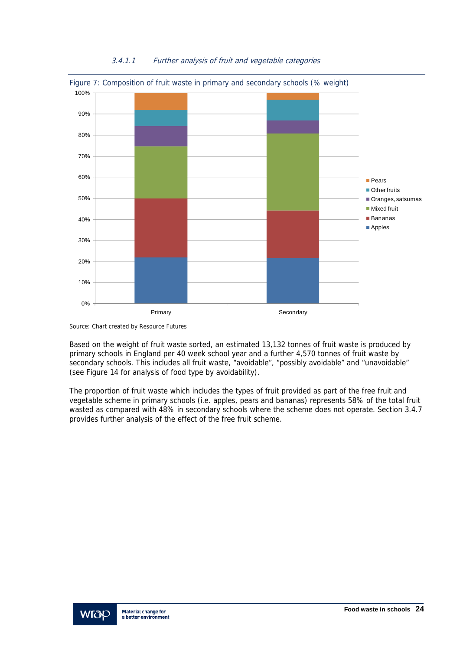

# 3.4.1.1 Further analysis of fruit and vegetable categories

Source: Chart created by Resource Futures

Based on the weight of fruit waste sorted, an estimated 13,132 tonnes of fruit waste is produced by primary schools in England per 40 week school year and a further 4,570 tonnes of fruit waste by secondary schools. This includes all fruit waste, "avoidable", "possibly avoidable" and "unavoidable" (see Figure 14 for analysis of food type by avoidability).

The proportion of fruit waste which includes the types of fruit provided as part of the free fruit and vegetable scheme in primary schools (i.e. apples, pears and bananas) represents 58% of the total fruit wasted as compared with 48% in secondary schools where the scheme does not operate. Section 3.4.7 provides further analysis of the effect of the free fruit scheme.

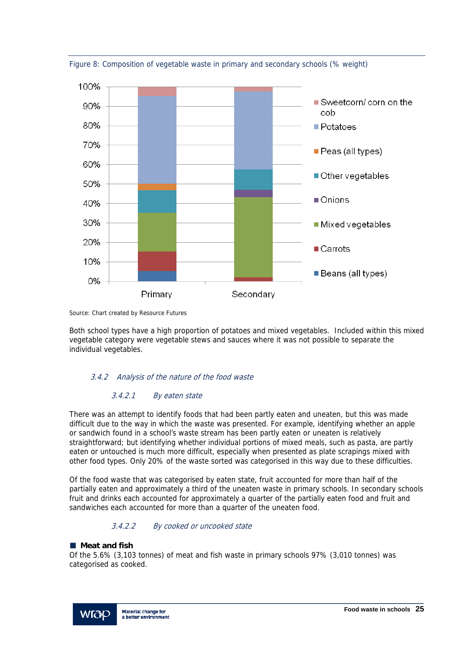

Figure 8: Composition of vegetable waste in primary and secondary schools (% weight)

Source: Chart created by Resource Futures

Both school types have a high proportion of potatoes and mixed vegetables. Included within this mixed vegetable category were vegetable stews and sauces where it was not possible to separate the individual vegetables.

# 3.4.2 Analysis of the nature of the food waste

# 3.4.2.1 By eaten state

There was an attempt to identify foods that had been partly eaten and uneaten, but this was made difficult due to the way in which the waste was presented. For example, identifying whether an apple or sandwich found in a school's waste stream has been partly eaten or uneaten is relatively straightforward; but identifying whether individual portions of mixed meals, such as pasta, are partly eaten or untouched is much more difficult, especially when presented as plate scrapings mixed with other food types. Only 20% of the waste sorted was categorised in this way due to these difficulties.

Of the food waste that was categorised by eaten state, fruit accounted for more than half of the partially eaten and approximately a third of the uneaten waste in primary schools. In secondary schools fruit and drinks each accounted for approximately a quarter of the partially eaten food and fruit and sandwiches each accounted for more than a quarter of the uneaten food.

# 3.4.2.2 By cooked or uncooked state

# **Meat and fish**

Of the 5.6% (3,103 tonnes) of meat and fish waste in primary schools 97% (3,010 tonnes) was categorised as cooked.

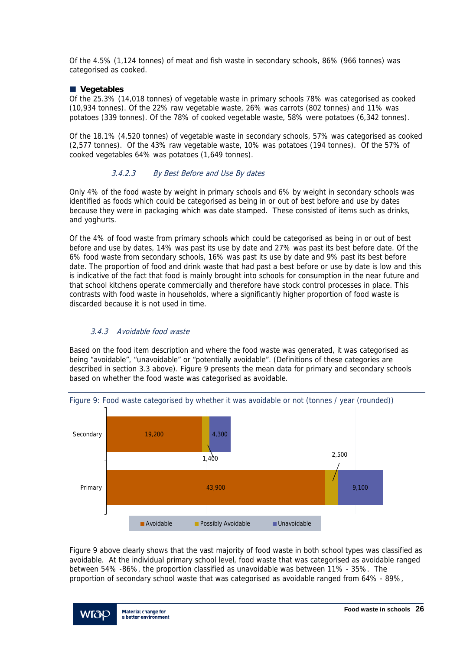Of the 4.5% (1,124 tonnes) of meat and fish waste in secondary schools, 86% (966 tonnes) was categorised as cooked.

#### **Vegetables**

Of the 25.3% (14,018 tonnes) of vegetable waste in primary schools 78% was categorised as cooked (10,934 tonnes). Of the 22% raw vegetable waste, 26% was carrots (802 tonnes) and 11% was potatoes (339 tonnes). Of the 78% of cooked vegetable waste, 58% were potatoes (6,342 tonnes).

Of the 18.1% (4,520 tonnes) of vegetable waste in secondary schools, 57% was categorised as cooked (2,577 tonnes). Of the 43% raw vegetable waste, 10% was potatoes (194 tonnes). Of the 57% of cooked vegetables 64% was potatoes (1,649 tonnes).

# 3.4.2.3 By Best Before and Use By dates

Only 4% of the food waste by weight in primary schools and 6% by weight in secondary schools was identified as foods which could be categorised as being in or out of best before and use by dates because they were in packaging which was date stamped. These consisted of items such as drinks, and yoghurts.

Of the 4% of food waste from primary schools which could be categorised as being in or out of best before and use by dates, 14% was past its use by date and 27% was past its best before date. Of the 6% food waste from secondary schools, 16% was past its use by date and 9% past its best before date. The proportion of food and drink waste that had past a best before or use by date is low and this is indicative of the fact that food is mainly brought into schools for consumption in the near future and that school kitchens operate commercially and therefore have stock control processes in place. This contrasts with food waste in households, where a significantly higher proportion of food waste is discarded because it is not used in time.

# 3.4.3 Avoidable food waste

Based on the food item description and where the food waste was generated, it was categorised as being "avoidable", "unavoidable" or "potentially avoidable". (Definitions of these categories are described in section 3.3 above). Figure 9 presents the mean data for primary and secondary schools based on whether the food waste was categorised as avoidable.



Figure 9 above clearly shows that the vast majority of food waste in both school types was classified as avoidable. At the individual primary school level, food waste that was categorised as avoidable ranged between 54% -86%, the proportion classified as unavoidable was between 11% - 35%. The proportion of secondary school waste that was categorised as avoidable ranged from 64% - 89%,

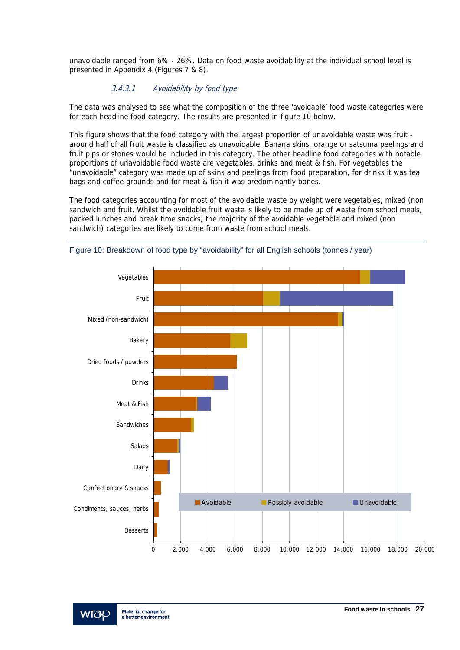unavoidable ranged from 6% - 26%. Data on food waste avoidability at the individual school level is presented in Appendix 4 (Figures 7 & 8).

# 3.4.3.1 Avoidability by food type

The data was analysed to see what the composition of the three 'avoidable' food waste categories were for each headline food category. The results are presented in figure 10 below.

This figure shows that the food category with the largest proportion of unavoidable waste was fruit around half of all fruit waste is classified as unavoidable. Banana skins, orange or satsuma peelings and fruit pips or stones would be included in this category. The other headline food categories with notable proportions of unavoidable food waste are vegetables, drinks and meat & fish. For vegetables the "unavoidable" category was made up of skins and peelings from food preparation, for drinks it was tea bags and coffee grounds and for meat & fish it was predominantly bones.

The food categories accounting for most of the avoidable waste by weight were vegetables, mixed (non sandwich and fruit. Whilst the avoidable fruit waste is likely to be made up of waste from school meals, packed lunches and break time snacks; the majority of the avoidable vegetable and mixed (non sandwich) categories are likely to come from waste from school meals.





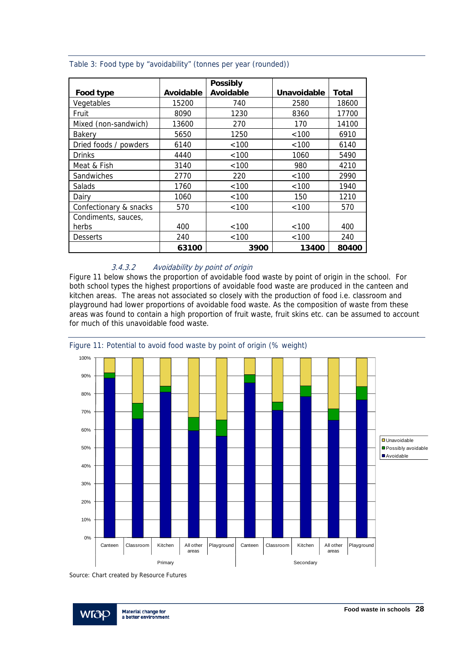|                        |           | <b>Possibly</b> |                    |       |
|------------------------|-----------|-----------------|--------------------|-------|
| Food type              | Avoidable | Avoidable       | <b>Unavoidable</b> | Total |
| Vegetables             | 15200     | 740             | 2580               | 18600 |
| Fruit                  | 8090      | 1230            | 8360               | 17700 |
| Mixed (non-sandwich)   | 13600     | 270             | 170                | 14100 |
| Bakerv                 | 5650      | 1250            | < 100              | 6910  |
| Dried foods / powders  | 6140      | < 100           | < 100              | 6140  |
| <b>Drinks</b>          | 4440      | < 100           | 1060               | 5490  |
| Meat & Fish            | 3140      | < 100           | 980                | 4210  |
| Sandwiches             | 2770      | 220             | < 100              | 2990  |
| Salads                 | 1760      | < 100           | < 100              | 1940  |
| Dairy                  | 1060      | < 100           | 150                | 1210  |
| Confectionary & snacks | 570       | < 100           | <100               | 570   |
| Condiments, sauces,    |           |                 |                    |       |
| herbs                  | 400       | < 100           | <100               | 400   |
| <b>Desserts</b>        | 240       | < 100           | < 100              | 240   |
|                        | 63100     | 3900            | 13400              | 80400 |

#### Table 3: Food type by "avoidability" (tonnes per year (rounded))

# 3.4.3.2 Avoidability by point of origin

Figure 11 below shows the proportion of avoidable food waste by point of origin in the school. For both school types the highest proportions of avoidable food waste are produced in the canteen and kitchen areas. The areas not associated so closely with the production of food i.e. classroom and playground had lower proportions of avoidable food waste. As the composition of waste from these areas was found to contain a high proportion of fruit waste, fruit skins etc. can be assumed to account for much of this unavoidable food waste.



Source: Chart created by Resource Futures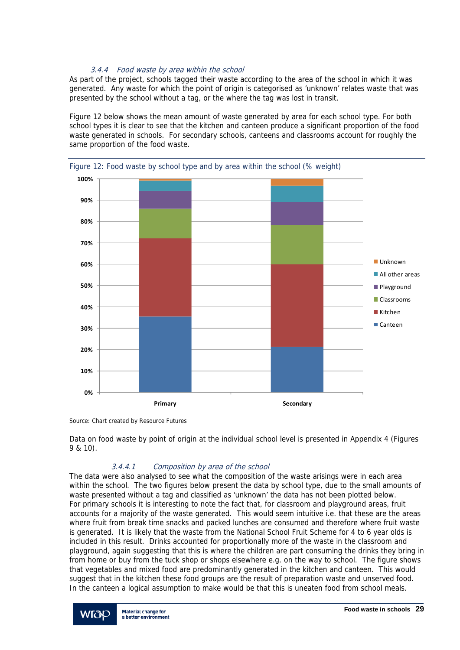# 3.4.4 Food waste by area within the school

As part of the project, schools tagged their waste according to the area of the school in which it was generated. Any waste for which the point of origin is categorised as 'unknown' relates waste that was presented by the school without a tag, or the where the tag was lost in transit.

Figure 12 below shows the mean amount of waste generated by area for each school type. For both school types it is clear to see that the kitchen and canteen produce a significant proportion of the food waste generated in schools. For secondary schools, canteens and classrooms account for roughly the same proportion of the food waste.



Figure 12: Food waste by school type and by area within the school (% weight)

Source: Chart created by Resource Futures

Data on food waste by point of origin at the individual school level is presented in Appendix 4 (Figures 9 & 10).

# 3.4.4.1 Composition by area of the school

The data were also analysed to see what the composition of the waste arisings were in each area within the school. The two figures below present the data by school type, due to the small amounts of waste presented without a tag and classified as 'unknown' the data has not been plotted below. For primary schools it is interesting to note the fact that, for classroom and playground areas, fruit accounts for a majority of the waste generated. This would seem intuitive i.e. that these are the areas where fruit from break time snacks and packed lunches are consumed and therefore where fruit waste is generated. It is likely that the waste from the National School Fruit Scheme for 4 to 6 year olds is included in this result. Drinks accounted for proportionally more of the waste in the classroom and playground, again suggesting that this is where the children are part consuming the drinks they bring in from home or buy from the tuck shop or shops elsewhere e.g. on the way to school. The figure shows that vegetables and mixed food are predominantly generated in the kitchen and canteen. This would suggest that in the kitchen these food groups are the result of preparation waste and unserved food. In the canteen a logical assumption to make would be that this is uneaten food from school meals.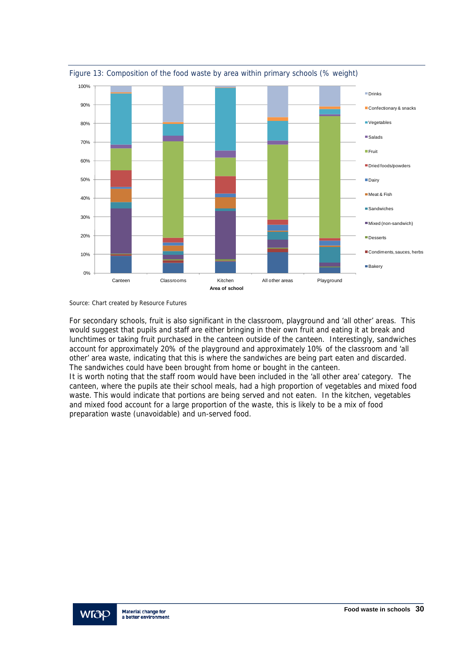

Figure 13: Composition of the food waste by area within primary schools (% weight)

Source: Chart created by Resource Futures

For secondary schools, fruit is also significant in the classroom, playground and 'all other' areas. This would suggest that pupils and staff are either bringing in their own fruit and eating it at break and lunchtimes or taking fruit purchased in the canteen outside of the canteen. Interestingly, sandwiches account for approximately 20% of the playground and approximately 10% of the classroom and 'all other' area waste, indicating that this is where the sandwiches are being part eaten and discarded. The sandwiches could have been brought from home or bought in the canteen.

It is worth noting that the staff room would have been included in the 'all other area' category. The canteen, where the pupils ate their school meals, had a high proportion of vegetables and mixed food waste. This would indicate that portions are being served and not eaten. In the kitchen, vegetables and mixed food account for a large proportion of the waste, this is likely to be a mix of food preparation waste (unavoidable) and un-served food.

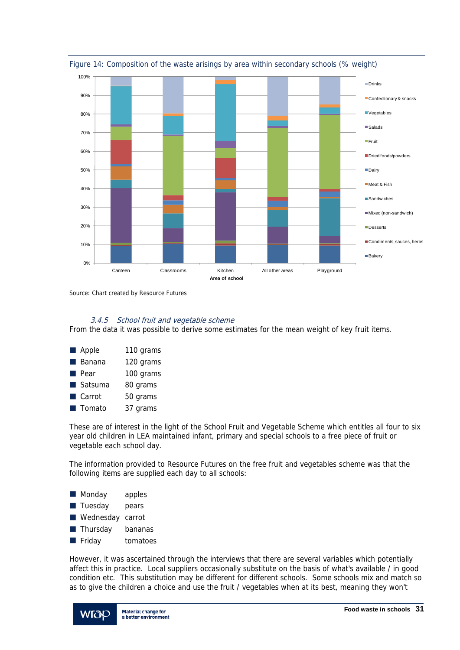

Figure 14: Composition of the waste arisings by area within secondary schools (% weight)

Source: Chart created by Resource Futures

# 3.4.5 School fruit and vegetable scheme

From the data it was possible to derive some estimates for the mean weight of key fruit items.

| <b>Apple</b>          | 110 grams |
|-----------------------|-----------|
| Banana                | 120 grams |
| Pear                  | 100 grams |
| Satsuma               | 80 grams  |
| $\blacksquare$ Carrot | 50 grams  |
| Tomato                | 37 grams  |

These are of interest in the light of the School Fruit and Vegetable Scheme which entitles all four to six year old children in LEA maintained infant, primary and special schools to a free piece of fruit or vegetable each school day.

The information provided to Resource Futures on the free fruit and vegetables scheme was that the following items are supplied each day to all schools:

- **Monday** apples
- **Tuesday** pears
- Wednesday carrot
- **Thursday** bananas
- **Fiday** tomatoes

However, it was ascertained through the interviews that there are several variables which potentially affect this in practice. Local suppliers occasionally substitute on the basis of what's available / in good condition etc. This substitution may be different for different schools. Some schools mix and match so as to give the children a choice and use the fruit / vegetables when at its best, meaning they won't

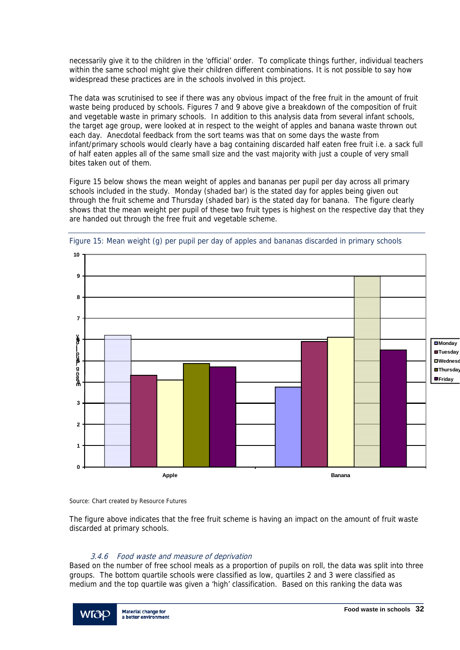necessarily give it to the children in the 'official' order. To complicate things further, individual teachers within the same school might give their children different combinations. It is not possible to say how widespread these practices are in the schools involved in this project.

The data was scrutinised to see if there was any obvious impact of the free fruit in the amount of fruit waste being produced by schools. Figures 7 and 9 above give a breakdown of the composition of fruit and vegetable waste in primary schools. In addition to this analysis data from several infant schools, the target age group, were looked at in respect to the weight of apples and banana waste thrown out each day. Anecdotal feedback from the sort teams was that on some days the waste from infant/primary schools would clearly have a bag containing discarded half eaten free fruit i.e. a sack full of half eaten apples all of the same small size and the vast majority with just a couple of very small bites taken out of them.

Figure 15 below shows the mean weight of apples and bananas per pupil per day across all primary schools included in the study. Monday (shaded bar) is the stated day for apples being given out through the fruit scheme and Thursday (shaded bar) is the stated day for banana. The figure clearly shows that the mean weight per pupil of these two fruit types is highest on the respective day that they are handed out through the free fruit and vegetable scheme.



Figure 15: Mean weight (g) per pupil per day of apples and bananas discarded in primary schools

Source: Chart created by Resource Futures

The figure above indicates that the free fruit scheme is having an impact on the amount of fruit waste discarded at primary schools.

# 3.4.6 Food waste and measure of deprivation

Based on the number of free school meals as a proportion of pupils on roll, the data was split into three groups. The bottom quartile schools were classified as low, quartiles 2 and 3 were classified as medium and the top quartile was given a 'high' classification. Based on this ranking the data was

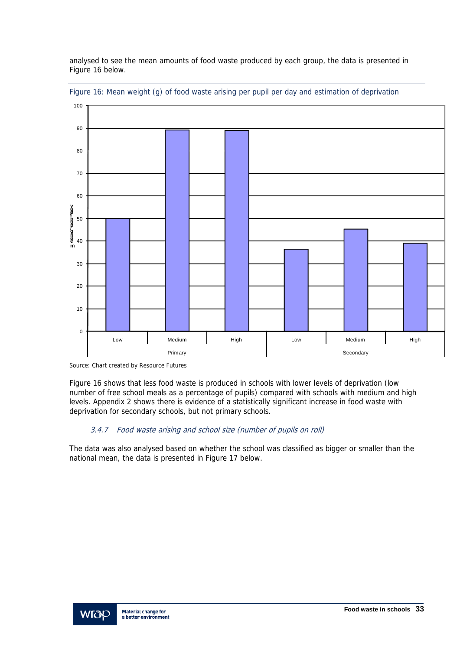analysed to see the mean amounts of food waste produced by each group, the data is presented in Figure 16 below.



Figure 16: Mean weight (g) of food waste arising per pupil per day and estimation of deprivation

Figure 16 shows that less food waste is produced in schools with lower levels of deprivation (low number of free school meals as a percentage of pupils) compared with schools with medium and high levels. Appendix 2 shows there is evidence of a statistically significant increase in food waste with deprivation for secondary schools, but not primary schools.

# 3.4.7 Food waste arising and school size (number of pupils on roll)

The data was also analysed based on whether the school was classified as bigger or smaller than the national mean, the data is presented in Figure 17 below.



Source: Chart created by Resource Futures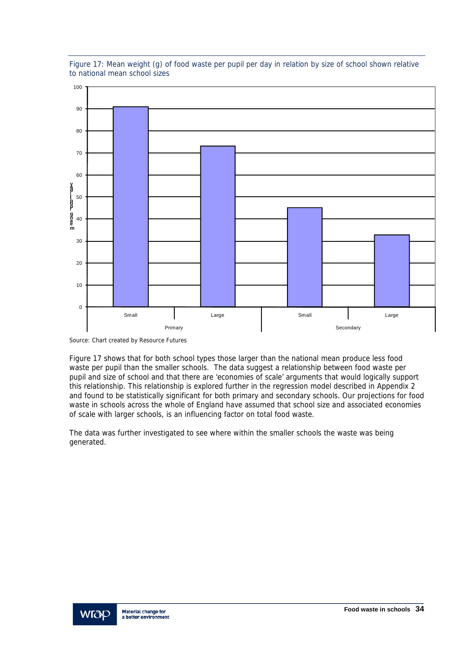

Figure 17: Mean weight (g) of food waste per pupil per day in relation by size of school shown relative to national mean school sizes

Source: Chart created by Resource Futures

Figure 17 shows that for both school types those larger than the national mean produce less food waste per pupil than the smaller schools. The data suggest a relationship between food waste per pupil and size of school and that there are 'economies of scale' arguments that would logically support this relationship. This relationship is explored further in the regression model described in Appendix 2 and found to be statistically significant for both primary and secondary schools. Our projections for food waste in schools across the whole of England have assumed that school size and associated economies of scale with larger schools, is an influencing factor on total food waste.

The data was further investigated to see where within the smaller schools the waste was being generated.

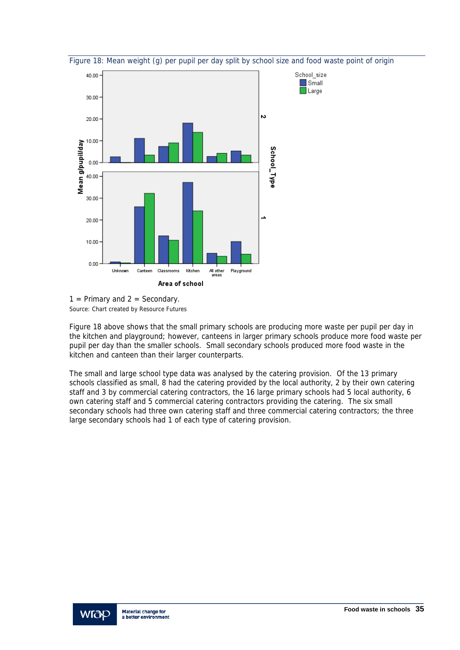





Figure 18 above shows that the small primary schools are producing more waste per pupil per day in the kitchen and playground; however, canteens in larger primary schools produce more food waste per pupil per day than the smaller schools. Small secondary schools produced more food waste in the kitchen and canteen than their larger counterparts.

The small and large school type data was analysed by the catering provision. Of the 13 primary schools classified as small, 8 had the catering provided by the local authority, 2 by their own catering staff and 3 by commercial catering contractors, the 16 large primary schools had 5 local authority, 6 own catering staff and 5 commercial catering contractors providing the catering. The six small secondary schools had three own catering staff and three commercial catering contractors; the three large secondary schools had 1 of each type of catering provision.

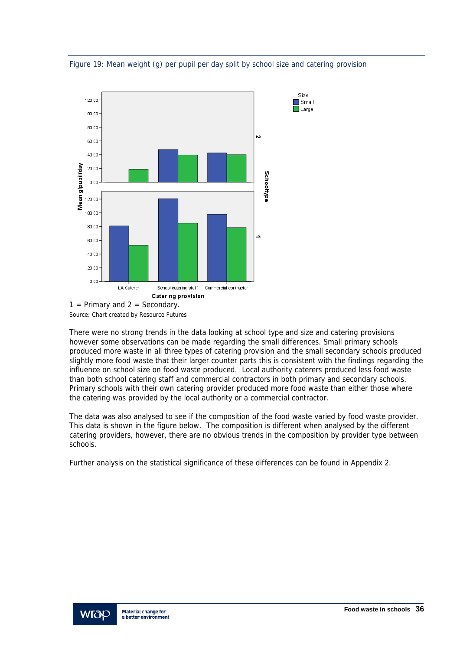

Figure 19: Mean weight (g) per pupil per day split by school size and catering provision

There were no strong trends in the data looking at school type and size and catering provisions however some observations can be made regarding the small differences. Small primary schools produced more waste in all three types of catering provision and the small secondary schools produced slightly more food waste that their larger counter parts this is consistent with the findings regarding the influence on school size on food waste produced. Local authority caterers produced less food waste than both school catering staff and commercial contractors in both primary and secondary schools. Primary schools with their own catering provider produced more food waste than either those where the catering was provided by the local authority or a commercial contractor.

The data was also analysed to see if the composition of the food waste varied by food waste provider. This data is shown in the figure below. The composition is different when analysed by the different catering providers, however, there are no obvious trends in the composition by provider type between schools.

Further analysis on the statistical significance of these differences can be found in Appendix 2.

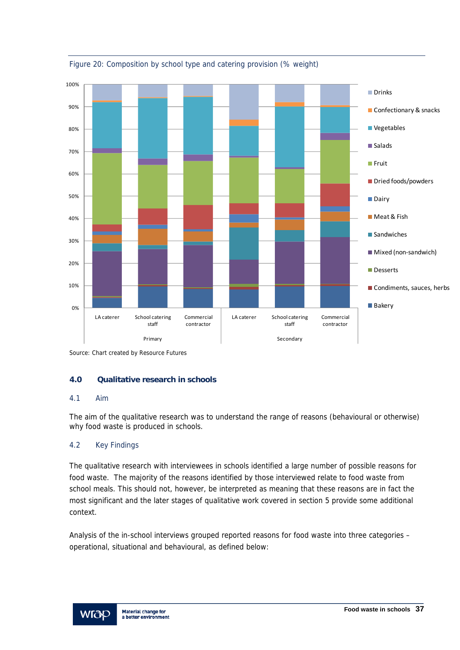

Figure 20: Composition by school type and catering provision (% weight)

# **4.0 Qualitative research in schools**

# 4.1 Aim

The aim of the qualitative research was to understand the range of reasons (behavioural or otherwise) why food waste is produced in schools.

# 4.2 Key Findings

The qualitative research with interviewees in schools identified a large number of possible reasons for food waste. The majority of the reasons identified by those interviewed relate to food waste from school meals. This should not, however, be interpreted as meaning that these reasons are in fact the most significant and the later stages of qualitative work covered in section 5 provide some additional context.

Analysis of the in-school interviews grouped reported reasons for food waste into three categories – operational, situational and behavioural, as defined below:



Source: Chart created by Resource Futures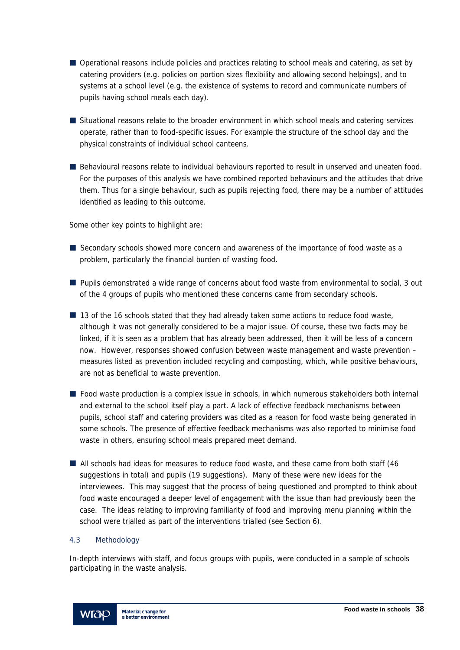- Operational reasons include policies and practices relating to school meals and catering, as set by catering providers (e.g. policies on portion sizes flexibility and allowing second helpings), and to systems at a school level (e.g. the existence of systems to record and communicate numbers of pupils having school meals each day).
- Situational reasons relate to the broader environment in which school meals and catering services operate, rather than to food-specific issues. For example the structure of the school day and the physical constraints of individual school canteens.
- Behavioural reasons relate to individual behaviours reported to result in unserved and uneaten food. For the purposes of this analysis we have combined reported behaviours and the attitudes that drive them. Thus for a single behaviour, such as pupils rejecting food, there may be a number of attitudes identified as leading to this outcome.

Some other key points to highlight are:

- Secondary schools showed more concern and awareness of the importance of food waste as a problem, particularly the financial burden of wasting food.
- **Pupils demonstrated a wide range of concerns about food waste from environmental to social, 3 out** of the 4 groups of pupils who mentioned these concerns came from secondary schools.
- 13 of the 16 schools stated that they had already taken some actions to reduce food waste, although it was not generally considered to be a major issue. Of course, these two facts may be linked, if it is seen as a problem that has already been addressed, then it will be less of a concern now. However, responses showed confusion between waste management and waste prevention – measures listed as prevention included recycling and composting, which, while positive behaviours, are not as beneficial to waste prevention.
- Food waste production is a complex issue in schools, in which numerous stakeholders both internal and external to the school itself play a part. A lack of effective feedback mechanisms between pupils, school staff and catering providers was cited as a reason for food waste being generated in some schools. The presence of effective feedback mechanisms was also reported to minimise food waste in others, ensuring school meals prepared meet demand.
- All schools had ideas for measures to reduce food waste, and these came from both staff (46 suggestions in total) and pupils (19 suggestions). Many of these were new ideas for the interviewees. This may suggest that the process of being questioned and prompted to think about food waste encouraged a deeper level of engagement with the issue than had previously been the case. The ideas relating to improving familiarity of food and improving menu planning within the school were trialled as part of the interventions trialled (see Section 6).

### 4.3 Methodology

In-depth interviews with staff, and focus groups with pupils, were conducted in a sample of schools participating in the waste analysis.

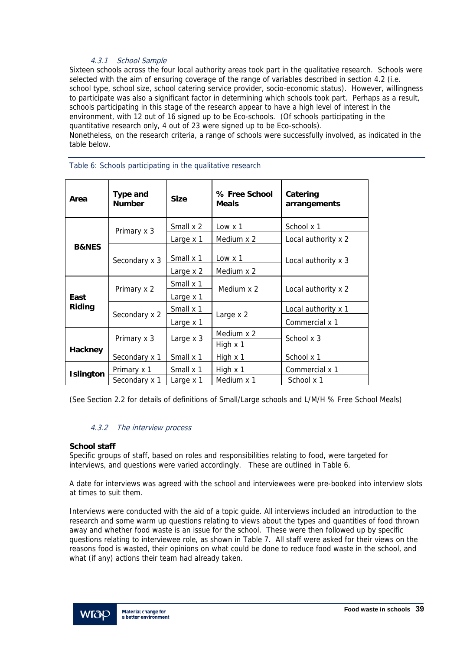# 4.3.1 School Sample

Sixteen schools across the four local authority areas took part in the qualitative research. Schools were selected with the aim of ensuring coverage of the range of variables described in section 4.2 (i.e. school type, school size, school catering service provider, socio-economic status). However, willingness to participate was also a significant factor in determining which schools took part. Perhaps as a result, schools participating in this stage of the research appear to have a high level of interest in the environment, with 12 out of 16 signed up to be Eco-schools. (Of schools participating in the quantitative research only, 4 out of 23 were signed up to be Eco-schools). Nonetheless, on the research criteria, a range of schools were successfully involved, as indicated in the table below.

| Area             | <b>Type and</b><br><b>Number</b> | <b>Size</b> | % Free School<br><b>Meals</b> | Catering<br>arrangements |  |
|------------------|----------------------------------|-------------|-------------------------------|--------------------------|--|
|                  | Primary x 3                      | Small x 2   | $Low \times 1$                | School x 1               |  |
|                  |                                  | Large x 1   | Medium x 2                    | Local authority x 2      |  |
| <b>B&amp;NES</b> | Secondary x 3                    | Small x 1   | Low $x_1$                     | Local authority x 3      |  |
|                  |                                  | Large x 2   | Medium x 2                    |                          |  |
|                  | Primary x 2                      | Small x 1   | Medium x 2                    | Local authority x 2      |  |
| East             |                                  | Large x 1   |                               |                          |  |
| Riding           |                                  | Small x 1   |                               | Local authority x 1      |  |
|                  | Secondary x 2                    | Large x 1   | Large x 2                     | Commercial x 1           |  |
|                  | Primary x 3                      | Large x 3   | Medium x 2                    | School x 3               |  |
| <b>Hackney</b>   |                                  |             | High $x$ 1                    |                          |  |
|                  | Secondary x 1                    | Small x 1   | High x 1                      | School x 1               |  |
| <b>Islington</b> | Primary x 1                      | Small x 1   | High $x$ 1                    | Commercial x 1           |  |
|                  | Secondary x 1                    | Large x 1   | Medium x 1                    | School x 1               |  |

#### Table 6: Schools participating in the qualitative research

(See Section 2.2 for details of definitions of Small/Large schools and L/M/H % Free School Meals)

### 4.3.2 The interview process

### **School staff**

Specific groups of staff, based on roles and responsibilities relating to food, were targeted for interviews, and questions were varied accordingly. These are outlined in Table 6.

A date for interviews was agreed with the school and interviewees were pre-booked into interview slots at times to suit them.

Interviews were conducted with the aid of a topic guide. All interviews included an introduction to the research and some warm up questions relating to views about the types and quantities of food thrown away and whether food waste is an issue for the school. These were then followed up by specific questions relating to interviewee role, as shown in Table 7. All staff were asked for their views on the reasons food is wasted, their opinions on what could be done to reduce food waste in the school, and what (if any) actions their team had already taken.

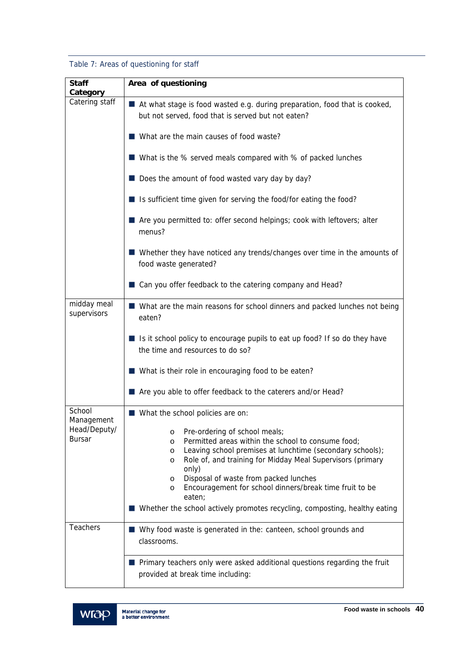# Table 7: Areas of questioning for staff

| <b>Staff</b>               | Area of questioning                                                                                                                |
|----------------------------|------------------------------------------------------------------------------------------------------------------------------------|
| Category<br>Catering staff |                                                                                                                                    |
|                            | ■ At what stage is food wasted e.g. during preparation, food that is cooked,<br>but not served, food that is served but not eaten? |
|                            | What are the main causes of food waste?                                                                                            |
|                            | ■ What is the % served meals compared with % of packed lunches                                                                     |
|                            | Does the amount of food wasted vary day by day?                                                                                    |
|                            | ■ Is sufficient time given for serving the food/for eating the food?                                                               |
|                            | Are you permitted to: offer second helpings; cook with leftovers; alter<br>menus?                                                  |
|                            | Whether they have noticed any trends/changes over time in the amounts of<br>food waste generated?                                  |
|                            | ■ Can you offer feedback to the catering company and Head?                                                                         |
| midday meal<br>supervisors | ■ What are the main reasons for school dinners and packed lunches not being<br>eaten?                                              |
|                            | Is it school policy to encourage pupils to eat up food? If so do they have<br>the time and resources to do so?                     |
|                            | ■ What is their role in encouraging food to be eaten?                                                                              |
|                            | Are you able to offer feedback to the caterers and/or Head?                                                                        |
| School<br>Management       | ■ What the school policies are on:                                                                                                 |
| Head/Deputy/               | Pre-ordering of school meals;<br>O                                                                                                 |
| <b>Bursar</b>              | Permitted areas within the school to consume food;<br>$\circ$                                                                      |
|                            | Leaving school premises at lunchtime (secondary schools);<br>O<br>Role of, and training for Midday Meal Supervisors (primary       |
|                            | O<br>only)                                                                                                                         |
|                            | Disposal of waste from packed lunches<br>O                                                                                         |
|                            | Encouragement for school dinners/break time fruit to be<br>O                                                                       |
|                            | eaten;<br>Whether the school actively promotes recycling, composting, healthy eating                                               |
| Teachers                   | ■ Why food waste is generated in the: canteen, school grounds and                                                                  |
|                            | classrooms.                                                                                                                        |
|                            | <b>Primary teachers only were asked additional questions regarding the fruit</b>                                                   |
|                            | provided at break time including:                                                                                                  |

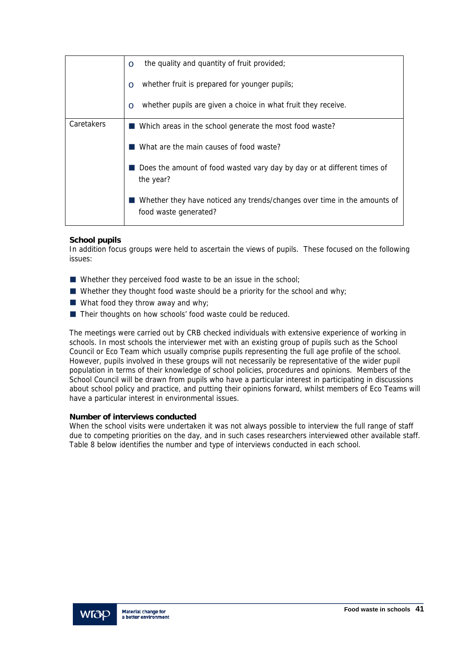|            | the quality and quantity of fruit provided;<br>$\circ$                                            |
|------------|---------------------------------------------------------------------------------------------------|
|            | whether fruit is prepared for younger pupils;<br>$\Omega$                                         |
|            | whether pupils are given a choice in what fruit they receive.<br>$\Omega$                         |
| Caretakers | Which areas in the school generate the most food waste?                                           |
|            | What are the main causes of food waste?                                                           |
|            | Does the amount of food wasted vary day by day or at different times of<br>the year?              |
|            | Whether they have noticed any trends/changes over time in the amounts of<br>food waste generated? |

## **School pupils**

In addition focus groups were held to ascertain the views of pupils. These focused on the following issues:

- Whether they perceived food waste to be an issue in the school;
- Whether they thought food waste should be a priority for the school and why;
- What food they throw away and why;
- Their thoughts on how schools' food waste could be reduced.

The meetings were carried out by CRB checked individuals with extensive experience of working in schools. In most schools the interviewer met with an existing group of pupils such as the School Council or Eco Team which usually comprise pupils representing the full age profile of the school. However, pupils involved in these groups will not necessarily be representative of the wider pupil population in terms of their knowledge of school policies, procedures and opinions. Members of the School Council will be drawn from pupils who have a particular interest in participating in discussions about school policy and practice, and putting their opinions forward, whilst members of Eco Teams will have a particular interest in environmental issues.

### **Number of interviews conducted**

When the school visits were undertaken it was not always possible to interview the full range of staff due to competing priorities on the day, and in such cases researchers interviewed other available staff. Table 8 below identifies the number and type of interviews conducted in each school.

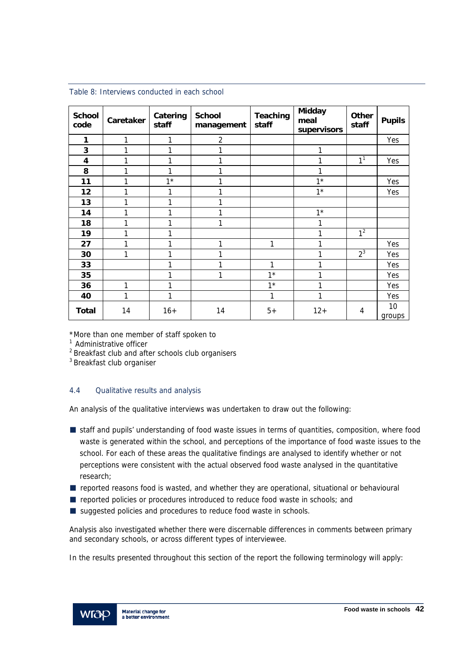| <b>School</b><br>code | Caretaker | Catering<br>staff | <b>School</b><br>management | Teaching<br>staff | <b>Midday</b><br>meal<br>supervisors | <b>Other</b><br>staff | <b>Pupils</b> |
|-----------------------|-----------|-------------------|-----------------------------|-------------------|--------------------------------------|-----------------------|---------------|
| 1                     | 1         | 1                 | $\overline{2}$              |                   |                                      |                       | Yes           |
| 3                     | 1         | 1                 |                             |                   | 1                                    |                       |               |
| 4                     | 1         | 1                 |                             |                   |                                      | 1 <sup>1</sup>        | Yes           |
| 8                     | 1         | 1                 |                             |                   | 1                                    |                       |               |
| 11                    | 1         | $1*$              |                             |                   | $1*$                                 |                       | Yes           |
| 12                    | 1         |                   |                             |                   | $1*$                                 |                       | Yes           |
| 13                    | 1         | 1                 |                             |                   |                                      |                       |               |
| 14                    | 1         | 1                 |                             |                   | $1*$                                 |                       |               |
| 18                    | 1         | 1                 |                             |                   |                                      |                       |               |
| 19                    | 1         |                   |                             |                   |                                      | 1 <sup>2</sup>        |               |
| 27                    | 1         |                   | 1                           | 1                 |                                      |                       | Yes           |
| 30                    | 1         | 1                 |                             |                   |                                      | $2^3$                 | Yes           |
| 33                    |           | 1                 |                             | 1                 | 1                                    |                       | Yes           |
| 35                    |           | 1                 | 1                           | $1*$              |                                      |                       | Yes           |
| 36                    | 1         |                   |                             | $1^*$             |                                      |                       | Yes           |
| 40                    | 1         | 1                 |                             | 1                 | 1                                    |                       | Yes           |
| <b>Total</b>          | 14        | $16+$             | 14                          | $5+$              | $12+$                                | 4                     | 10<br>groups  |

Table 8: Interviews conducted in each school

\*More than one member of staff spoken to

<sup>1</sup> Administrative officer

2 Breakfast club and after schools club organisers

3 Breakfast club organiser

# 4.4 Qualitative results and analysis

An analysis of the qualitative interviews was undertaken to draw out the following:

- **Staff and pupils' understanding of food waste issues in terms of quantities, composition, where food** waste is generated within the school, and perceptions of the importance of food waste issues to the school. For each of these areas the qualitative findings are analysed to identify whether or not perceptions were consistent with the actual observed food waste analysed in the quantitative research;
- $\blacksquare$  reported reasons food is wasted, and whether they are operational, situational or behavioural
- reported policies or procedures introduced to reduce food waste in schools; and
- suggested policies and procedures to reduce food waste in schools.

Analysis also investigated whether there were discernable differences in comments between primary and secondary schools, or across different types of interviewee.

In the results presented throughout this section of the report the following terminology will apply:

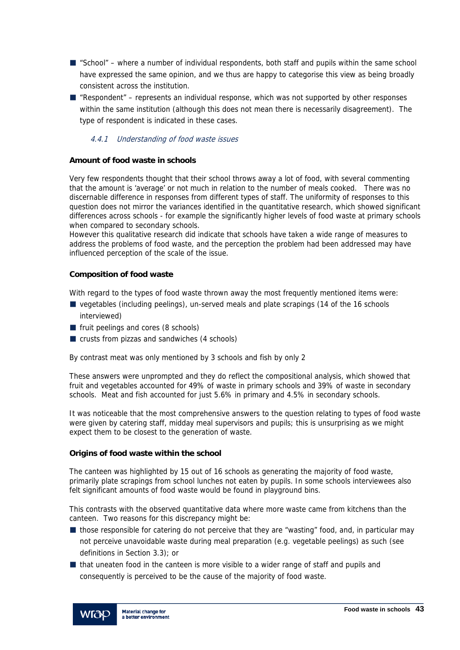- $\blacksquare$  "School" where a number of individual respondents, both staff and pupils within the same school have expressed the same opinion, and we thus are happy to categorise this view as being broadly consistent across the institution.
- $\blacksquare$  "Respondent" represents an individual response, which was not supported by other responses within the same institution (although this does not mean there is necessarily disagreement). The type of respondent is indicated in these cases.

## 4.4.1 Understanding of food waste issues

### **Amount of food waste in schools**

Very few respondents thought that their school throws away a lot of food, with several commenting that the amount is 'average' or not much in relation to the number of meals cooked. There was no discernable difference in responses from different types of staff. The uniformity of responses to this question does not mirror the variances identified in the quantitative research, which showed significant differences across schools - for example the significantly higher levels of food waste at primary schools when compared to secondary schools.

However this qualitative research did indicate that schools have taken a wide range of measures to address the problems of food waste, and the perception the problem had been addressed may have influenced perception of the scale of the issue.

### **Composition of food waste**

With regard to the types of food waste thrown away the most frequently mentioned items were:

- vegetables (including peelings), un-served meals and plate scrapings (14 of the 16 schools interviewed)
- **fruit peelings and cores (8 schools)**
- crusts from pizzas and sandwiches (4 schools)

By contrast meat was only mentioned by 3 schools and fish by only 2

These answers were unprompted and they do reflect the compositional analysis, which showed that fruit and vegetables accounted for 49% of waste in primary schools and 39% of waste in secondary schools. Meat and fish accounted for just 5.6% in primary and 4.5% in secondary schools.

It was noticeable that the most comprehensive answers to the question relating to types of food waste were given by catering staff, midday meal supervisors and pupils; this is unsurprising as we might expect them to be closest to the generation of waste.

### **Origins of food waste within the school**

The canteen was highlighted by 15 out of 16 schools as generating the majority of food waste, primarily plate scrapings from school lunches not eaten by pupils. In some schools interviewees also felt significant amounts of food waste would be found in playground bins.

This contrasts with the observed quantitative data where more waste came from kitchens than the canteen. Two reasons for this discrepancy might be:

- those responsible for catering do not perceive that they are "wasting" food, and, in particular may not perceive unavoidable waste during meal preparation (e.g. vegetable peelings) as such (see definitions in Section 3.3); or
- If that uneaten food in the canteen is more visible to a wider range of staff and pupils and consequently is perceived to be the cause of the majority of food waste.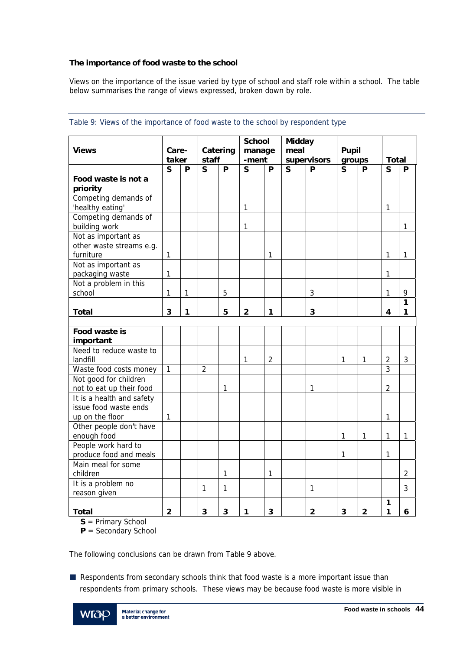## **The importance of food waste to the school**

Views on the importance of the issue varied by type of school and staff role within a school. The table below summarises the range of views expressed, broken down by role.

|                           |                         |   |                         |              | <b>School</b>  |                | <b>Midday</b> |                |                         |                |                |                |
|---------------------------|-------------------------|---|-------------------------|--------------|----------------|----------------|---------------|----------------|-------------------------|----------------|----------------|----------------|
| <b>Views</b>              | Care-                   |   |                         | Catering     | manage         |                | meal          |                | <b>Pupil</b>            |                |                |                |
|                           | taker                   |   | staff                   |              | -ment          |                |               | supervisors    | groups                  |                | <b>Total</b>   |                |
|                           | $\overline{\mathbf{S}}$ | P | $\overline{\mathbf{S}}$ | P            | $\mathsf{s}$   | P              | $\mathsf{S}$  | P              | $\overline{\mathsf{S}}$ | P              | S              | P              |
| Food waste is not a       |                         |   |                         |              |                |                |               |                |                         |                |                |                |
| priority                  |                         |   |                         |              |                |                |               |                |                         |                |                |                |
| Competing demands of      |                         |   |                         |              |                |                |               |                |                         |                |                |                |
| 'healthy eating'          |                         |   |                         |              | 1              |                |               |                |                         |                | 1              |                |
| Competing demands of      |                         |   |                         |              |                |                |               |                |                         |                |                |                |
| building work             |                         |   |                         |              | 1              |                |               |                |                         |                |                | $\mathbf{1}$   |
| Not as important as       |                         |   |                         |              |                |                |               |                |                         |                |                |                |
| other waste streams e.g.  |                         |   |                         |              |                |                |               |                |                         |                |                |                |
| furniture                 | 1                       |   |                         |              |                | 1              |               |                |                         |                | $\mathbf{1}$   | 1              |
| Not as important as       |                         |   |                         |              |                |                |               |                |                         |                |                |                |
| packaging waste           | 1                       |   |                         |              |                |                |               |                |                         |                | 1              |                |
| Not a problem in this     |                         |   |                         |              |                |                |               |                |                         |                |                |                |
| school                    | 1                       | 1 |                         | 5            |                |                |               | $\sqrt{3}$     |                         |                | $\mathbf{1}$   | 9              |
|                           |                         |   |                         |              |                |                |               |                |                         |                |                | $\mathbf{1}$   |
| <b>Total</b>              | 3                       | 1 |                         | 5            | $\overline{2}$ | 1              |               | 3              |                         |                | 4              | 1              |
|                           |                         |   |                         |              |                |                |               |                |                         |                |                |                |
| Food waste is             |                         |   |                         |              |                |                |               |                |                         |                |                |                |
| important                 |                         |   |                         |              |                |                |               |                |                         |                |                |                |
| Need to reduce waste to   |                         |   |                         |              |                |                |               |                |                         |                |                |                |
| landfill                  |                         |   |                         |              | 1              | $\overline{2}$ |               |                | 1                       | 1              | $\overline{2}$ | 3              |
| Waste food costs money    | $\mathbf{1}$            |   | $\overline{2}$          |              |                |                |               |                |                         |                | $\overline{3}$ |                |
| Not good for children     |                         |   |                         |              |                |                |               |                |                         |                |                |                |
| not to eat up their food  |                         |   |                         | 1            |                |                |               | 1              |                         |                | $\overline{2}$ |                |
| It is a health and safety |                         |   |                         |              |                |                |               |                |                         |                |                |                |
| issue food waste ends     |                         |   |                         |              |                |                |               |                |                         |                |                |                |
| up on the floor           | 1                       |   |                         |              |                |                |               |                |                         |                | 1              |                |
| Other people don't have   |                         |   |                         |              |                |                |               |                |                         |                |                |                |
| enough food               |                         |   |                         |              |                |                |               |                | 1                       | 1              | $\mathbf{1}$   | $\mathbf{1}$   |
| People work hard to       |                         |   |                         |              |                |                |               |                |                         |                |                |                |
| produce food and meals    |                         |   |                         |              |                |                |               |                | 1                       |                | 1              |                |
| Main meal for some        |                         |   |                         |              |                |                |               |                |                         |                |                |                |
| children                  |                         |   |                         | 1            |                | 1              |               |                |                         |                |                | $\overline{2}$ |
| It is a problem no        |                         |   |                         |              |                |                |               |                |                         |                |                |                |
| reason given              |                         |   | 1                       | $\mathbf{1}$ |                |                |               | $\mathbf{1}$   |                         |                |                | 3              |
|                           |                         |   |                         |              |                |                |               |                |                         |                | 1              |                |
| <b>Total</b>              | $\overline{2}$          |   | 3                       | 3            | 1              | 3              |               | $\overline{2}$ | 3                       | $\overline{2}$ | 1              | 6              |

## Table 9: Views of the importance of food waste to the school by respondent type

**S** = Primary School

**P** = Secondary School

The following conclusions can be drawn from Table 9 above.

Respondents from secondary schools think that food waste is a more important issue than respondents from primary schools. These views may be because food waste is more visible in

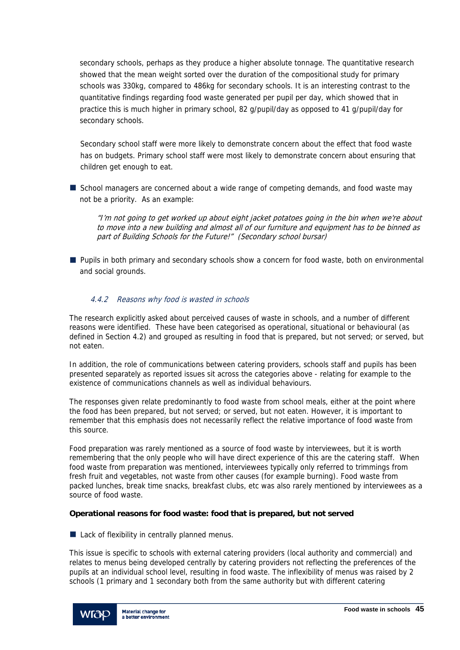secondary schools, perhaps as they produce a higher absolute tonnage. The quantitative research showed that the mean weight sorted over the duration of the compositional study for primary schools was 330kg, compared to 486kg for secondary schools. It is an interesting contrast to the quantitative findings regarding food waste generated per pupil per day, which showed that in practice this is much higher in primary school, 82 g/pupil/day as opposed to 41 g/pupil/day for secondary schools.

Secondary school staff were more likely to demonstrate concern about the effect that food waste has on budgets. Primary school staff were most likely to demonstrate concern about ensuring that children get enough to eat.

School managers are concerned about a wide range of competing demands, and food waste may not be a priority. As an example:

"I'm not going to get worked up about eight jacket potatoes going in the bin when we're about to move into a new building and almost all of our furniture and equipment has to be binned as part of Building Schools for the Future!" (Secondary school bursar)

**Pupils in both primary and secondary schools show a concern for food waste, both on environmental** and social grounds.

# 4.4.2 Reasons why food is wasted in schools

The research explicitly asked about perceived causes of waste in schools, and a number of different reasons were identified. These have been categorised as operational, situational or behavioural (as defined in Section 4.2) and grouped as resulting in food that is prepared, but not served; or served, but not eaten.

In addition, the role of communications between catering providers, schools staff and pupils has been presented separately as reported issues sit across the categories above - relating for example to the existence of communications channels as well as individual behaviours.

The responses given relate predominantly to food waste from school meals, either at the point where the food has been prepared, but not served; or served, but not eaten. However, it is important to remember that this emphasis does not necessarily reflect the relative importance of food waste from this source.

Food preparation was rarely mentioned as a source of food waste by interviewees, but it is worth remembering that the only people who will have direct experience of this are the catering staff. When food waste from preparation was mentioned, interviewees typically only referred to trimmings from fresh fruit and vegetables, not waste from other causes (for example burning). Food waste from packed lunches, break time snacks, breakfast clubs, etc was also rarely mentioned by interviewees as a source of food waste.

### **Operational reasons for food waste: food that is prepared, but not served**

■ Lack of flexibility in centrally planned menus.

This issue is specific to schools with external catering providers (local authority and commercial) and relates to menus being developed centrally by catering providers not reflecting the preferences of the pupils at an individual school level, resulting in food waste. The inflexibility of menus was raised by 2 schools (1 primary and 1 secondary both from the same authority but with different catering

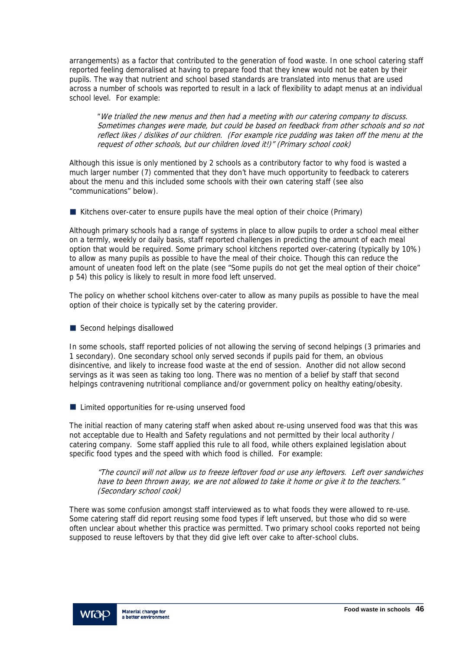arrangements) as a factor that contributed to the generation of food waste. In one school catering staff reported feeling demoralised at having to prepare food that they knew would not be eaten by their pupils. The way that nutrient and school based standards are translated into menus that are used across a number of schools was reported to result in a lack of flexibility to adapt menus at an individual school level. For example:

"We trialled the new menus and then had a meeting with our catering company to discuss. Sometimes changes were made, but could be based on feedback from other schools and so not reflect likes / dislikes of our children. (For example rice pudding was taken off the menu at the request of other schools, but our children loved it!)" (Primary school cook)

Although this issue is only mentioned by 2 schools as a contributory factor to why food is wasted a much larger number (7) commented that they don't have much opportunity to feedback to caterers about the menu and this included some schools with their own catering staff (see also "communications" below).

 $\blacksquare$  Kitchens over-cater to ensure pupils have the meal option of their choice (Primary)

Although primary schools had a range of systems in place to allow pupils to order a school meal either on a termly, weekly or daily basis, staff reported challenges in predicting the amount of each meal option that would be required. Some primary school kitchens reported over-catering (typically by 10%) to allow as many pupils as possible to have the meal of their choice. Though this can reduce the amount of uneaten food left on the plate (see "Some pupils do not get the meal option of their choice" p 54) this policy is likely to result in more food left unserved.

The policy on whether school kitchens over-cater to allow as many pupils as possible to have the meal option of their choice is typically set by the catering provider.

Second helpings disallowed

In some schools, staff reported policies of not allowing the serving of second helpings (3 primaries and 1 secondary). One secondary school only served seconds if pupils paid for them, an obvious disincentive, and likely to increase food waste at the end of session. Another did not allow second servings as it was seen as taking too long. There was no mention of a belief by staff that second helpings contravening nutritional compliance and/or government policy on healthy eating/obesity.

■ Limited opportunities for re-using unserved food

The initial reaction of many catering staff when asked about re-using unserved food was that this was not acceptable due to Health and Safety regulations and not permitted by their local authority / catering company. Some staff applied this rule to all food, while others explained legislation about specific food types and the speed with which food is chilled. For example:

"The council will not allow us to freeze leftover food or use any leftovers. Left over sandwiches have to been thrown away, we are not allowed to take it home or give it to the teachers." (Secondary school cook)

There was some confusion amongst staff interviewed as to what foods they were allowed to re-use. Some catering staff did report reusing some food types if left unserved, but those who did so were often unclear about whether this practice was permitted. Two primary school cooks reported not being supposed to reuse leftovers by that they did give left over cake to after-school clubs.

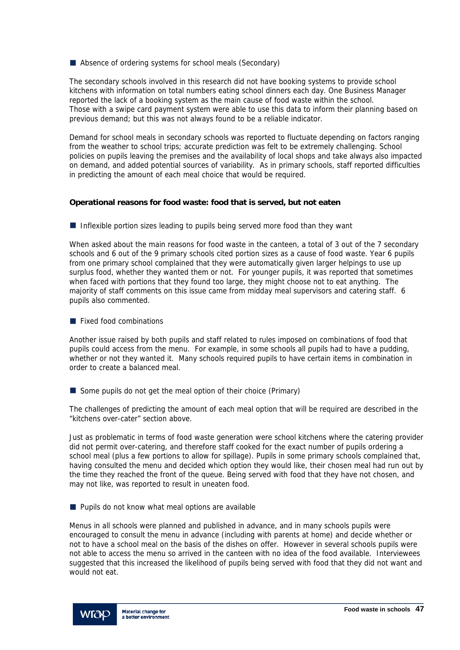Absence of ordering systems for school meals (Secondary)

The secondary schools involved in this research did not have booking systems to provide school kitchens with information on total numbers eating school dinners each day. One Business Manager reported the lack of a booking system as the main cause of food waste within the school. Those with a swipe card payment system were able to use this data to inform their planning based on previous demand; but this was not always found to be a reliable indicator.

Demand for school meals in secondary schools was reported to fluctuate depending on factors ranging from the weather to school trips; accurate prediction was felt to be extremely challenging. School policies on pupils leaving the premises and the availability of local shops and take always also impacted on demand, and added potential sources of variability. As in primary schools, staff reported difficulties in predicting the amount of each meal choice that would be required.

#### **Operational reasons for food waste: food that is served, but not eaten**

Inflexible portion sizes leading to pupils being served more food than they want

When asked about the main reasons for food waste in the canteen, a total of 3 out of the 7 secondary schools and 6 out of the 9 primary schools cited portion sizes as a cause of food waste. Year 6 pupils from one primary school complained that they were automatically given larger helpings to use up surplus food, whether they wanted them or not. For younger pupils, it was reported that sometimes when faced with portions that they found too large, they might choose not to eat anything. The majority of staff comments on this issue came from midday meal supervisors and catering staff. 6 pupils also commented.

**Fixed food combinations** 

Another issue raised by both pupils and staff related to rules imposed on combinations of food that pupils could access from the menu. For example, in some schools all pupils had to have a pudding, whether or not they wanted it. Many schools required pupils to have certain items in combination in order to create a balanced meal.

Some pupils do not get the meal option of their choice (Primary)

The challenges of predicting the amount of each meal option that will be required are described in the "kitchens over-cater" section above.

Just as problematic in terms of food waste generation were school kitchens where the catering provider did not permit over-catering, and therefore staff cooked for the exact number of pupils ordering a school meal (plus a few portions to allow for spillage). Pupils in some primary schools complained that, having consulted the menu and decided which option they would like, their chosen meal had run out by the time they reached the front of the queue. Being served with food that they have not chosen, and may not like, was reported to result in uneaten food.

 $\blacksquare$  Pupils do not know what meal options are available

Menus in all schools were planned and published in advance, and in many schools pupils were encouraged to consult the menu in advance (including with parents at home) and decide whether or not to have a school meal on the basis of the dishes on offer. However in several schools pupils were not able to access the menu so arrived in the canteen with no idea of the food available. Interviewees suggested that this increased the likelihood of pupils being served with food that they did not want and would not eat.

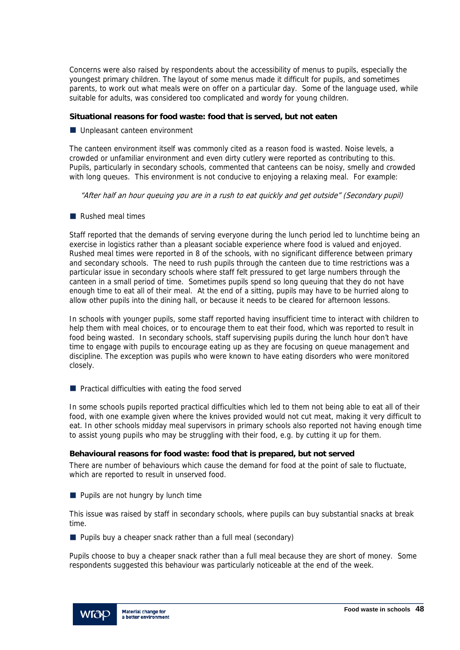Concerns were also raised by respondents about the accessibility of menus to pupils, especially the youngest primary children. The layout of some menus made it difficult for pupils, and sometimes parents, to work out what meals were on offer on a particular day. Some of the language used, while suitable for adults, was considered too complicated and wordy for young children.

#### **Situational reasons for food waste: food that is served, but not eaten**

**Unpleasant canteen environment** 

The canteen environment itself was commonly cited as a reason food is wasted. Noise levels, a crowded or unfamiliar environment and even dirty cutlery were reported as contributing to this. Pupils, particularly in secondary schools, commented that canteens can be noisy, smelly and crowded with long queues. This environment is not conducive to enjoying a relaxing meal. For example:

"After half an hour queuing you are in a rush to eat quickly and get outside" (Secondary pupil)

Rushed meal times

Staff reported that the demands of serving everyone during the lunch period led to lunchtime being an exercise in logistics rather than a pleasant sociable experience where food is valued and enjoyed. Rushed meal times were reported in 8 of the schools, with no significant difference between primary and secondary schools. The need to rush pupils through the canteen due to time restrictions was a particular issue in secondary schools where staff felt pressured to get large numbers through the canteen in a small period of time. Sometimes pupils spend so long queuing that they do not have enough time to eat all of their meal. At the end of a sitting, pupils may have to be hurried along to allow other pupils into the dining hall, or because it needs to be cleared for afternoon lessons.

In schools with younger pupils, some staff reported having insufficient time to interact with children to help them with meal choices, or to encourage them to eat their food, which was reported to result in food being wasted. In secondary schools, staff supervising pupils during the lunch hour don't have time to engage with pupils to encourage eating up as they are focusing on queue management and discipline. The exception was pupils who were known to have eating disorders who were monitored closely.

**Practical difficulties with eating the food served** 

In some schools pupils reported practical difficulties which led to them not being able to eat all of their food, with one example given where the knives provided would not cut meat, making it very difficult to eat. In other schools midday meal supervisors in primary schools also reported not having enough time to assist young pupils who may be struggling with their food, e.g. by cutting it up for them.

### **Behavioural reasons for food waste: food that is prepared, but not served**

There are number of behaviours which cause the demand for food at the point of sale to fluctuate, which are reported to result in unserved food.

 $\blacksquare$  Pupils are not hungry by lunch time

This issue was raised by staff in secondary schools, where pupils can buy substantial snacks at break time.

**Pupils buy a cheaper snack rather than a full meal (secondary)** 

Pupils choose to buy a cheaper snack rather than a full meal because they are short of money. Some respondents suggested this behaviour was particularly noticeable at the end of the week.

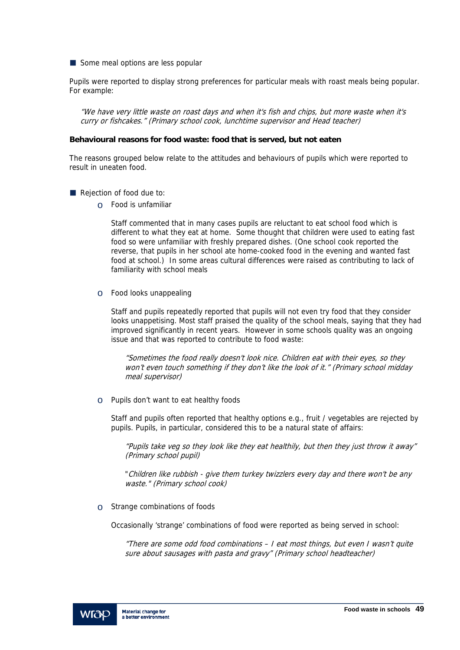Some meal options are less popular

Pupils were reported to display strong preferences for particular meals with roast meals being popular. For example:

"We have very little waste on roast days and when it's fish and chips, but more waste when it's curry or fishcakes." (Primary school cook, lunchtime supervisor and Head teacher)

#### **Behavioural reasons for food waste: food that is served, but not eaten**

The reasons grouped below relate to the attitudes and behaviours of pupils which were reported to result in uneaten food.

- Rejection of food due to:
	- o Food is unfamiliar

Staff commented that in many cases pupils are reluctant to eat school food which is different to what they eat at home. Some thought that children were used to eating fast food so were unfamiliar with freshly prepared dishes. (One school cook reported the reverse, that pupils in her school ate home-cooked food in the evening and wanted fast food at school.) In some areas cultural differences were raised as contributing to lack of familiarity with school meals

o Food looks unappealing

Staff and pupils repeatedly reported that pupils will not even try food that they consider looks unappetising. Most staff praised the quality of the school meals, saying that they had improved significantly in recent years. However in some schools quality was an ongoing issue and that was reported to contribute to food waste:

"Sometimes the food really doesn't look nice. Children eat with their eyes, so they won't even touch something if they don't like the look of it." (Primary school midday meal supervisor)

o Pupils don't want to eat healthy foods

Staff and pupils often reported that healthy options e.g., fruit / vegetables are rejected by pupils. Pupils, in particular, considered this to be a natural state of affairs:

"Pupils take veg so they look like they eat healthily, but then they just throw it away" (Primary school pupil)

"Children like rubbish - give them turkey twizzlers every day and there won't be any waste." (Primary school cook)

 $\circ$  Strange combinations of foods

Occasionally 'strange' combinations of food were reported as being served in school:

"There are some odd food combinations – I eat most things, but even I wasn't quite sure about sausages with pasta and gravy" (Primary school headteacher)

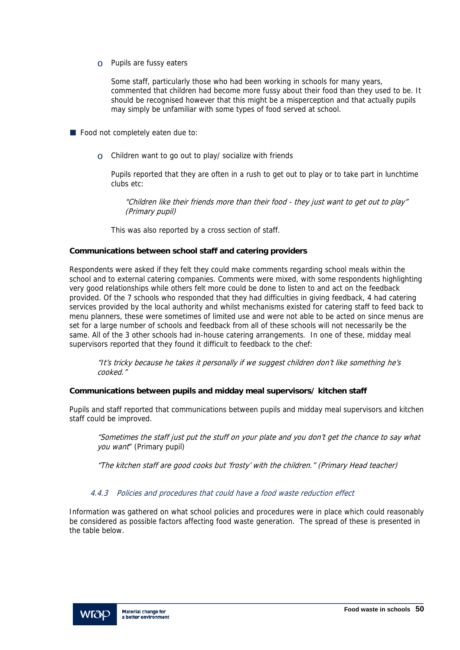o Pupils are fussy eaters

Some staff, particularly those who had been working in schools for many years, commented that children had become more fussy about their food than they used to be. It should be recognised however that this might be a misperception and that actually pupils may simply be unfamiliar with some types of food served at school.

Food not completely eaten due to:

 $\circ$  Children want to go out to play/ socialize with friends

Pupils reported that they are often in a rush to get out to play or to take part in lunchtime clubs etc:

"Children like their friends more than their food - they just want to get out to play" (Primary pupil)

This was also reported by a cross section of staff.

#### **Communications between school staff and catering providers**

Respondents were asked if they felt they could make comments regarding school meals within the school and to external catering companies. Comments were mixed, with some respondents highlighting very good relationships while others felt more could be done to listen to and act on the feedback provided. Of the 7 schools who responded that they had difficulties in giving feedback, 4 had catering services provided by the local authority and whilst mechanisms existed for catering staff to feed back to menu planners, these were sometimes of limited use and were not able to be acted on since menus are set for a large number of schools and feedback from all of these schools will not necessarily be the same. All of the 3 other schools had in-house catering arrangements. In one of these, midday meal supervisors reported that they found it difficult to feedback to the chef:

"It's tricky because he takes it personally if we suggest children don't like something he's cooked."

### **Communications between pupils and midday meal supervisors/ kitchen staff**

Pupils and staff reported that communications between pupils and midday meal supervisors and kitchen staff could be improved.

"Sometimes the staff just put the stuff on your plate and you don't get the chance to say what you want" (Primary pupil)

"The kitchen staff are good cooks but 'frosty' with the children." (Primary Head teacher)

## 4.4.3 Policies and procedures that could have a food waste reduction effect

Information was gathered on what school policies and procedures were in place which could reasonably be considered as possible factors affecting food waste generation. The spread of these is presented in the table below.

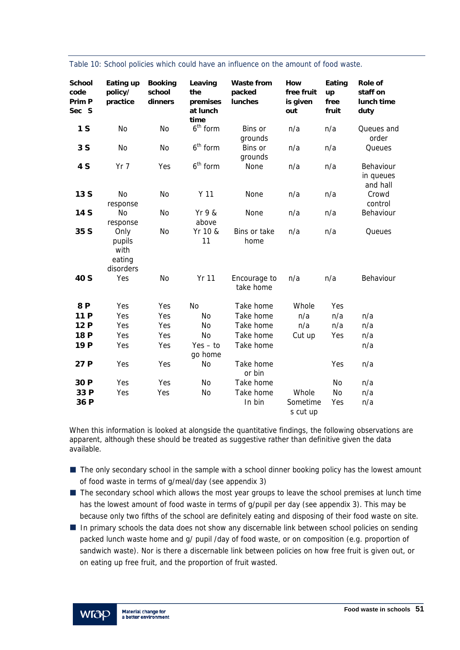| <b>School</b><br>code<br>Prim P<br>Sec S | Eating up<br>policy/<br>practice              | <b>Booking</b><br>school<br>dinners | Leaving<br>the<br>premises<br>at lunch<br>time | <b>Waste from</b><br>packed<br>lunches | How<br>free fruit<br>is given<br>out | Eating<br>up<br>free<br>fruit | <b>Role of</b><br>staff on<br>lunch time<br>duty |
|------------------------------------------|-----------------------------------------------|-------------------------------------|------------------------------------------------|----------------------------------------|--------------------------------------|-------------------------------|--------------------------------------------------|
| 1 <sub>S</sub>                           | No                                            | No                                  | $6th$ form                                     | Bins or<br>grounds                     | n/a                                  | n/a                           | Queues and<br>order                              |
| 3S                                       | No                                            | No                                  | $6th$ form                                     | Bins or<br>grounds                     | n/a                                  | n/a                           | Queues                                           |
| 4 S                                      | $Yr$ 7                                        | Yes                                 | $6th$ form                                     | None                                   | n/a                                  | n/a                           | Behaviour<br>in queues<br>and hall               |
| 13S                                      | No<br>response                                | No                                  | Y <sub>11</sub>                                | None                                   | n/a                                  | n/a                           | Crowd<br>control                                 |
| 14 S                                     | No<br>response                                | No                                  | Yr 9 &<br>above                                | None                                   | n/a                                  | n/a                           | Behaviour                                        |
| 35 S                                     | Only<br>pupils<br>with<br>eating<br>disorders | No                                  | Yr 10 &<br>11                                  | Bins or take<br>home                   | n/a                                  | n/a                           | Queues                                           |
| 40 S                                     | Yes                                           | <b>No</b>                           | <b>Yr 11</b>                                   | Encourage to<br>take home              | n/a                                  | n/a                           | Behaviour                                        |
| 8P                                       | Yes                                           | Yes                                 | <b>No</b>                                      | Take home                              | Whole                                | Yes                           |                                                  |
| 11 P                                     | Yes                                           | Yes                                 | No                                             | Take home                              | n/a                                  | n/a                           | n/a                                              |
| 12 P                                     | Yes                                           | Yes                                 | No                                             | Take home                              | n/a                                  | n/a                           | n/a                                              |
| 18 P                                     | Yes                                           | Yes                                 | <b>No</b>                                      | Take home                              | Cut up                               | Yes                           | n/a                                              |
| 19 P                                     | Yes                                           | Yes                                 | $Yes - to$<br>go home                          | Take home                              |                                      |                               | n/a                                              |
| 27 P                                     | Yes                                           | Yes                                 | No                                             | Take home<br>or bin                    |                                      | Yes                           | n/a                                              |
| 30 P                                     | Yes                                           | Yes                                 | No                                             | Take home                              |                                      | No                            | n/a                                              |
| 33 P                                     | Yes                                           | Yes                                 | No                                             | Take home                              | Whole                                | <b>No</b>                     | n/a                                              |
| 36 P                                     |                                               |                                     |                                                | In bin                                 | Sometime<br>s cut up                 | Yes                           | n/a                                              |

Table 10: School policies which could have an influence on the amount of food waste.

When this information is looked at alongside the quantitative findings, the following observations are apparent, although these should be treated as suggestive rather than definitive given the data available.

- The only secondary school in the sample with a school dinner booking policy has the lowest amount of food waste in terms of g/meal/day (see appendix 3)
- $\blacksquare$  The secondary school which allows the most year groups to leave the school premises at lunch time has the lowest amount of food waste in terms of g/pupil per day (see appendix 3). This may be because only two fifths of the school are definitely eating and disposing of their food waste on site.
- In primary schools the data does not show any discernable link between school policies on sending packed lunch waste home and g/ pupil /day of food waste, or on composition (e.g. proportion of sandwich waste). Nor is there a discernable link between policies on how free fruit is given out, or on eating up free fruit, and the proportion of fruit wasted.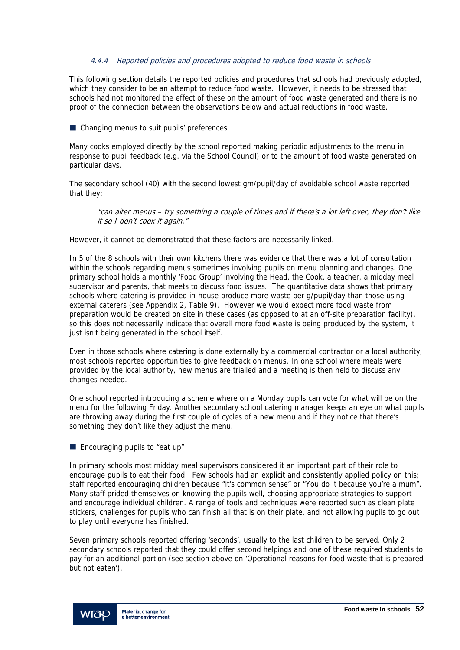### 4.4.4 Reported policies and procedures adopted to reduce food waste in schools

This following section details the reported policies and procedures that schools had previously adopted, which they consider to be an attempt to reduce food waste. However, it needs to be stressed that schools had not monitored the effect of these on the amount of food waste generated and there is no proof of the connection between the observations below and actual reductions in food waste.

#### ■ Changing menus to suit pupils' preferences

Many cooks employed directly by the school reported making periodic adjustments to the menu in response to pupil feedback (e.g. via the School Council) or to the amount of food waste generated on particular days.

The secondary school (40) with the second lowest gm/pupil/day of avoidable school waste reported that they:

"can alter menus – try something a couple of times and if there's a lot left over, they don't like it so I don't cook it again."

However, it cannot be demonstrated that these factors are necessarily linked.

In 5 of the 8 schools with their own kitchens there was evidence that there was a lot of consultation within the schools regarding menus sometimes involving pupils on menu planning and changes. One primary school holds a monthly 'Food Group' involving the Head, the Cook, a teacher, a midday meal supervisor and parents, that meets to discuss food issues. The quantitative data shows that primary schools where catering is provided in-house produce more waste per g/pupil/day than those using external caterers (see Appendix 2, Table 9). However we would expect more food waste from preparation would be created on site in these cases (as opposed to at an off-site preparation facility), so this does not necessarily indicate that overall more food waste is being produced by the system, it just isn't being generated in the school itself.

Even in those schools where catering is done externally by a commercial contractor or a local authority, most schools reported opportunities to give feedback on menus. In one school where meals were provided by the local authority, new menus are trialled and a meeting is then held to discuss any changes needed.

One school reported introducing a scheme where on a Monday pupils can vote for what will be on the menu for the following Friday. Another secondary school catering manager keeps an eye on what pupils are throwing away during the first couple of cycles of a new menu and if they notice that there's something they don't like they adjust the menu.

**Encouraging pupils to "eat up"** 

In primary schools most midday meal supervisors considered it an important part of their role to encourage pupils to eat their food. Few schools had an explicit and consistently applied policy on this; staff reported encouraging children because "it's common sense" or "You do it because you're a mum". Many staff prided themselves on knowing the pupils well, choosing appropriate strategies to support and encourage individual children. A range of tools and techniques were reported such as clean plate stickers, challenges for pupils who can finish all that is on their plate, and not allowing pupils to go out to play until everyone has finished.

Seven primary schools reported offering 'seconds', usually to the last children to be served. Only 2 secondary schools reported that they could offer second helpings and one of these required students to pay for an additional portion (see section above on 'Operational reasons for food waste that is prepared but not eaten'),

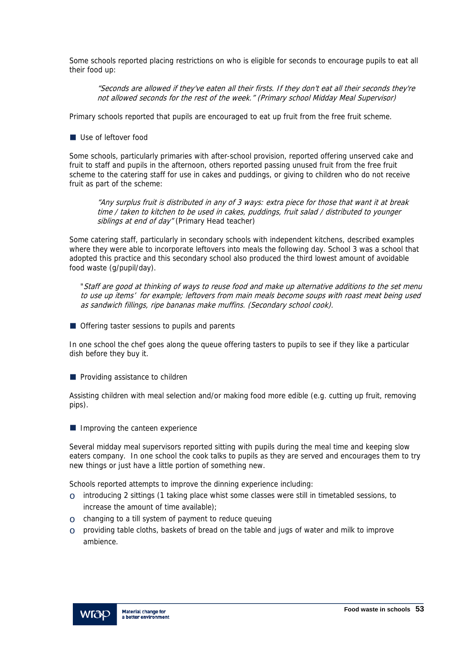Some schools reported placing restrictions on who is eligible for seconds to encourage pupils to eat all their food up:

"Seconds are allowed if they've eaten all their firsts. If they don't eat all their seconds they're not allowed seconds for the rest of the week." (Primary school Midday Meal Supervisor)

Primary schools reported that pupils are encouraged to eat up fruit from the free fruit scheme.

Use of leftover food

Some schools, particularly primaries with after-school provision, reported offering unserved cake and fruit to staff and pupils in the afternoon, others reported passing unused fruit from the free fruit scheme to the catering staff for use in cakes and puddings, or giving to children who do not receive fruit as part of the scheme:

"Any surplus fruit is distributed in any of 3 ways: extra piece for those that want it at break time / taken to kitchen to be used in cakes, puddings, fruit salad / distributed to younger siblings at end of day" (Primary Head teacher)

Some catering staff, particularly in secondary schools with independent kitchens, described examples where they were able to incorporate leftovers into meals the following day. School 3 was a school that adopted this practice and this secondary school also produced the third lowest amount of avoidable food waste (g/pupil/day).

"Staff are good at thinking of ways to reuse food and make up alternative additions to the set menu to use up items' for example; leftovers from main meals become soups with roast meat being used as sandwich fillings, ripe bananas make muffins. (Secondary school cook).

■ Offering taster sessions to pupils and parents

In one school the chef goes along the queue offering tasters to pupils to see if they like a particular dish before they buy it.

**Providing assistance to children** 

Assisting children with meal selection and/or making food more edible (e.g. cutting up fruit, removing pips).

 $\blacksquare$  Improving the canteen experience

Several midday meal supervisors reported sitting with pupils during the meal time and keeping slow eaters company. In one school the cook talks to pupils as they are served and encourages them to try new things or just have a little portion of something new.

Schools reported attempts to improve the dinning experience including:

- $\circ$  introducing 2 sittings (1 taking place whist some classes were still in timetabled sessions, to increase the amount of time available);
- o changing to a till system of payment to reduce queuing
- $\circ$  providing table cloths, baskets of bread on the table and jugs of water and milk to improve ambience.

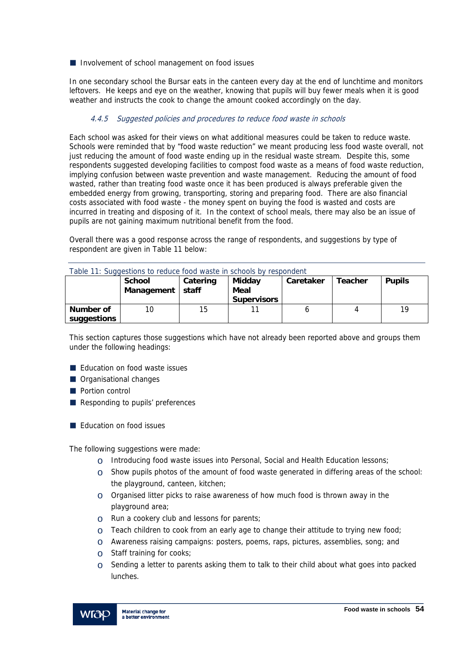Involvement of school management on food issues

In one secondary school the Bursar eats in the canteen every day at the end of lunchtime and monitors leftovers. He keeps and eye on the weather, knowing that pupils will buy fewer meals when it is good weather and instructs the cook to change the amount cooked accordingly on the day.

### 4.4.5 Suggested policies and procedures to reduce food waste in schools

Each school was asked for their views on what additional measures could be taken to reduce waste. Schools were reminded that by "food waste reduction" we meant producing less food waste overall, not just reducing the amount of food waste ending up in the residual waste stream. Despite this, some respondents suggested developing facilities to compost food waste as a means of food waste reduction, implying confusion between waste prevention and waste management. Reducing the amount of food wasted, rather than treating food waste once it has been produced is always preferable given the embedded energy from growing, transporting, storing and preparing food. There are also financial costs associated with food waste - the money spent on buying the food is wasted and costs are incurred in treating and disposing of it. In the context of school meals, there may also be an issue of pupils are not gaining maximum nutritional benefit from the food.

Overall there was a good response across the range of respondents, and suggestions by type of respondent are given in Table 11 below:

|                          | <b>School</b><br>Management | Catering<br>staff | Midday<br>Meal<br><b>Supervisors</b> | Caretaker | <b>Teacher</b> | <b>Pupils</b> |
|--------------------------|-----------------------------|-------------------|--------------------------------------|-----------|----------------|---------------|
| Number of<br>suggestions | 10                          | 15                |                                      |           |                | 19            |

Table 11: Suggestions to reduce food waste in schools by respondent

This section captures those suggestions which have not already been reported above and groups them under the following headings:

- **E** Fducation on food waste issues
- **Organisational changes**
- **Portion control**
- Responding to pupils' preferences
- **E** Education on food issues

The following suggestions were made:

- o Introducing food waste issues into Personal, Social and Health Education lessons;
- $\circ$  Show pupils photos of the amount of food waste generated in differing areas of the school: the playground, canteen, kitchen;
- $\circ$  Organised litter picks to raise awareness of how much food is thrown away in the playground area;
- o Run a cookery club and lessons for parents;
- $\circ$  Teach children to cook from an early age to change their attitude to trying new food;
- $\circ$  Awareness raising campaigns: posters, poems, raps, pictures, assemblies, song; and
- o Staff training for cooks;
- $\circ$  Sending a letter to parents asking them to talk to their child about what goes into packed lunches.

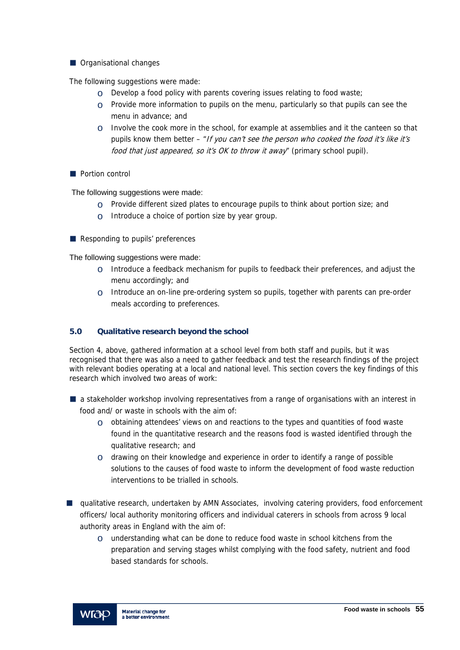**Organisational changes** 

The following suggestions were made:

- $\circ$  Develop a food policy with parents covering issues relating to food waste:
- $\circ$  Provide more information to pupils on the menu, particularly so that pupils can see the menu in advance; and
- $\circ$  Involve the cook more in the school, for example at assemblies and it the canteen so that pupils know them better – "If you can't see the person who cooked the food it's like it's food that just appeared, so it's OK to throw it away" (primary school pupil).
- **Portion control**

The following suggestions were made:

- $\circ$  Provide different sized plates to encourage pupils to think about portion size; and
- $\circ$  Introduce a choice of portion size by year group.
- Responding to pupils' preferences

The following suggestions were made:

- $\circ$  Introduce a feedback mechanism for pupils to feedback their preferences, and adjust the menu accordingly; and
- $\circ$  Introduce an on-line pre-ordering system so pupils, together with parents can pre-order meals according to preferences.

### **5.0 Qualitative research beyond the school**

Section 4, above, gathered information at a school level from both staff and pupils, but it was recognised that there was also a need to gather feedback and test the research findings of the project with relevant bodies operating at a local and national level. This section covers the key findings of this research which involved two areas of work:

- **a** a stakeholder workshop involving representatives from a range of organisations with an interest in food and/ or waste in schools with the aim of:
	- $\circ$  obtaining attendees' views on and reactions to the types and quantities of food waste found in the quantitative research and the reasons food is wasted identified through the qualitative research; and
	- $\circ$  drawing on their knowledge and experience in order to identify a range of possible solutions to the causes of food waste to inform the development of food waste reduction interventions to be trialled in schools.
- **u** qualitative research, undertaken by AMN Associates, involving catering providers, food enforcement officers/ local authority monitoring officers and individual caterers in schools from across 9 local authority areas in England with the aim of:
	- $\circ$  understanding what can be done to reduce food waste in school kitchens from the preparation and serving stages whilst complying with the food safety, nutrient and food based standards for schools.

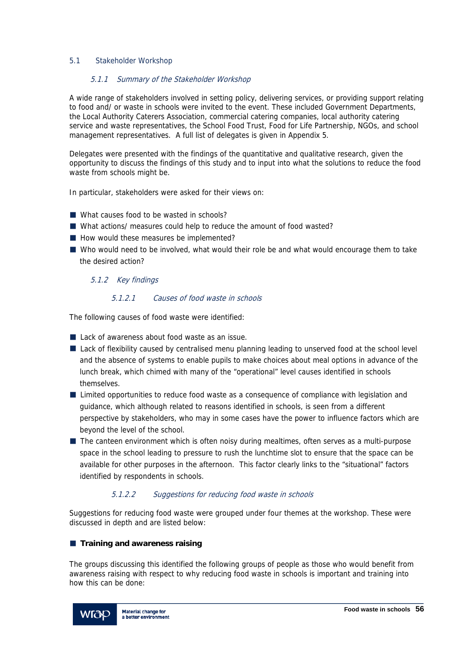## 5.1 Stakeholder Workshop

### 5.1.1 Summary of the Stakeholder Workshop

A wide range of stakeholders involved in setting policy, delivering services, or providing support relating to food and/ or waste in schools were invited to the event. These included Government Departments, the Local Authority Caterers Association, commercial catering companies, local authority catering service and waste representatives, the School Food Trust, Food for Life Partnership, NGOs, and school management representatives. A full list of delegates is given in Appendix 5.

Delegates were presented with the findings of the quantitative and qualitative research, given the opportunity to discuss the findings of this study and to input into what the solutions to reduce the food waste from schools might be.

In particular, stakeholders were asked for their views on:

- What causes food to be wasted in schools?
- What actions/ measures could help to reduce the amount of food wasted?
- How would these measures be implemented?
- Who would need to be involved, what would their role be and what would encourage them to take the desired action?

### 5.1.2 Key findings

### 5.1.2.1 Causes of food waste in schools

The following causes of food waste were identified:

- Lack of awareness about food waste as an issue.
- Lack of flexibility caused by centralised menu planning leading to unserved food at the school level and the absence of systems to enable pupils to make choices about meal options in advance of the lunch break, which chimed with many of the "operational" level causes identified in schools themselves.
- **Limited opportunities to reduce food waste as a consequence of compliance with legislation and** guidance, which although related to reasons identified in schools, is seen from a different perspective by stakeholders, who may in some cases have the power to influence factors which are beyond the level of the school.
- The canteen environment which is often noisy during mealtimes, often serves as a multi-purpose space in the school leading to pressure to rush the lunchtime slot to ensure that the space can be available for other purposes in the afternoon. This factor clearly links to the "situational" factors identified by respondents in schools.

# 5.1.2.2 Suggestions for reducing food waste in schools

Suggestions for reducing food waste were grouped under four themes at the workshop. These were discussed in depth and are listed below:

### **Training and awareness raising**

The groups discussing this identified the following groups of people as those who would benefit from awareness raising with respect to why reducing food waste in schools is important and training into how this can be done:

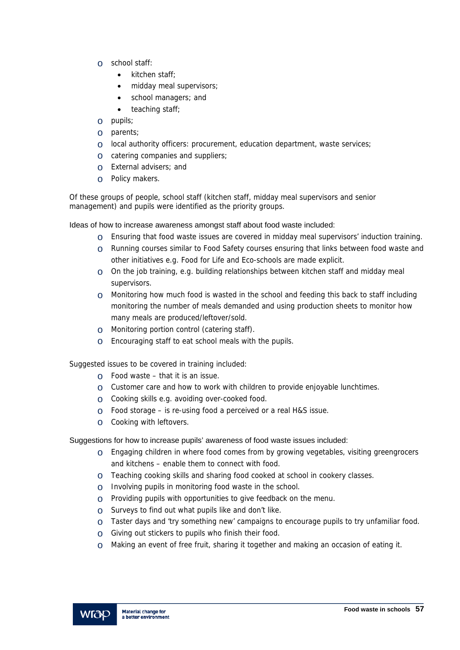- o school staff:
	- kitchen staff:
	- midday meal supervisors;
	- school managers; and
	- $\bullet$  teaching staff;
- o pupils;
- o parents;
- $\circ$  local authority officers: procurement, education department, waste services;
- o catering companies and suppliers;
- o External advisers; and
- o Policy makers.

Of these groups of people, school staff (kitchen staff, midday meal supervisors and senior management) and pupils were identified as the priority groups.

Ideas of how to increase awareness amongst staff about food waste included:

- $\circ$  Ensuring that food waste issues are covered in midday meal supervisors' induction training.
- o Running courses similar to Food Safety courses ensuring that links between food waste and other initiatives e.g. Food for Life and Eco-schools are made explicit.
- $\circ$  On the job training, e.g. building relationships between kitchen staff and midday meal supervisors.
- $\circ$  Monitoring how much food is wasted in the school and feeding this back to staff including monitoring the number of meals demanded and using production sheets to monitor how many meals are produced/leftover/sold.
- o Monitoring portion control (catering staff).
- o Encouraging staff to eat school meals with the pupils.

Suggested issues to be covered in training included:

- $\circ$  Food waste that it is an issue.
- $\circ$  Customer care and how to work with children to provide enjoyable lunchtimes.
- o Cooking skills e.g. avoiding over-cooked food.
- $\circ$  Food storage is re-using food a perceived or a real H&S issue.
- o Cooking with leftovers.

Suggestions for how to increase pupils' awareness of food waste issues included:

- $\circ$  Engaging children in where food comes from by growing vegetables, visiting greengrocers and kitchens – enable them to connect with food.
- o Teaching cooking skills and sharing food cooked at school in cookery classes.
- o Involving pupils in monitoring food waste in the school.
- $\circ$  Providing pupils with opportunities to give feedback on the menu.
- o Surveys to find out what pupils like and don't like.
- $\circ$  Taster days and 'try something new' campaigns to encourage pupils to try unfamiliar food.
- o Giving out stickers to pupils who finish their food.
- o Making an event of free fruit, sharing it together and making an occasion of eating it.

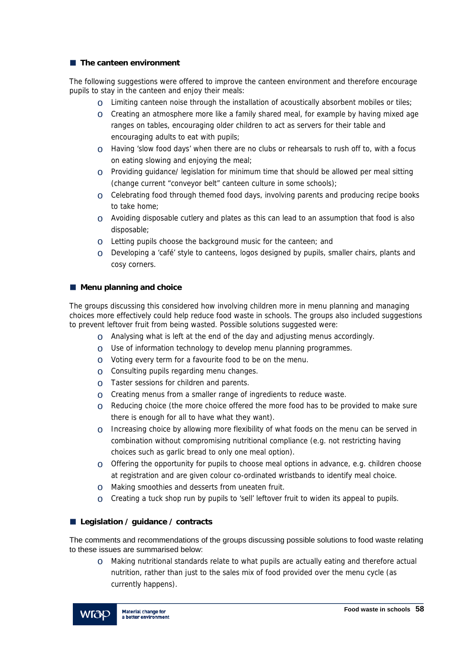### **The canteen environment**

The following suggestions were offered to improve the canteen environment and therefore encourage pupils to stay in the canteen and enjoy their meals:

- $\circ$  Limiting canteen noise through the installation of acoustically absorbent mobiles or tiles;
- $\circ$  Creating an atmosphere more like a family shared meal, for example by having mixed age ranges on tables, encouraging older children to act as servers for their table and encouraging adults to eat with pupils;
- $\circ$  Having 'slow food days' when there are no clubs or rehearsals to rush off to, with a focus on eating slowing and enjoying the meal;
- $\circ$  Providing guidance/ legislation for minimum time that should be allowed per meal sitting (change current "conveyor belt" canteen culture in some schools);
- $\circ$  Celebrating food through themed food days, involving parents and producing recipe books to take home;
- $\circ$  Avoiding disposable cutlery and plates as this can lead to an assumption that food is also disposable;
- $\circ$  Letting pupils choose the background music for the canteen; and
- $\circ$  Developing a 'café' style to canteens, logos designed by pupils, smaller chairs, plants and cosy corners.

## ■ Menu planning and choice

The groups discussing this considered how involving children more in menu planning and managing choices more effectively could help reduce food waste in schools. The groups also included suggestions to prevent leftover fruit from being wasted. Possible solutions suggested were:

- $\circ$  Analysing what is left at the end of the day and adjusting menus accordingly.
- $\circ$  Use of information technology to develop menu planning programmes.
- $\circ$  Voting every term for a favourite food to be on the menu.
- $\circ$  Consulting pupils regarding menu changes.
- $\circ$  Taster sessions for children and parents.
- $\circ$  Creating menus from a smaller range of ingredients to reduce waste.
- $\circ$  Reducing choice (the more choice offered the more food has to be provided to make sure there is enough for all to have what they want).
- $\circ$  Increasing choice by allowing more flexibility of what foods on the menu can be served in combination without compromising nutritional compliance (e.g. not restricting having choices such as garlic bread to only one meal option).
- $\circ$  Offering the opportunity for pupils to choose meal options in advance, e.g. children choose at registration and are given colour co-ordinated wristbands to identify meal choice.
- o Making smoothies and desserts from uneaten fruit.
- $\circ$  Creating a tuck shop run by pupils to 'sell' leftover fruit to widen its appeal to pupils.

# **Legislation / guidance / contracts**

The comments and recommendations of the groups discussing possible solutions to food waste relating to these issues are summarised below:

 $\circ$  Making nutritional standards relate to what pupils are actually eating and therefore actual nutrition, rather than just to the sales mix of food provided over the menu cycle (as currently happens).

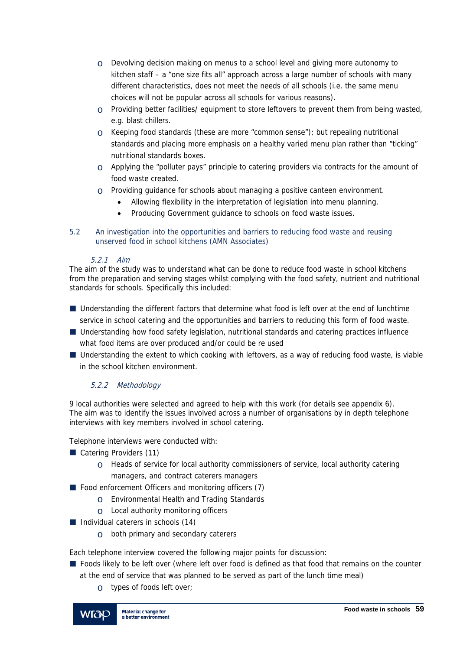- $\circ$  Devolving decision making on menus to a school level and giving more autonomy to kitchen staff – a "one size fits all" approach across a large number of schools with many different characteristics, does not meet the needs of all schools (i.e. the same menu choices will not be popular across all schools for various reasons).
- o Providing better facilities/ equipment to store leftovers to prevent them from being wasted, e.g. blast chillers.
- o Keeping food standards (these are more "common sense"); but repealing nutritional standards and placing more emphasis on a healthy varied menu plan rather than "ticking" nutritional standards boxes.
- $\circ$  Applying the "polluter pays" principle to catering providers via contracts for the amount of food waste created.
- o Providing guidance for schools about managing a positive canteen environment.
	- Allowing flexibility in the interpretation of legislation into menu planning.
	- Producing Government guidance to schools on food waste issues.
- 5.2 An investigation into the opportunities and barriers to reducing food waste and reusing unserved food in school kitchens (AMN Associates)

## 5.2.1 Aim

The aim of the study was to understand what can be done to reduce food waste in school kitchens from the preparation and serving stages whilst complying with the food safety, nutrient and nutritional standards for schools. Specifically this included:

- Understanding the different factors that determine what food is left over at the end of lunchtime service in school catering and the opportunities and barriers to reducing this form of food waste.
- Understanding how food safety legislation, nutritional standards and catering practices influence what food items are over produced and/or could be re used
- Understanding the extent to which cooking with leftovers, as a way of reducing food waste, is viable in the school kitchen environment.

# 5.2.2 Methodology

9 local authorities were selected and agreed to help with this work (for details see appendix 6). The aim was to identify the issues involved across a number of organisations by in depth telephone interviews with key members involved in school catering.

Telephone interviews were conducted with:

- Catering Providers (11)
	- $\circ$  Heads of service for local authority commissioners of service, local authority catering managers, and contract caterers managers
- $\blacksquare$  Food enforcement Officers and monitoring officers (7)
	- o Environmental Health and Trading Standards
	- o Local authority monitoring officers
- $\blacksquare$  Individual caterers in schools (14)
	- o both primary and secondary caterers

Each telephone interview covered the following major points for discussion:

- **F** Foods likely to be left over (where left over food is defined as that food that remains on the counter at the end of service that was planned to be served as part of the lunch time meal)
	- o types of foods left over;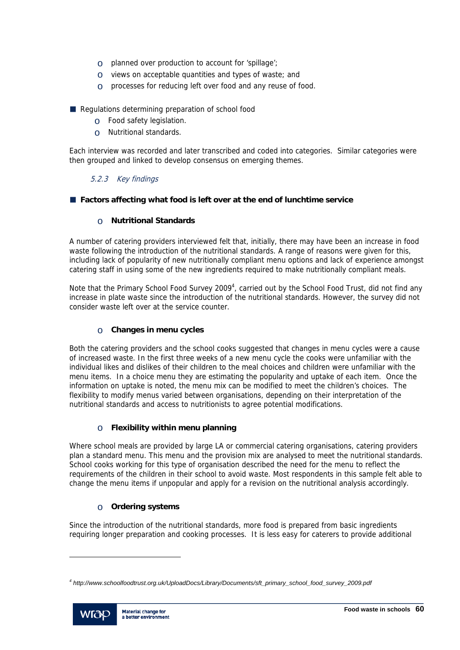- o planned over production to account for 'spillage';
- o views on acceptable quantities and types of waste; and
- o processes for reducing left over food and any reuse of food.

Regulations determining preparation of school food

- o Food safety legislation.
- o Nutritional standards.

Each interview was recorded and later transcribed and coded into categories. Similar categories were then grouped and linked to develop consensus on emerging themes.

## 5.2.3 Key findings

**Factors affecting what food is left over at the end of lunchtime service** 

## o **Nutritional Standards**

A number of catering providers interviewed felt that, initially, there may have been an increase in food waste following the introduction of the nutritional standards. A range of reasons were given for this, including lack of popularity of new nutritionally compliant menu options and lack of experience amongst catering staff in using some of the new ingredients required to make nutritionally compliant meals.

Note that the Primary School Food Survey 2009<sup>4</sup>, carried out by the School Food Trust, did not find any increase in plate waste since the introduction of the nutritional standards. However, the survey did not consider waste left over at the service counter.

# o **Changes in menu cycles**

Both the catering providers and the school cooks suggested that changes in menu cycles were a cause of increased waste. In the first three weeks of a new menu cycle the cooks were unfamiliar with the individual likes and dislikes of their children to the meal choices and children were unfamiliar with the menu items. In a choice menu they are estimating the popularity and uptake of each item. Once the information on uptake is noted, the menu mix can be modified to meet the children's choices. The flexibility to modify menus varied between organisations, depending on their interpretation of the nutritional standards and access to nutritionists to agree potential modifications.

# o **Flexibility within menu planning**

Where school meals are provided by large LA or commercial catering organisations, catering providers plan a standard menu. This menu and the provision mix are analysed to meet the nutritional standards. School cooks working for this type of organisation described the need for the menu to reflect the requirements of the children in their school to avoid waste. Most respondents in this sample felt able to change the menu items if unpopular and apply for a revision on the nutritional analysis accordingly.

# o **Ordering systems**

Since the introduction of the nutritional standards, more food is prepared from basic ingredients requiring longer preparation and cooking processes. It is less easy for caterers to provide additional

*<sup>4</sup> http://www.schoolfoodtrust.org.uk/UploadDocs/Library/Documents/sft\_primary\_school\_food\_survey\_2009.pdf* 



l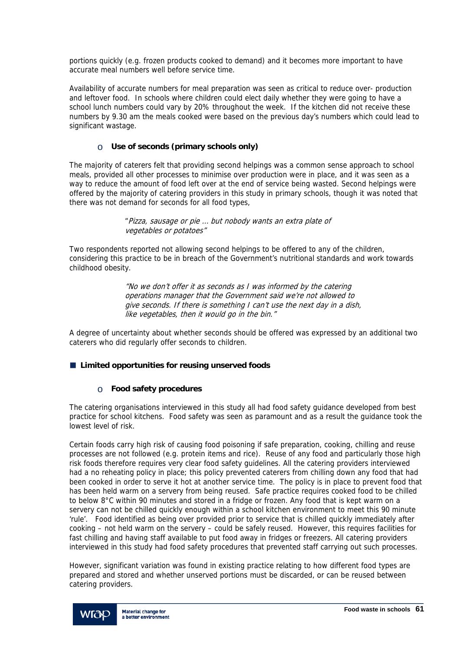portions quickly (e.g. frozen products cooked to demand) and it becomes more important to have accurate meal numbers well before service time.

Availability of accurate numbers for meal preparation was seen as critical to reduce over- production and leftover food. In schools where children could elect daily whether they were going to have a school lunch numbers could vary by 20% throughout the week. If the kitchen did not receive these numbers by 9.30 am the meals cooked were based on the previous day's numbers which could lead to significant wastage.

# o **Use of seconds (primary schools only)**

The majority of caterers felt that providing second helpings was a common sense approach to school meals, provided all other processes to minimise over production were in place, and it was seen as a way to reduce the amount of food left over at the end of service being wasted. Second helpings were offered by the majority of catering providers in this study in primary schools, though it was noted that there was not demand for seconds for all food types,

> "Pizza, sausage or pie … but nobody wants an extra plate of vegetables or potatoes"

Two respondents reported not allowing second helpings to be offered to any of the children, considering this practice to be in breach of the Government's nutritional standards and work towards childhood obesity.

> "No we don't offer it as seconds as I was informed by the catering operations manager that the Government said we're not allowed to give seconds. If there is something I can't use the next day in a dish, like vegetables, then it would go in the bin."

A degree of uncertainty about whether seconds should be offered was expressed by an additional two caterers who did regularly offer seconds to children.

# **Limited opportunities for reusing unserved foods**

# o **Food safety procedures**

The catering organisations interviewed in this study all had food safety guidance developed from best practice for school kitchens. Food safety was seen as paramount and as a result the guidance took the lowest level of risk.

Certain foods carry high risk of causing food poisoning if safe preparation, cooking, chilling and reuse processes are not followed (e.g. protein items and rice). Reuse of any food and particularly those high risk foods therefore requires very clear food safety guidelines. All the catering providers interviewed had a no reheating policy in place; this policy prevented caterers from chilling down any food that had been cooked in order to serve it hot at another service time. The policy is in place to prevent food that has been held warm on a servery from being reused. Safe practice requires cooked food to be chilled to below 8°C within 90 minutes and stored in a fridge or frozen. Any food that is kept warm on a servery can not be chilled quickly enough within a school kitchen environment to meet this 90 minute 'rule'. Food identified as being over provided prior to service that is chilled quickly immediately after cooking – not held warm on the servery – could be safely reused. However, this requires facilities for fast chilling and having staff available to put food away in fridges or freezers. All catering providers interviewed in this study had food safety procedures that prevented staff carrying out such processes.

However, significant variation was found in existing practice relating to how different food types are prepared and stored and whether unserved portions must be discarded, or can be reused between catering providers.

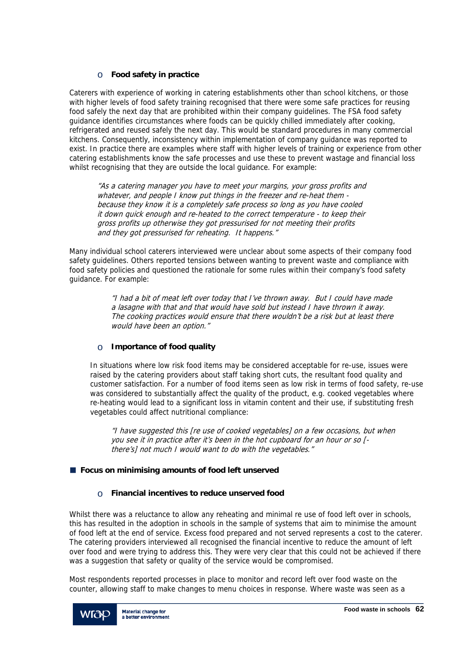# o **Food safety in practice**

Caterers with experience of working in catering establishments other than school kitchens, or those with higher levels of food safety training recognised that there were some safe practices for reusing food safely the next day that are prohibited within their company guidelines. The FSA food safety guidance identifies circumstances where foods can be quickly chilled immediately after cooking, refrigerated and reused safely the next day. This would be standard procedures in many commercial kitchens. Consequently, inconsistency within implementation of company guidance was reported to exist. In practice there are examples where staff with higher levels of training or experience from other catering establishments know the safe processes and use these to prevent wastage and financial loss whilst recognising that they are outside the local guidance. For example:

"As a catering manager you have to meet your margins, your gross profits and whatever, and people I know put things in the freezer and re-heat them because they know it is a completely safe process so long as you have cooled it down quick enough and re-heated to the correct temperature - to keep their gross profits up otherwise they got pressurised for not meeting their profits and they got pressurised for reheating. It happens."

Many individual school caterers interviewed were unclear about some aspects of their company food safety guidelines. Others reported tensions between wanting to prevent waste and compliance with food safety policies and questioned the rationale for some rules within their company's food safety guidance. For example:

> "I had a bit of meat left over today that I've thrown away. But I could have made a lasagne with that and that would have sold but instead I have thrown it away. The cooking practices would ensure that there wouldn't be a risk but at least there would have been an option."

# o **Importance of food quality**

In situations where low risk food items may be considered acceptable for re-use, issues were raised by the catering providers about staff taking short cuts, the resultant food quality and customer satisfaction. For a number of food items seen as low risk in terms of food safety, re-use was considered to substantially affect the quality of the product, e.g. cooked vegetables where re-heating would lead to a significant loss in vitamin content and their use, if substituting fresh vegetables could affect nutritional compliance:

"I have suggested this [re use of cooked vegetables] on a few occasions, but when you see it in practice after it's been in the hot cupboard for an hour or so [ there's] not much I would want to do with the vegetables."

# **Focus on minimising amounts of food left unserved**

# o **Financial incentives to reduce unserved food**

Whilst there was a reluctance to allow any reheating and minimal re use of food left over in schools, this has resulted in the adoption in schools in the sample of systems that aim to minimise the amount of food left at the end of service. Excess food prepared and not served represents a cost to the caterer. The catering providers interviewed all recognised the financial incentive to reduce the amount of left over food and were trying to address this. They were very clear that this could not be achieved if there was a suggestion that safety or quality of the service would be compromised.

Most respondents reported processes in place to monitor and record left over food waste on the counter, allowing staff to make changes to menu choices in response. Where waste was seen as a

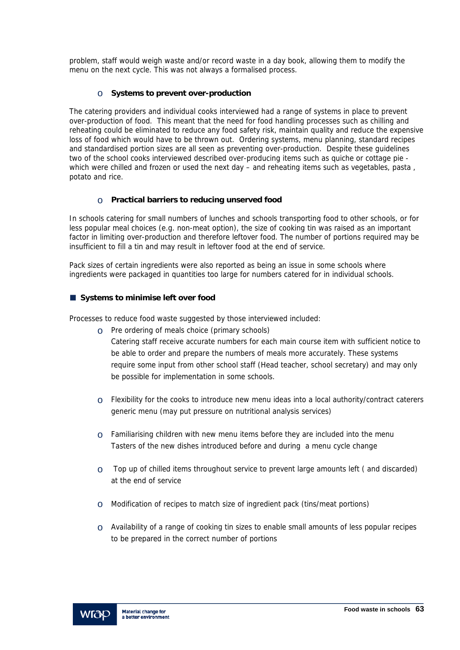problem, staff would weigh waste and/or record waste in a day book, allowing them to modify the menu on the next cycle. This was not always a formalised process.

# o **Systems to prevent over-production**

The catering providers and individual cooks interviewed had a range of systems in place to prevent over-production of food. This meant that the need for food handling processes such as chilling and reheating could be eliminated to reduce any food safety risk, maintain quality and reduce the expensive loss of food which would have to be thrown out. Ordering systems, menu planning, standard recipes and standardised portion sizes are all seen as preventing over-production. Despite these guidelines two of the school cooks interviewed described over-producing items such as quiche or cottage pie which were chilled and frozen or used the next day – and reheating items such as vegetables, pasta, potato and rice.

## o **Practical barriers to reducing unserved food**

In schools catering for small numbers of lunches and schools transporting food to other schools, or for less popular meal choices (e.g. non-meat option), the size of cooking tin was raised as an important factor in limiting over-production and therefore leftover food. The number of portions required may be insufficient to fill a tin and may result in leftover food at the end of service.

Pack sizes of certain ingredients were also reported as being an issue in some schools where ingredients were packaged in quantities too large for numbers catered for in individual schools.

### **Systems to minimise left over food**

Processes to reduce food waste suggested by those interviewed included:

- $\circ$  Pre ordering of meals choice (primary schools)
	- Catering staff receive accurate numbers for each main course item with sufficient notice to be able to order and prepare the numbers of meals more accurately. These systems require some input from other school staff (Head teacher, school secretary) and may only be possible for implementation in some schools.
- o Flexibility for the cooks to introduce new menu ideas into a local authority/contract caterers generic menu (may put pressure on nutritional analysis services)
- $\circ$  Familiarising children with new menu items before they are included into the menu Tasters of the new dishes introduced before and during a menu cycle change
- $\circ$  Top up of chilled items throughout service to prevent large amounts left (and discarded) at the end of service
- $\circ$  Modification of recipes to match size of ingredient pack (tins/meat portions)
- $\circ$  Availability of a range of cooking tin sizes to enable small amounts of less popular recipes to be prepared in the correct number of portions

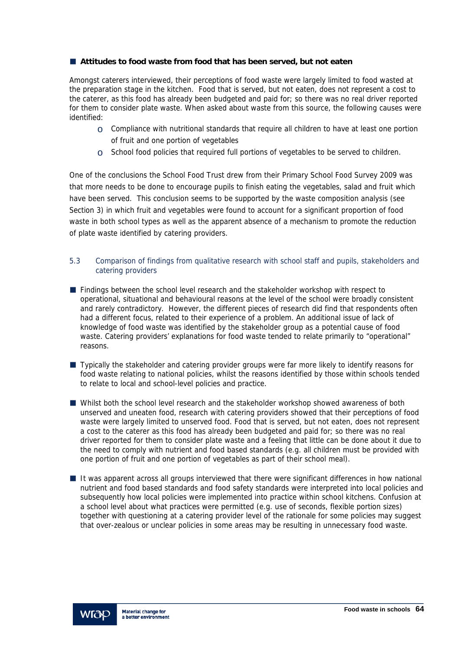### **Attitudes to food waste from food that has been served, but not eaten**

Amongst caterers interviewed, their perceptions of food waste were largely limited to food wasted at the preparation stage in the kitchen. Food that is served, but not eaten, does not represent a cost to the caterer, as this food has already been budgeted and paid for; so there was no real driver reported for them to consider plate waste. When asked about waste from this source, the following causes were identified:

- $\circ$  Compliance with nutritional standards that require all children to have at least one portion of fruit and one portion of vegetables
- $\circ$  School food policies that required full portions of vegetables to be served to children.

One of the conclusions the School Food Trust drew from their Primary School Food Survey 2009 was that more needs to be done to encourage pupils to finish eating the vegetables, salad and fruit which have been served. This conclusion seems to be supported by the waste composition analysis (see Section 3) in which fruit and vegetables were found to account for a significant proportion of food waste in both school types as well as the apparent absence of a mechanism to promote the reduction of plate waste identified by catering providers.

## 5.3 Comparison of findings from qualitative research with school staff and pupils, stakeholders and catering providers

- **Findings between the school level research and the stakeholder workshop with respect to** operational, situational and behavioural reasons at the level of the school were broadly consistent and rarely contradictory. However, the different pieces of research did find that respondents often had a different focus, related to their experience of a problem. An additional issue of lack of knowledge of food waste was identified by the stakeholder group as a potential cause of food waste. Catering providers' explanations for food waste tended to relate primarily to "operational" reasons.
- **Typically the stakeholder and catering provider groups were far more likely to identify reasons for** food waste relating to national policies, whilst the reasons identified by those within schools tended to relate to local and school-level policies and practice.
- Whilst both the school level research and the stakeholder workshop showed awareness of both unserved and uneaten food, research with catering providers showed that their perceptions of food waste were largely limited to unserved food. Food that is served, but not eaten, does not represent a cost to the caterer as this food has already been budgeted and paid for; so there was no real driver reported for them to consider plate waste and a feeling that little can be done about it due to the need to comply with nutrient and food based standards (e.g. all children must be provided with one portion of fruit and one portion of vegetables as part of their school meal).
- If was apparent across all groups interviewed that there were significant differences in how national nutrient and food based standards and food safety standards were interpreted into local policies and subsequently how local policies were implemented into practice within school kitchens. Confusion at a school level about what practices were permitted (e.g. use of seconds, flexible portion sizes) together with questioning at a catering provider level of the rationale for some policies may suggest that over-zealous or unclear policies in some areas may be resulting in unnecessary food waste.

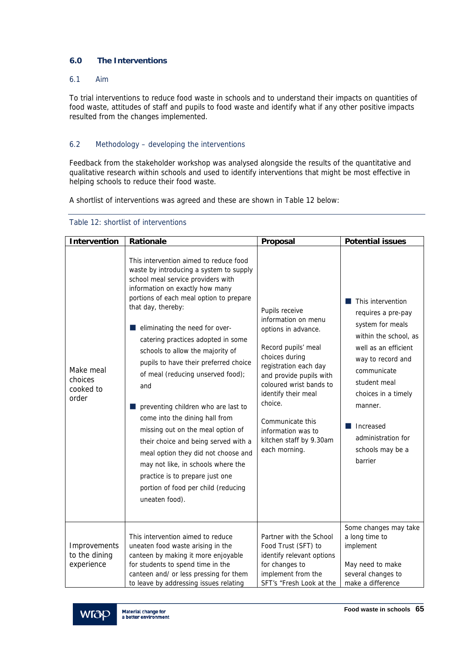# **6.0 The Interventions**

### 6.1 Aim

To trial interventions to reduce food waste in schools and to understand their impacts on quantities of food waste, attitudes of staff and pupils to food waste and identify what if any other positive impacts resulted from the changes implemented.

## 6.2 Methodology – developing the interventions

Feedback from the stakeholder workshop was analysed alongside the results of the quantitative and qualitative research within schools and used to identify interventions that might be most effective in helping schools to reduce their food waste.

A shortlist of interventions was agreed and these are shown in Table 12 below:

| <b>Intervention</b>                         | Rationale                                                                                                                                                                                                                                                                                                                                                                                                                                                                                                                                                                                                                                                                                                                                                   | Proposal                                                                                                                                                                                                                                                                                                     | <b>Potential issues</b>                                                                                                                                                                                                                                              |
|---------------------------------------------|-------------------------------------------------------------------------------------------------------------------------------------------------------------------------------------------------------------------------------------------------------------------------------------------------------------------------------------------------------------------------------------------------------------------------------------------------------------------------------------------------------------------------------------------------------------------------------------------------------------------------------------------------------------------------------------------------------------------------------------------------------------|--------------------------------------------------------------------------------------------------------------------------------------------------------------------------------------------------------------------------------------------------------------------------------------------------------------|----------------------------------------------------------------------------------------------------------------------------------------------------------------------------------------------------------------------------------------------------------------------|
| Make meal<br>choices<br>cooked to<br>order  | This intervention aimed to reduce food<br>waste by introducing a system to supply<br>school meal service providers with<br>information on exactly how many<br>portions of each meal option to prepare<br>that day, thereby:<br>eliminating the need for over-<br>catering practices adopted in some<br>schools to allow the majority of<br>pupils to have their preferred choice<br>of meal (reducing unserved food);<br>and<br>preventing children who are last to<br>come into the dining hall from<br>missing out on the meal option of<br>their choice and being served with a<br>meal option they did not choose and<br>may not like, in schools where the<br>practice is to prepare just one<br>portion of food per child (reducing<br>uneaten food). | Pupils receive<br>information on menu<br>options in advance.<br>Record pupils' meal<br>choices during<br>registration each day<br>and provide pupils with<br>coloured wrist bands to<br>identify their meal<br>choice.<br>Communicate this<br>information was to<br>kitchen staff by 9.30am<br>each morning. | This intervention<br>requires a pre-pay<br>system for meals<br>within the school, as<br>well as an efficient<br>way to record and<br>communicate<br>student meal<br>choices in a timely<br>manner.<br>Increased<br>administration for<br>schools may be a<br>barrier |
| Improvements<br>to the dining<br>experience | This intervention aimed to reduce<br>uneaten food waste arising in the<br>canteen by making it more enjoyable<br>for students to spend time in the<br>canteen and/ or less pressing for them<br>to leave by addressing issues relating                                                                                                                                                                                                                                                                                                                                                                                                                                                                                                                      | Partner with the School<br>Food Trust (SFT) to<br>identify relevant options<br>for changes to<br>implement from the<br>SFT's "Fresh Look at the                                                                                                                                                              | Some changes may take<br>a long time to<br>implement<br>May need to make<br>several changes to<br>make a difference                                                                                                                                                  |

#### Table 12: shortlist of interventions

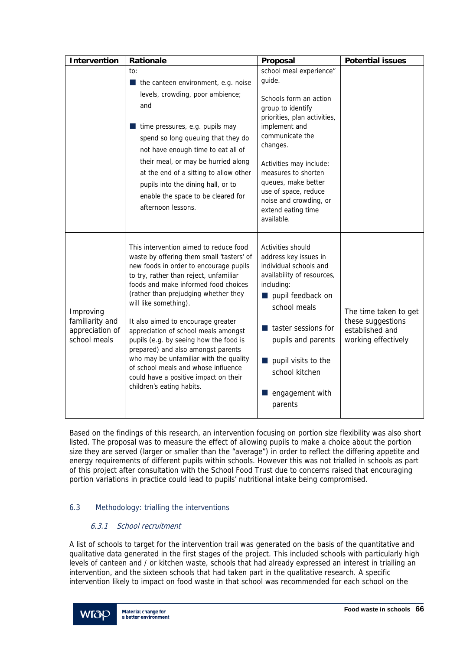| <b>Intervention</b>                                             | <b>Rationale</b>                                                                                                                                                                                                                                                                                                                                                                                                                                                                                                                                                                                      | Proposal                                                                                                                                                                                                                                                                                   | <b>Potential issues</b>                                                              |
|-----------------------------------------------------------------|-------------------------------------------------------------------------------------------------------------------------------------------------------------------------------------------------------------------------------------------------------------------------------------------------------------------------------------------------------------------------------------------------------------------------------------------------------------------------------------------------------------------------------------------------------------------------------------------------------|--------------------------------------------------------------------------------------------------------------------------------------------------------------------------------------------------------------------------------------------------------------------------------------------|--------------------------------------------------------------------------------------|
|                                                                 | to:<br>$\blacksquare$ the canteen environment, e.g. noise                                                                                                                                                                                                                                                                                                                                                                                                                                                                                                                                             | school meal experience"<br>guide.                                                                                                                                                                                                                                                          |                                                                                      |
|                                                                 | levels, crowding, poor ambience;<br>and<br>time pressures, e.g. pupils may<br>spend so long queuing that they do<br>not have enough time to eat all of<br>their meal, or may be hurried along<br>at the end of a sitting to allow other<br>pupils into the dining hall, or to<br>enable the space to be cleared for<br>afternoon lessons.                                                                                                                                                                                                                                                             | Schools form an action<br>group to identify<br>priorities, plan activities,<br>implement and<br>communicate the<br>changes.<br>Activities may include:<br>measures to shorten<br>queues, make better<br>use of space, reduce<br>noise and crowding, or<br>extend eating time<br>available. |                                                                                      |
| Improving<br>familiarity and<br>appreciation of<br>school meals | This intervention aimed to reduce food<br>waste by offering them small 'tasters' of<br>new foods in order to encourage pupils<br>to try, rather than reject, unfamiliar<br>foods and make informed food choices<br>(rather than prejudging whether they<br>will like something).<br>It also aimed to encourage greater<br>appreciation of school meals amongst<br>pupils (e.g. by seeing how the food is<br>prepared) and also amongst parents<br>who may be unfamiliar with the quality<br>of school meals and whose influence<br>could have a positive impact on their<br>children's eating habits. | Activities should<br>address key issues in<br>individual schools and<br>availability of resources,<br>including:<br>pupil feedback on<br>school meals<br>taster sessions for<br>pupils and parents<br>pupil visits to the<br>school kitchen<br>engagement with<br>parents                  | The time taken to get<br>these suggestions<br>established and<br>working effectively |

Based on the findings of this research, an intervention focusing on portion size flexibility was also short listed. The proposal was to measure the effect of allowing pupils to make a choice about the portion size they are served (larger or smaller than the "average") in order to reflect the differing appetite and energy requirements of different pupils within schools. However this was not trialled in schools as part of this project after consultation with the School Food Trust due to concerns raised that encouraging portion variations in practice could lead to pupils' nutritional intake being compromised.

# 6.3 Methodology: trialling the interventions

# 6.3.1 School recruitment

A list of schools to target for the intervention trail was generated on the basis of the quantitative and qualitative data generated in the first stages of the project. This included schools with particularly high levels of canteen and / or kitchen waste, schools that had already expressed an interest in trialling an intervention, and the sixteen schools that had taken part in the qualitative research. A specific intervention likely to impact on food waste in that school was recommended for each school on the

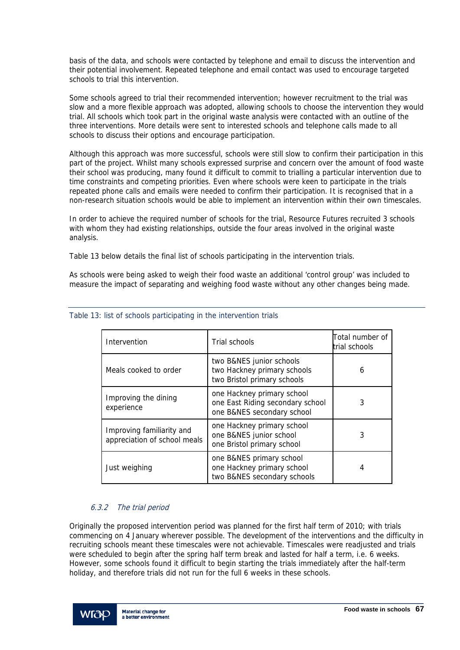basis of the data, and schools were contacted by telephone and email to discuss the intervention and their potential involvement. Repeated telephone and email contact was used to encourage targeted schools to trial this intervention.

Some schools agreed to trial their recommended intervention; however recruitment to the trial was slow and a more flexible approach was adopted, allowing schools to choose the intervention they would trial. All schools which took part in the original waste analysis were contacted with an outline of the three interventions. More details were sent to interested schools and telephone calls made to all schools to discuss their options and encourage participation.

Although this approach was more successful, schools were still slow to confirm their participation in this part of the project. Whilst many schools expressed surprise and concern over the amount of food waste their school was producing, many found it difficult to commit to trialling a particular intervention due to time constraints and competing priorities. Even where schools were keen to participate in the trials repeated phone calls and emails were needed to confirm their participation. It is recognised that in a non-research situation schools would be able to implement an intervention within their own timescales.

In order to achieve the required number of schools for the trial, Resource Futures recruited 3 schools with whom they had existing relationships, outside the four areas involved in the original waste analysis.

Table 13 below details the final list of schools participating in the intervention trials.

As schools were being asked to weigh their food waste an additional 'control group' was included to measure the impact of separating and weighing food waste without any other changes being made.

| Intervention                                              | Trial schools                                                                                | Total number of<br>trial schools |
|-----------------------------------------------------------|----------------------------------------------------------------------------------------------|----------------------------------|
| Meals cooked to order                                     | two B&NES junior schools<br>two Hackney primary schools<br>two Bristol primary schools       | 6                                |
| Improving the dining<br>experience                        | one Hackney primary school<br>one East Riding secondary school<br>one B&NES secondary school | 3                                |
| Improving familiarity and<br>appreciation of school meals | one Hackney primary school<br>one B&NES junior school<br>one Bristol primary school          | 3                                |
| Just weighing                                             | one B&NES primary school<br>one Hackney primary school<br>two B&NES secondary schools        | 4                                |

## Table 13: list of schools participating in the intervention trials

# 6.3.2 The trial period

Originally the proposed intervention period was planned for the first half term of 2010; with trials commencing on 4 January wherever possible. The development of the interventions and the difficulty in recruiting schools meant these timescales were not achievable. Timescales were readjusted and trials were scheduled to begin after the spring half term break and lasted for half a term, i.e. 6 weeks. However, some schools found it difficult to begin starting the trials immediately after the half-term holiday, and therefore trials did not run for the full 6 weeks in these schools.

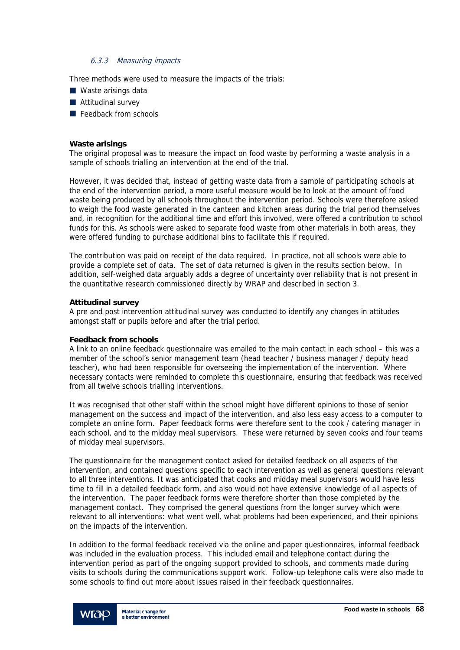### 6.3.3 Measuring impacts

Three methods were used to measure the impacts of the trials:

- Waste arisings data
- **Attitudinal survey**
- Feedback from schools

#### **Waste arisings**

The original proposal was to measure the impact on food waste by performing a waste analysis in a sample of schools trialling an intervention at the end of the trial.

However, it was decided that, instead of getting waste data from a sample of participating schools at the end of the intervention period, a more useful measure would be to look at the amount of food waste being produced by all schools throughout the intervention period. Schools were therefore asked to weigh the food waste generated in the canteen and kitchen areas during the trial period themselves and, in recognition for the additional time and effort this involved, were offered a contribution to school funds for this. As schools were asked to separate food waste from other materials in both areas, they were offered funding to purchase additional bins to facilitate this if required.

The contribution was paid on receipt of the data required. In practice, not all schools were able to provide a complete set of data. The set of data returned is given in the results section below. In addition, self-weighed data arguably adds a degree of uncertainty over reliability that is not present in the quantitative research commissioned directly by WRAP and described in section 3.

#### **Attitudinal survey**

A pre and post intervention attitudinal survey was conducted to identify any changes in attitudes amongst staff or pupils before and after the trial period.

#### **Feedback from schools**

A link to an online feedback questionnaire was emailed to the main contact in each school – this was a member of the school's senior management team (head teacher / business manager / deputy head teacher), who had been responsible for overseeing the implementation of the intervention. Where necessary contacts were reminded to complete this questionnaire, ensuring that feedback was received from all twelve schools trialling interventions.

It was recognised that other staff within the school might have different opinions to those of senior management on the success and impact of the intervention, and also less easy access to a computer to complete an online form. Paper feedback forms were therefore sent to the cook / catering manager in each school, and to the midday meal supervisors. These were returned by seven cooks and four teams of midday meal supervisors.

The questionnaire for the management contact asked for detailed feedback on all aspects of the intervention, and contained questions specific to each intervention as well as general questions relevant to all three interventions. It was anticipated that cooks and midday meal supervisors would have less time to fill in a detailed feedback form, and also would not have extensive knowledge of all aspects of the intervention. The paper feedback forms were therefore shorter than those completed by the management contact. They comprised the general questions from the longer survey which were relevant to all interventions: what went well, what problems had been experienced, and their opinions on the impacts of the intervention.

In addition to the formal feedback received via the online and paper questionnaires, informal feedback was included in the evaluation process. This included email and telephone contact during the intervention period as part of the ongoing support provided to schools, and comments made during visits to schools during the communications support work. Follow-up telephone calls were also made to some schools to find out more about issues raised in their feedback questionnaires.

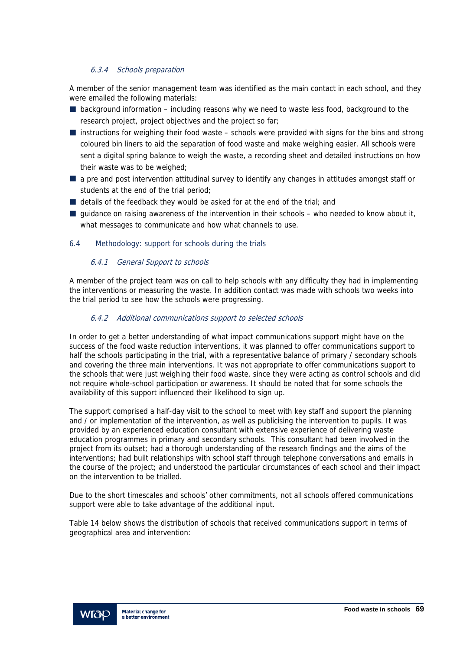## 6.3.4 Schools preparation

A member of the senior management team was identified as the main contact in each school, and they were emailed the following materials:

- $\blacksquare$  background information including reasons why we need to waste less food, background to the research project, project objectives and the project so far;
- $\blacksquare$  instructions for weighing their food waste schools were provided with signs for the bins and strong coloured bin liners to aid the separation of food waste and make weighing easier. All schools were sent a digital spring balance to weigh the waste, a recording sheet and detailed instructions on how their waste was to be weighed;
- **a** pre and post intervention attitudinal survey to identify any changes in attitudes amongst staff or students at the end of the trial period;
- $\blacksquare$  details of the feedback they would be asked for at the end of the trial; and
- $\blacksquare$  guidance on raising awareness of the intervention in their schools who needed to know about it, what messages to communicate and how what channels to use.

### 6.4 Methodology: support for schools during the trials

#### 6.4.1 General Support to schools

A member of the project team was on call to help schools with any difficulty they had in implementing the interventions or measuring the waste. In addition contact was made with schools two weeks into the trial period to see how the schools were progressing.

### 6.4.2 Additional communications support to selected schools

In order to get a better understanding of what impact communications support might have on the success of the food waste reduction interventions, it was planned to offer communications support to half the schools participating in the trial, with a representative balance of primary / secondary schools and covering the three main interventions. It was not appropriate to offer communications support to the schools that were just weighing their food waste, since they were acting as control schools and did not require whole-school participation or awareness. It should be noted that for some schools the availability of this support influenced their likelihood to sign up.

The support comprised a half-day visit to the school to meet with key staff and support the planning and / or implementation of the intervention, as well as publicising the intervention to pupils. It was provided by an experienced education consultant with extensive experience of delivering waste education programmes in primary and secondary schools. This consultant had been involved in the project from its outset; had a thorough understanding of the research findings and the aims of the interventions; had built relationships with school staff through telephone conversations and emails in the course of the project; and understood the particular circumstances of each school and their impact on the intervention to be trialled.

Due to the short timescales and schools' other commitments, not all schools offered communications support were able to take advantage of the additional input.

Table 14 below shows the distribution of schools that received communications support in terms of geographical area and intervention:

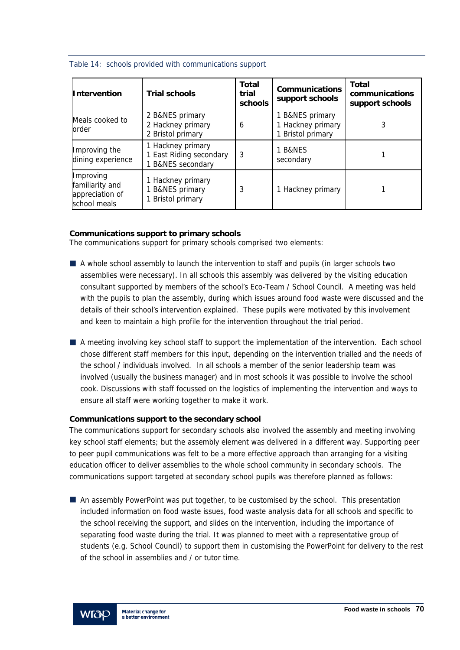|  |  | Table 14: schools provided with communications support |  |
|--|--|--------------------------------------------------------|--|
|  |  |                                                        |  |

| <b>Intervention</b>                                             | <b>Trial schools</b>                                                       | <b>Total</b><br>trial<br>schools | <b>Communications</b><br>support schools                  | <b>Total</b><br>communications<br>support schools |
|-----------------------------------------------------------------|----------------------------------------------------------------------------|----------------------------------|-----------------------------------------------------------|---------------------------------------------------|
| Meals cooked to<br>order                                        | 2 B&NES primary<br>2 Hackney primary<br>2 Bristol primary                  | 6                                | 1 B&NES primary<br>1 Hackney primary<br>1 Bristol primary | 3                                                 |
| Improving the<br>dining experience                              | 1 Hackney primary<br>1 East Riding secondary<br><b>B&amp;NES</b> secondary | 3                                | 1 B&NES<br>secondary                                      |                                                   |
| Improving<br>familiarity and<br>appreciation of<br>school meals | Hackney primary<br><b>B&amp;NES</b> primary<br><b>Bristol primary</b>      | 3                                | 1 Hackney primary                                         |                                                   |

## **Communications support to primary schools**

The communications support for primary schools comprised two elements:

- A whole school assembly to launch the intervention to staff and pupils (in larger schools two assemblies were necessary). In all schools this assembly was delivered by the visiting education consultant supported by members of the school's Eco-Team / School Council. A meeting was held with the pupils to plan the assembly, during which issues around food waste were discussed and the details of their school's intervention explained. These pupils were motivated by this involvement and keen to maintain a high profile for the intervention throughout the trial period.
- A meeting involving key school staff to support the implementation of the intervention. Each school chose different staff members for this input, depending on the intervention trialled and the needs of the school / individuals involved. In all schools a member of the senior leadership team was involved (usually the business manager) and in most schools it was possible to involve the school cook. Discussions with staff focussed on the logistics of implementing the intervention and ways to ensure all staff were working together to make it work.

# **Communications support to the secondary school**

The communications support for secondary schools also involved the assembly and meeting involving key school staff elements; but the assembly element was delivered in a different way. Supporting peer to peer pupil communications was felt to be a more effective approach than arranging for a visiting education officer to deliver assemblies to the whole school community in secondary schools. The communications support targeted at secondary school pupils was therefore planned as follows:

 An assembly PowerPoint was put together, to be customised by the school. This presentation included information on food waste issues, food waste analysis data for all schools and specific to the school receiving the support, and slides on the intervention, including the importance of separating food waste during the trial. It was planned to meet with a representative group of students (e.g. School Council) to support them in customising the PowerPoint for delivery to the rest of the school in assemblies and / or tutor time.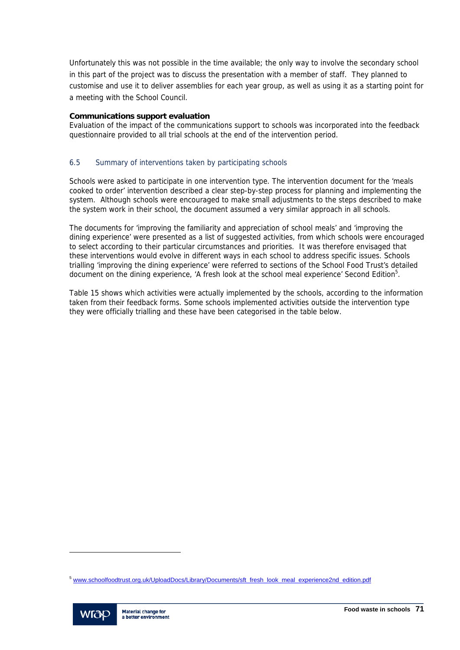Unfortunately this was not possible in the time available; the only way to involve the secondary school in this part of the project was to discuss the presentation with a member of staff. They planned to customise and use it to deliver assemblies for each year group, as well as using it as a starting point for a meeting with the School Council.

## **Communications support evaluation**

Evaluation of the impact of the communications support to schools was incorporated into the feedback questionnaire provided to all trial schools at the end of the intervention period.

## 6.5 Summary of interventions taken by participating schools

Schools were asked to participate in one intervention type. The intervention document for the 'meals cooked to order' intervention described a clear step-by-step process for planning and implementing the system. Although schools were encouraged to make small adjustments to the steps described to make the system work in their school, the document assumed a very similar approach in all schools.

The documents for 'improving the familiarity and appreciation of school meals' and 'improving the dining experience' were presented as a list of suggested activities, from which schools were encouraged to select according to their particular circumstances and priorities. It was therefore envisaged that these interventions would evolve in different ways in each school to address specific issues. Schools trialling 'improving the dining experience' were referred to sections of the School Food Trust's detailed document on the dining experience, 'A fresh look at the school meal experience' Second Edition<sup>5</sup>.

Table 15 shows which activities were actually implemented by the schools, according to the information taken from their feedback forms. Some schools implemented activities outside the intervention type they were officially trialling and these have been categorised in the table below.

<sup>&</sup>lt;sup>5</sup> www.schoolfoodtrust.org.uk/UploadDocs/Library/Documents/sft\_fresh\_look\_meal\_experience2nd\_edition.pdf



l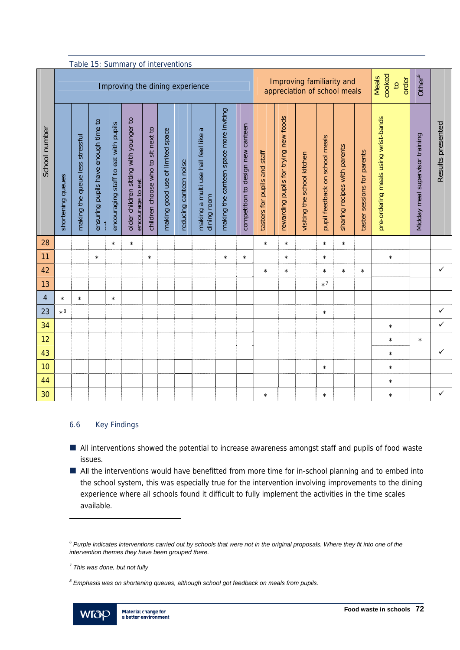|               | Table 15: Summary of interventions<br>Improving the dining experience |                                 |                                     |                                      |                                                            |                                    |                                  |                        |                                                              |                                        |                                   | Improving familiarity and<br>appreciation of school meals |                                       |                             |                                |                              | cooked<br><b>Meals</b><br>order<br>$\overline{c}$ | Other <sup>6</sup>                   |                                 |                   |
|---------------|-----------------------------------------------------------------------|---------------------------------|-------------------------------------|--------------------------------------|------------------------------------------------------------|------------------------------------|----------------------------------|------------------------|--------------------------------------------------------------|----------------------------------------|-----------------------------------|-----------------------------------------------------------|---------------------------------------|-----------------------------|--------------------------------|------------------------------|---------------------------------------------------|--------------------------------------|---------------------------------|-------------------|
| School number | shortening queues                                                     | making the queue less stressful | ensuring pupils have enough time to | encouraging staff to eat with pupils | older children sitting with younger to<br>encourage to eat | children choose who to sit next to | making good use of limited space | reducing canteen noise | $\varpi$<br>making a multi use hall feel like<br>dining room | making the canteen space more inviting | competition to design new canteen | tasters for pupils and staff                              | rewarding pupils for trying new foods | visiting the school kitchen | pupil feedback on school meals | sharing recipes with parents | taster sessions for parents                       | pre-ordering meals using wrist-bands | Midday meal supervisor training | Results presented |
|               |                                                                       |                                 |                                     |                                      |                                                            |                                    |                                  |                        |                                                              |                                        |                                   |                                                           |                                       |                             |                                |                              |                                                   |                                      |                                 |                   |
| 28            |                                                                       |                                 |                                     | $\star$                              | $\star$                                                    |                                    |                                  |                        |                                                              |                                        |                                   | $\star$                                                   | $\star$                               |                             | $\star$                        | $\star$                      |                                                   |                                      |                                 |                   |
| 11            |                                                                       |                                 | $\star$                             |                                      |                                                            | $\star$                            |                                  |                        |                                                              | $\star$                                | $\star$                           |                                                           | $\star$                               |                             | $\star$                        |                              |                                                   | $\star$                              |                                 |                   |
| 42            |                                                                       |                                 |                                     |                                      |                                                            |                                    |                                  |                        |                                                              |                                        |                                   | $\star$                                                   | $\star$                               |                             | $\star$                        | $\star$                      | $\star$                                           |                                      |                                 | $\checkmark$      |
| 13            |                                                                       |                                 |                                     |                                      |                                                            |                                    |                                  |                        |                                                              |                                        |                                   |                                                           |                                       |                             | $\star$ 7                      |                              |                                                   |                                      |                                 |                   |
| 4             | $\star$                                                               | $\star$                         |                                     | $\star$                              |                                                            |                                    |                                  |                        |                                                              |                                        |                                   |                                                           |                                       |                             |                                |                              |                                                   |                                      |                                 |                   |
| 23            | $\star 8$                                                             |                                 |                                     |                                      |                                                            |                                    |                                  |                        |                                                              |                                        |                                   |                                                           |                                       |                             | $\star$                        |                              |                                                   |                                      |                                 | $\checkmark$      |
| 34            |                                                                       |                                 |                                     |                                      |                                                            |                                    |                                  |                        |                                                              |                                        |                                   |                                                           |                                       |                             |                                |                              |                                                   | $\star$                              |                                 | $\checkmark$      |
| 12            |                                                                       |                                 |                                     |                                      |                                                            |                                    |                                  |                        |                                                              |                                        |                                   |                                                           |                                       |                             |                                |                              |                                                   | $\star$                              | $\star$                         |                   |
| 43            |                                                                       |                                 |                                     |                                      |                                                            |                                    |                                  |                        |                                                              |                                        |                                   |                                                           |                                       |                             |                                |                              |                                                   | $\star$                              |                                 | $\checkmark$      |
| 10            |                                                                       |                                 |                                     |                                      |                                                            |                                    |                                  |                        |                                                              |                                        |                                   |                                                           |                                       |                             | $\star$                        |                              |                                                   | $\star$                              |                                 |                   |
| 44<br>30      |                                                                       |                                 |                                     |                                      |                                                            |                                    |                                  |                        |                                                              |                                        |                                   |                                                           |                                       |                             |                                |                              |                                                   | $\star$                              |                                 | $\checkmark$      |

### 6.6 Key Findings

- All interventions showed the potential to increase awareness amongst staff and pupils of food waste issues.
- All the interventions would have benefitted from more time for in-school planning and to embed into the school system, this was especially true for the intervention involving improvements to the dining experience where all schools found it difficult to fully implement the activities in the time scales available.

*<sup>8</sup> Emphasis was on shortening queues, although school got feedback on meals from pupils.* 



l

<sup>&</sup>lt;sup>6</sup> Purple indicates interventions carried out by schools that were not in the original proposals. Where they fit into one of the *intervention themes they have been grouped there.* 

*<sup>7</sup> This was done, but not fully*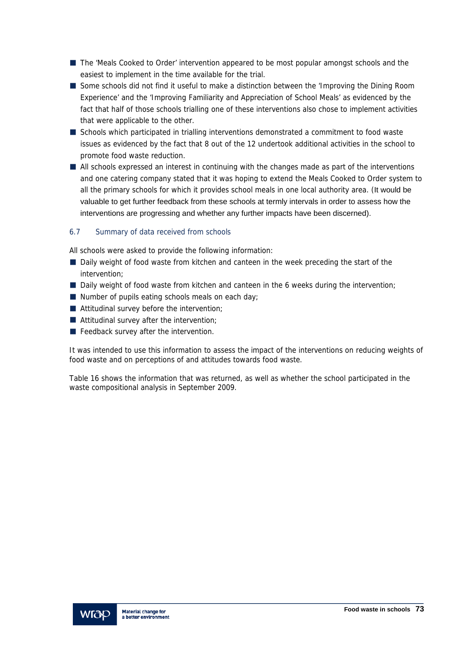- The 'Meals Cooked to Order' intervention appeared to be most popular amongst schools and the easiest to implement in the time available for the trial.
- Some schools did not find it useful to make a distinction between the 'Improving the Dining Room Experience' and the 'Improving Familiarity and Appreciation of School Meals' as evidenced by the fact that half of those schools trialling one of these interventions also chose to implement activities that were applicable to the other.
- Schools which participated in trialling interventions demonstrated a commitment to food waste issues as evidenced by the fact that 8 out of the 12 undertook additional activities in the school to promote food waste reduction.
- All schools expressed an interest in continuing with the changes made as part of the interventions and one catering company stated that it was hoping to extend the Meals Cooked to Order system to all the primary schools for which it provides school meals in one local authority area. (It would be valuable to get further feedback from these schools at termly intervals in order to assess how the interventions are progressing and whether any further impacts have been discerned).

## 6.7 Summary of data received from schools

All schools were asked to provide the following information:

- Daily weight of food waste from kitchen and canteen in the week preceding the start of the intervention;
- Daily weight of food waste from kitchen and canteen in the 6 weeks during the intervention;
- $\blacksquare$  Number of pupils eating schools meals on each day;
- Attitudinal survey before the intervention;
- Attitudinal survey after the intervention;
- **Feedback survey after the intervention.**

It was intended to use this information to assess the impact of the interventions on reducing weights of food waste and on perceptions of and attitudes towards food waste.

Table 16 shows the information that was returned, as well as whether the school participated in the waste compositional analysis in September 2009.

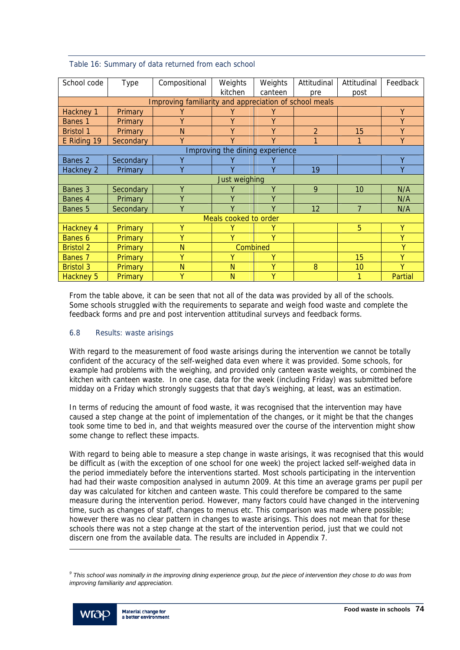| School code                                            | Type           | Compositional | Weights<br>kitchen              | Weights<br>canteen | Attitudinal<br>pre | Attitudinal<br>post | Feedback |  |
|--------------------------------------------------------|----------------|---------------|---------------------------------|--------------------|--------------------|---------------------|----------|--|
| Improving familiarity and appreciation of school meals |                |               |                                 |                    |                    |                     |          |  |
| Hackney 1                                              | Primary        | γ             | Υ                               | γ                  |                    |                     | Y        |  |
| Banes 1                                                | Primary        | Y             | Υ                               | Υ                  |                    |                     | Y        |  |
| <b>Bristol 1</b>                                       | Primary        | N             | Y                               | Y                  | $\mathfrak{D}$     | 15                  | Y        |  |
| E Riding 19                                            | Secondary      | Y             | v                               | γ                  | 1                  |                     | Y        |  |
|                                                        |                |               | Improving the dining experience |                    |                    |                     |          |  |
| Banes 2                                                | Secondary      |               |                                 |                    |                    |                     | Υ        |  |
| Hackney 2                                              | Primary        | Y             | V                               | γ                  | 19                 |                     | Y        |  |
| Just weighing                                          |                |               |                                 |                    |                    |                     |          |  |
| Banes 3                                                | Secondary      | Y             | v                               | Y                  | 9                  | 10                  | N/A      |  |
| Banes 4                                                | Primary        | γ             | γ                               | Υ                  |                    |                     | N/A      |  |
| Banes 5                                                | Secondary      | Y             | γ                               | γ                  | 12                 | $\overline{7}$      | N/A      |  |
|                                                        |                |               | Meals cooked to order           |                    |                    |                     |          |  |
| Hackney 4                                              | Primary        | γ             |                                 | ٧                  |                    | 5                   | Y        |  |
| Banes 6                                                | <b>Primary</b> | γ             | v                               | γ                  |                    |                     | Y        |  |
| <b>Bristol 2</b>                                       | Primary        | N             | Combined                        |                    |                    | Y                   |          |  |
| Banes 7                                                | Primary        | Υ             |                                 | Υ                  |                    | 15                  | Υ        |  |
| <b>Bristol 3</b>                                       | Primary        | N             | N                               | γ                  | 8                  | 10                  | v        |  |
| Hackney 5                                              | Primary        | Υ             | N                               | γ                  |                    |                     | Partial  |  |

## Table 16: Summary of data returned from each school

From the table above, it can be seen that not all of the data was provided by all of the schools. Some schools struggled with the requirements to separate and weigh food waste and complete the feedback forms and pre and post intervention attitudinal surveys and feedback forms.

#### 6.8 Results: waste arisings

With regard to the measurement of food waste arisings during the intervention we cannot be totally confident of the accuracy of the self-weighed data even where it was provided. Some schools, for example had problems with the weighing, and provided only canteen waste weights, or combined the kitchen with canteen waste. In one case, data for the week (including Friday) was submitted before midday on a Friday which strongly suggests that that day's weighing, at least, was an estimation.

In terms of reducing the amount of food waste, it was recognised that the intervention may have caused a step change at the point of implementation of the changes, or it might be that the changes took some time to bed in, and that weights measured over the course of the intervention might show some change to reflect these impacts.

With regard to being able to measure a step change in waste arisings, it was recognised that this would be difficult as (with the exception of one school for one week) the project lacked self-weighed data in the period immediately before the interventions started. Most schools participating in the intervention had had their waste composition analysed in autumn 2009. At this time an average grams per pupil per day was calculated for kitchen and canteen waste. This could therefore be compared to the same measure during the intervention period. However, many factors could have changed in the intervening time, such as changes of staff, changes to menus etc. This comparison was made where possible; however there was no clear pattern in changes to waste arisings. This does not mean that for these schools there was not a step change at the start of the intervention period, just that we could not discern one from the available data. The results are included in Appendix 7.

<sup>&</sup>lt;sup>9</sup> This school was nominally in the improving dining experience group, but the piece of intervention they chose to do was from *improving familiarity and appreciation.* 



l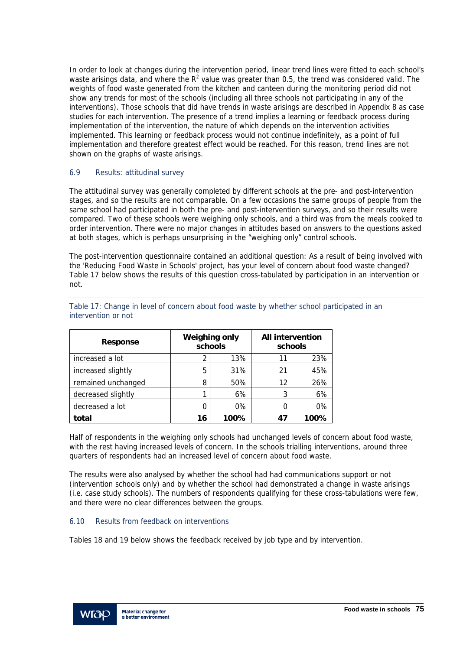In order to look at changes during the intervention period, linear trend lines were fitted to each school's waste arisings data, and where the  $R^2$  value was greater than 0.5, the trend was considered valid. The weights of food waste generated from the kitchen and canteen during the monitoring period did not show any trends for most of the schools (including all three schools not participating in any of the interventions). Those schools that did have trends in waste arisings are described in Appendix 8 as case studies for each intervention. The presence of a trend implies a learning or feedback process during implementation of the intervention, the nature of which depends on the intervention activities implemented. This learning or feedback process would not continue indefinitely, as a point of full implementation and therefore greatest effect would be reached. For this reason, trend lines are not shown on the graphs of waste arisings.

#### 6.9 Results: attitudinal survey

The attitudinal survey was generally completed by different schools at the pre- and post-intervention stages, and so the results are not comparable. On a few occasions the same groups of people from the same school had participated in both the pre- and post-intervention surveys, and so their results were compared. Two of these schools were weighing only schools, and a third was from the meals cooked to order intervention. There were no major changes in attitudes based on answers to the questions asked at both stages, which is perhaps unsurprising in the "weighing only" control schools.

The post-intervention questionnaire contained an additional question: As a result of being involved with the 'Reducing Food Waste in Schools' project, has your level of concern about food waste changed? Table 17 below shows the results of this question cross-tabulated by participation in an intervention or not.

| <b>Response</b>    | <b>Weighing only</b><br>schools |       | <b>All intervention</b><br>schools |      |
|--------------------|---------------------------------|-------|------------------------------------|------|
| increased a lot    | 2                               | 13%   | 11                                 | 23%  |
| increased slightly | 5                               | 31%   | 21                                 | 45%  |
| remained unchanged | 8                               | 50%   | 12                                 | 26%  |
| decreased slightly |                                 | 6%    | 3                                  | 6%   |
| decreased a lot    | Ω                               | $0\%$ |                                    | 0%   |
| total              | 16                              | 100%  | 47                                 | 100% |

Table 17: Change in level of concern about food waste by whether school participated in an intervention or not

Half of respondents in the weighing only schools had unchanged levels of concern about food waste, with the rest having increased levels of concern. In the schools trialling interventions, around three quarters of respondents had an increased level of concern about food waste.

The results were also analysed by whether the school had had communications support or not (intervention schools only) and by whether the school had demonstrated a change in waste arisings (i.e. case study schools). The numbers of respondents qualifying for these cross-tabulations were few, and there were no clear differences between the groups.

#### 6.10 Results from feedback on interventions

Tables 18 and 19 below shows the feedback received by job type and by intervention.

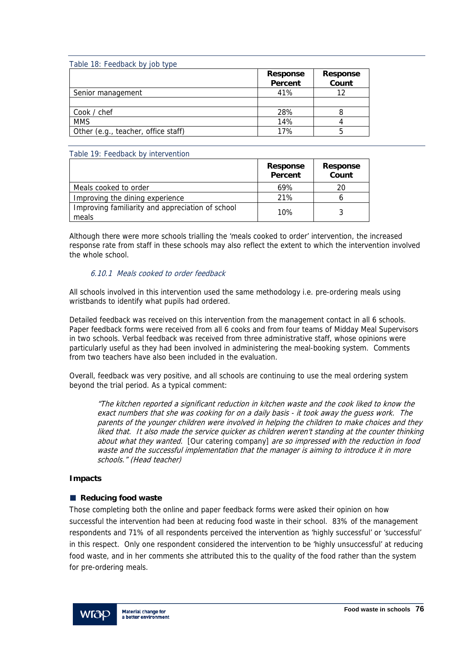| Table 18: Feedback by job type      |                                   |                          |
|-------------------------------------|-----------------------------------|--------------------------|
|                                     | <b>Response</b><br><b>Percent</b> | <b>Response</b><br>Count |
| Senior management                   | 41%                               | 12                       |
|                                     |                                   |                          |
| Cook / chef                         | 28%                               |                          |
| <b>MMS</b>                          | 14%                               |                          |
| Other (e.g., teacher, office staff) | 17%                               | 5                        |

#### Table 19: Feedback by intervention

|                                                           | <b>Response</b><br>Percent | <b>Response</b><br>Count |
|-----------------------------------------------------------|----------------------------|--------------------------|
| Meals cooked to order                                     | 69%                        | 20                       |
| Improving the dining experience                           | 21%                        |                          |
| Improving familiarity and appreciation of school<br>meals | 10%                        |                          |

Although there were more schools trialling the 'meals cooked to order' intervention, the increased response rate from staff in these schools may also reflect the extent to which the intervention involved the whole school.

## 6.10.1 Meals cooked to order feedback

All schools involved in this intervention used the same methodology i.e. pre-ordering meals using wristbands to identify what pupils had ordered.

Detailed feedback was received on this intervention from the management contact in all 6 schools. Paper feedback forms were received from all 6 cooks and from four teams of Midday Meal Supervisors in two schools. Verbal feedback was received from three administrative staff, whose opinions were particularly useful as they had been involved in administering the meal-booking system. Comments from two teachers have also been included in the evaluation.

Overall, feedback was very positive, and all schools are continuing to use the meal ordering system beyond the trial period. As a typical comment:

"The kitchen reported a significant reduction in kitchen waste and the cook liked to know the exact numbers that she was cooking for on a daily basis - it took away the guess work. The parents of the younger children were involved in helping the children to make choices and they liked that. It also made the service quicker as children weren't standing at the counter thinking about what they wanted. [Our catering company] are so impressed with the reduction in food waste and the successful implementation that the manager is aiming to introduce it in more schools." (Head teacher)

#### **Impacts**

#### ■ Reducing food waste

Those completing both the online and paper feedback forms were asked their opinion on how successful the intervention had been at reducing food waste in their school. 83% of the management respondents and 71% of all respondents perceived the intervention as 'highly successful' or 'successful' in this respect. Only one respondent considered the intervention to be 'highly unsuccessful' at reducing food waste, and in her comments she attributed this to the quality of the food rather than the system for pre-ordering meals.

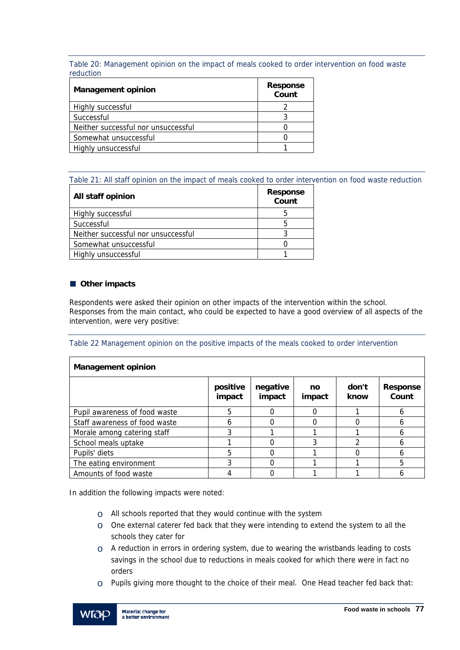Table 20: Management opinion on the impact of meals cooked to order intervention on food waste reduction

| <b>Management opinion</b>           | <b>Response</b><br>Count |
|-------------------------------------|--------------------------|
| Highly successful                   |                          |
| Successful                          |                          |
| Neither successful nor unsuccessful |                          |
| Somewhat unsuccessful               |                          |
| Highly unsuccessful                 |                          |

Table 21: All staff opinion on the impact of meals cooked to order intervention on food waste reduction

| All staff opinion                   | <b>Response</b><br>Count |
|-------------------------------------|--------------------------|
| Highly successful                   |                          |
| Successful                          | h                        |
| Neither successful nor unsuccessful |                          |
| Somewhat unsuccessful               |                          |
| Highly unsuccessful                 |                          |

## **Other impacts**

Respondents were asked their opinion on other impacts of the intervention within the school. Responses from the main contact, who could be expected to have a good overview of all aspects of the intervention, were very positive:

#### Table 22 Management opinion on the positive impacts of the meals cooked to order intervention

| <b>Management opinion</b>     |                    |                    |              |               |                          |  |  |
|-------------------------------|--------------------|--------------------|--------------|---------------|--------------------------|--|--|
|                               | positive<br>impact | negative<br>impact | no<br>impact | don't<br>know | <b>Response</b><br>Count |  |  |
| Pupil awareness of food waste | 5                  | ∩                  |              |               | 6                        |  |  |
| Staff awareness of food waste | h                  | 0                  |              |               | 6                        |  |  |
| Morale among catering staff   | 3                  |                    |              |               | h                        |  |  |
| School meals uptake           |                    | O                  |              | າ             | h                        |  |  |
| Pupils' diets                 | 5                  | 0                  |              |               | n                        |  |  |
| The eating environment        |                    | O                  |              |               | 5                        |  |  |
| Amounts of food waste         |                    |                    |              |               |                          |  |  |

In addition the following impacts were noted:

- $\circ$  All schools reported that they would continue with the system
- $\circ$  One external caterer fed back that they were intending to extend the system to all the schools they cater for
- $\circ$  A reduction in errors in ordering system, due to wearing the wristbands leading to costs savings in the school due to reductions in meals cooked for which there were in fact no orders
- $\circ$  Pupils giving more thought to the choice of their meal. One Head teacher fed back that:

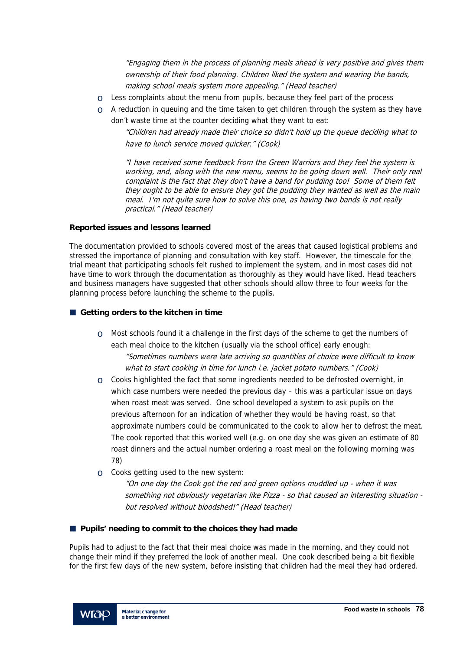"Engaging them in the process of planning meals ahead is very positive and gives them ownership of their food planning. Children liked the system and wearing the bands, making school meals system more appealing." (Head teacher)

- $\circ$  Less complaints about the menu from pupils, because they feel part of the process
- $\circ$  A reduction in queuing and the time taken to get children through the system as they have don't waste time at the counter deciding what they want to eat:

"Children had already made their choice so didn't hold up the queue deciding what to have to lunch service moved quicker." (Cook)

"I have received some feedback from the Green Warriors and they feel the system is working, and, along with the new menu, seems to be going down well. Their only real complaint is the fact that they don't have a band for pudding too! Some of them felt they ought to be able to ensure they got the pudding they wanted as well as the main meal. I'm not quite sure how to solve this one, as having two bands is not really practical." (Head teacher)

## **Reported issues and lessons learned**

The documentation provided to schools covered most of the areas that caused logistical problems and stressed the importance of planning and consultation with key staff. However, the timescale for the trial meant that participating schools felt rushed to implement the system, and in most cases did not have time to work through the documentation as thoroughly as they would have liked. Head teachers and business managers have suggested that other schools should allow three to four weeks for the planning process before launching the scheme to the pupils.

## **Getting orders to the kitchen in time**

- $\circ$  Most schools found it a challenge in the first days of the scheme to get the numbers of each meal choice to the kitchen (usually via the school office) early enough: "Sometimes numbers were late arriving so quantities of choice were difficult to know what to start cooking in time for lunch *i.e.* jacket potato numbers." (Cook)
- $\circ$  Cooks highlighted the fact that some ingredients needed to be defrosted overnight, in which case numbers were needed the previous day – this was a particular issue on days when roast meat was served. One school developed a system to ask pupils on the previous afternoon for an indication of whether they would be having roast, so that approximate numbers could be communicated to the cook to allow her to defrost the meat. The cook reported that this worked well (e.g. on one day she was given an estimate of 80 roast dinners and the actual number ordering a roast meal on the following morning was 78)
- o Cooks getting used to the new system:

"On one day the Cook got the red and green options muddled up - when it was something not obviously vegetarian like Pizza - so that caused an interesting situation but resolved without bloodshed!" (Head teacher)

## **Pupils' needing to commit to the choices they had made**

Pupils had to adjust to the fact that their meal choice was made in the morning, and they could not change their mind if they preferred the look of another meal. One cook described being a bit flexible for the first few days of the new system, before insisting that children had the meal they had ordered.

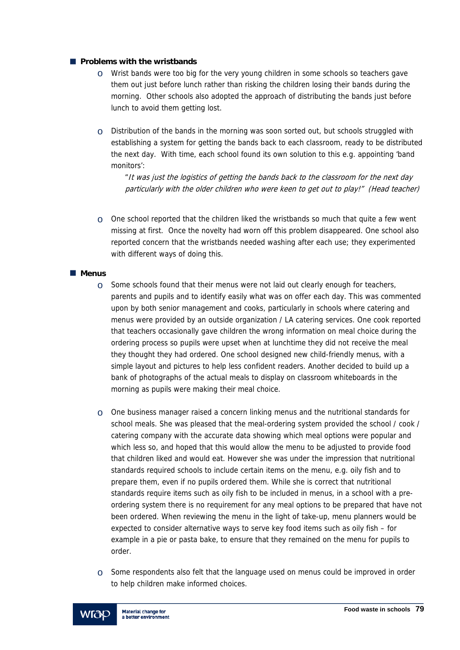#### **Problems with the wristbands**

- $\circ$  Wrist bands were too big for the very young children in some schools so teachers gave them out just before lunch rather than risking the children losing their bands during the morning. Other schools also adopted the approach of distributing the bands just before lunch to avoid them getting lost.
- $\circ$  Distribution of the bands in the morning was soon sorted out, but schools struggled with establishing a system for getting the bands back to each classroom, ready to be distributed the next day. With time, each school found its own solution to this e.g. appointing 'band monitors':

"It was just the logistics of getting the bands back to the classroom for the next day particularly with the older children who were keen to get out to play!" (Head teacher)

 $\circ$  One school reported that the children liked the wristbands so much that quite a few went missing at first. Once the novelty had worn off this problem disappeared. One school also reported concern that the wristbands needed washing after each use; they experimented with different ways of doing this.

#### **Menus**

- $\circ$  Some schools found that their menus were not laid out clearly enough for teachers, parents and pupils and to identify easily what was on offer each day. This was commented upon by both senior management and cooks, particularly in schools where catering and menus were provided by an outside organization / LA catering services. One cook reported that teachers occasionally gave children the wrong information on meal choice during the ordering process so pupils were upset when at lunchtime they did not receive the meal they thought they had ordered. One school designed new child-friendly menus, with a simple layout and pictures to help less confident readers. Another decided to build up a bank of photographs of the actual meals to display on classroom whiteboards in the morning as pupils were making their meal choice.
- $\circ$  One business manager raised a concern linking menus and the nutritional standards for school meals. She was pleased that the meal-ordering system provided the school / cook / catering company with the accurate data showing which meal options were popular and which less so, and hoped that this would allow the menu to be adjusted to provide food that children liked and would eat. However she was under the impression that nutritional standards required schools to include certain items on the menu, e.g. oily fish and to prepare them, even if no pupils ordered them. While she is correct that nutritional standards require items such as oily fish to be included in menus, in a school with a preordering system there is no requirement for any meal options to be prepared that have not been ordered. When reviewing the menu in the light of take-up, menu planners would be expected to consider alternative ways to serve key food items such as oily fish – for example in a pie or pasta bake, to ensure that they remained on the menu for pupils to order.
- $\circ$  Some respondents also felt that the language used on menus could be improved in order to help children make informed choices.

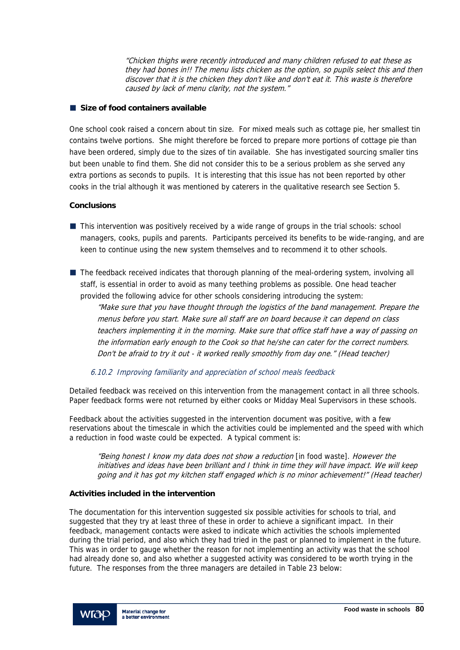"Chicken thighs were recently introduced and many children refused to eat these as they had bones in!! The menu lists chicken as the option, so pupils select this and then discover that it is the chicken they don't like and don't eat it. This waste is therefore caused by lack of menu clarity, not the system."

## **Size of food containers available**

One school cook raised a concern about tin size. For mixed meals such as cottage pie, her smallest tin contains twelve portions. She might therefore be forced to prepare more portions of cottage pie than have been ordered, simply due to the sizes of tin available. She has investigated sourcing smaller tins but been unable to find them. She did not consider this to be a serious problem as she served any extra portions as seconds to pupils. It is interesting that this issue has not been reported by other cooks in the trial although it was mentioned by caterers in the qualitative research see Section 5.

## **Conclusions**

- $\blacksquare$  This intervention was positively received by a wide range of groups in the trial schools: school managers, cooks, pupils and parents. Participants perceived its benefits to be wide-ranging, and are keen to continue using the new system themselves and to recommend it to other schools.
- The feedback received indicates that thorough planning of the meal-ordering system, involving all staff, is essential in order to avoid as many teething problems as possible. One head teacher provided the following advice for other schools considering introducing the system:

"Make sure that you have thought through the logistics of the band management. Prepare the menus before you start. Make sure all staff are on board because it can depend on class teachers implementing it in the morning. Make sure that office staff have a way of passing on the information early enough to the Cook so that he/she can cater for the correct numbers. Don't be afraid to try it out - it worked really smoothly from day one." (Head teacher)

6.10.2 Improving familiarity and appreciation of school meals feedback

Detailed feedback was received on this intervention from the management contact in all three schools. Paper feedback forms were not returned by either cooks or Midday Meal Supervisors in these schools.

Feedback about the activities suggested in the intervention document was positive, with a few reservations about the timescale in which the activities could be implemented and the speed with which a reduction in food waste could be expected. A typical comment is:

"Being honest I know my data does not show a reduction [in food waste]. However the initiatives and ideas have been brilliant and I think in time they will have impact. We will keep going and it has got my kitchen staff engaged which is no minor achievement!" (Head teacher)

#### **Activities included in the intervention**

The documentation for this intervention suggested six possible activities for schools to trial, and suggested that they try at least three of these in order to achieve a significant impact. In their feedback, management contacts were asked to indicate which activities the schools implemented during the trial period, and also which they had tried in the past or planned to implement in the future. This was in order to gauge whether the reason for not implementing an activity was that the school had already done so, and also whether a suggested activity was considered to be worth trying in the future. The responses from the three managers are detailed in Table 23 below:

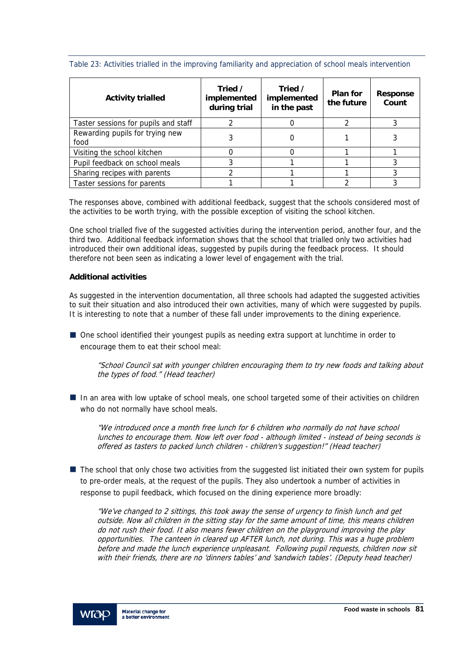| <b>Activity trialled</b>                | Tried /<br>implemented<br>during trial | Tried /<br>implemented<br>in the past | Plan for<br>the future | <b>Response</b><br>Count |
|-----------------------------------------|----------------------------------------|---------------------------------------|------------------------|--------------------------|
| Taster sessions for pupils and staff    |                                        |                                       |                        |                          |
| Rewarding pupils for trying new<br>food |                                        |                                       |                        |                          |
| Visiting the school kitchen             | 0                                      |                                       |                        |                          |
| Pupil feedback on school meals          |                                        |                                       |                        |                          |
| Sharing recipes with parents            |                                        |                                       |                        |                          |
| Taster sessions for parents             |                                        |                                       |                        |                          |

Table 23: Activities trialled in the improving familiarity and appreciation of school meals intervention

The responses above, combined with additional feedback, suggest that the schools considered most of the activities to be worth trying, with the possible exception of visiting the school kitchen.

One school trialled five of the suggested activities during the intervention period, another four, and the third two. Additional feedback information shows that the school that trialled only two activities had introduced their own additional ideas, suggested by pupils during the feedback process. It should therefore not been seen as indicating a lower level of engagement with the trial.

#### **Additional activities**

As suggested in the intervention documentation, all three schools had adapted the suggested activities to suit their situation and also introduced their own activities, many of which were suggested by pupils. It is interesting to note that a number of these fall under improvements to the dining experience.

 One school identified their youngest pupils as needing extra support at lunchtime in order to encourage them to eat their school meal:

"School Council sat with younger children encouraging them to try new foods and talking about the types of food." (Head teacher)

In an area with low uptake of school meals, one school targeted some of their activities on children who do not normally have school meals.

"We introduced once a month free lunch for 6 children who normally do not have school lunches to encourage them. Now left over food - although limited - instead of being seconds is offered as tasters to packed lunch children - children's suggestion!" (Head teacher)

 $\blacksquare$  The school that only chose two activities from the suggested list initiated their own system for pupils to pre-order meals, at the request of the pupils. They also undertook a number of activities in response to pupil feedback, which focused on the dining experience more broadly:

"We've changed to 2 sittings, this took away the sense of urgency to finish lunch and get outside. Now all children in the sitting stay for the same amount of time, this means children do not rush their food. It also means fewer children on the playground improving the play opportunities. The canteen in cleared up AFTER lunch, not during. This was a huge problem before and made the lunch experience unpleasant. Following pupil requests, children now sit with their friends, there are no 'dinners tables' and 'sandwich tables'. (Deputy head teacher)

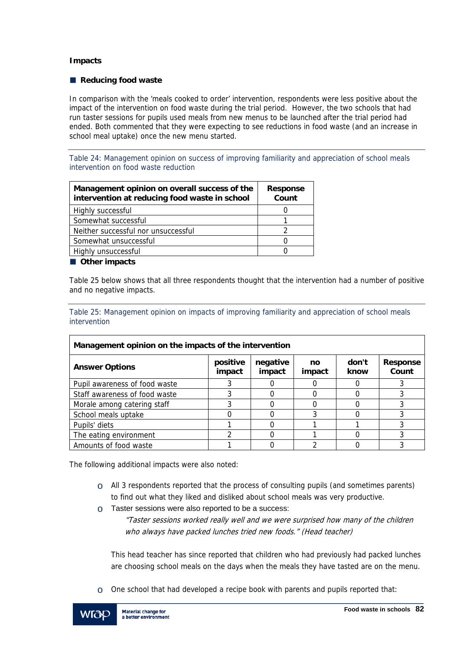#### **Impacts**

#### ■ Reducing food waste

In comparison with the 'meals cooked to order' intervention, respondents were less positive about the impact of the intervention on food waste during the trial period. However, the two schools that had run taster sessions for pupils used meals from new menus to be launched after the trial period had ended. Both commented that they were expecting to see reductions in food waste (and an increase in school meal uptake) once the new menu started.

Table 24: Management opinion on success of improving familiarity and appreciation of school meals intervention on food waste reduction

| Management opinion on overall success of the<br>intervention at reducing food waste in school | <b>Response</b><br>Count |
|-----------------------------------------------------------------------------------------------|--------------------------|
| Highly successful                                                                             |                          |
| Somewhat successful                                                                           |                          |
| Neither successful nor unsuccessful                                                           |                          |
| Somewhat unsuccessful                                                                         |                          |
| Highly unsuccessful                                                                           |                          |

#### **Other impacts**

Table 25 below shows that all three respondents thought that the intervention had a number of positive and no negative impacts.

Table 25: Management opinion on impacts of improving familiarity and appreciation of school meals intervention

| Management opinion on the impacts of the intervention |                    |                    |              |               |                          |  |  |
|-------------------------------------------------------|--------------------|--------------------|--------------|---------------|--------------------------|--|--|
| <b>Answer Options</b>                                 | positive<br>impact | negative<br>impact | no<br>impact | don't<br>know | <b>Response</b><br>Count |  |  |
| Pupil awareness of food waste                         |                    |                    |              |               |                          |  |  |
| Staff awareness of food waste                         |                    |                    |              |               |                          |  |  |
| Morale among catering staff                           |                    |                    |              |               |                          |  |  |
| School meals uptake                                   |                    |                    |              |               |                          |  |  |
| Pupils' diets                                         |                    |                    |              |               |                          |  |  |
| The eating environment                                |                    |                    |              |               |                          |  |  |
| Amounts of food waste                                 |                    |                    |              |               |                          |  |  |

The following additional impacts were also noted:

- $\circ$  All 3 respondents reported that the process of consulting pupils (and sometimes parents) to find out what they liked and disliked about school meals was very productive.
- $\circ$  Taster sessions were also reported to be a success:

"Taster sessions worked really well and we were surprised how many of the children who always have packed lunches tried new foods." (Head teacher)

This head teacher has since reported that children who had previously had packed lunches are choosing school meals on the days when the meals they have tasted are on the menu.

 $\circ$  One school that had developed a recipe book with parents and pupils reported that:

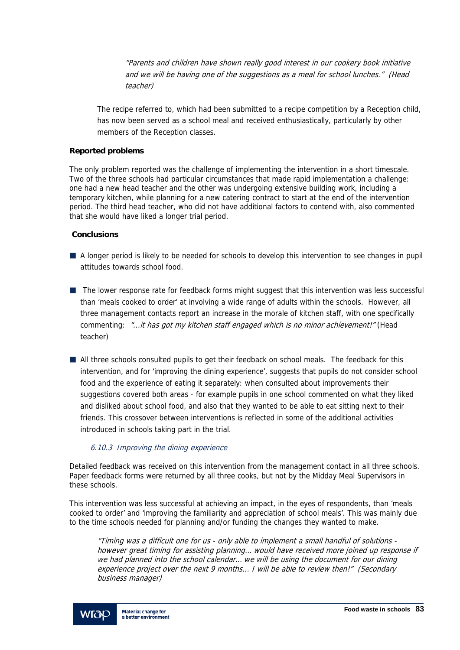"Parents and children have shown really good interest in our cookery book initiative and we will be having one of the suggestions as a meal for school lunches." (Head teacher)

The recipe referred to, which had been submitted to a recipe competition by a Reception child, has now been served as a school meal and received enthusiastically, particularly by other members of the Reception classes.

#### **Reported problems**

The only problem reported was the challenge of implementing the intervention in a short timescale. Two of the three schools had particular circumstances that made rapid implementation a challenge: one had a new head teacher and the other was undergoing extensive building work, including a temporary kitchen, while planning for a new catering contract to start at the end of the intervention period. The third head teacher, who did not have additional factors to contend with, also commented that she would have liked a longer trial period.

#### **Conclusions**

- A longer period is likely to be needed for schools to develop this intervention to see changes in pupil attitudes towards school food.
- The lower response rate for feedback forms might suggest that this intervention was less successful than 'meals cooked to order' at involving a wide range of adults within the schools. However, all three management contacts report an increase in the morale of kitchen staff, with one specifically commenting: "...it has got my kitchen staff engaged which is no minor achievement!" (Head teacher)
- All three schools consulted pupils to get their feedback on school meals. The feedback for this intervention, and for 'improving the dining experience', suggests that pupils do not consider school food and the experience of eating it separately: when consulted about improvements their suggestions covered both areas - for example pupils in one school commented on what they liked and disliked about school food, and also that they wanted to be able to eat sitting next to their friends. This crossover between interventions is reflected in some of the additional activities introduced in schools taking part in the trial.

#### 6.10.3 Improving the dining experience

Detailed feedback was received on this intervention from the management contact in all three schools. Paper feedback forms were returned by all three cooks, but not by the Midday Meal Supervisors in these schools.

This intervention was less successful at achieving an impact, in the eyes of respondents, than 'meals cooked to order' and 'improving the familiarity and appreciation of school meals'. This was mainly due to the time schools needed for planning and/or funding the changes they wanted to make.

"Timing was a difficult one for us - only able to implement a small handful of solutions however great timing for assisting planning… would have received more joined up response if we had planned into the school calendar… we will be using the document for our dining experience project over the next 9 months... I will be able to review then!" (Secondary business manager)

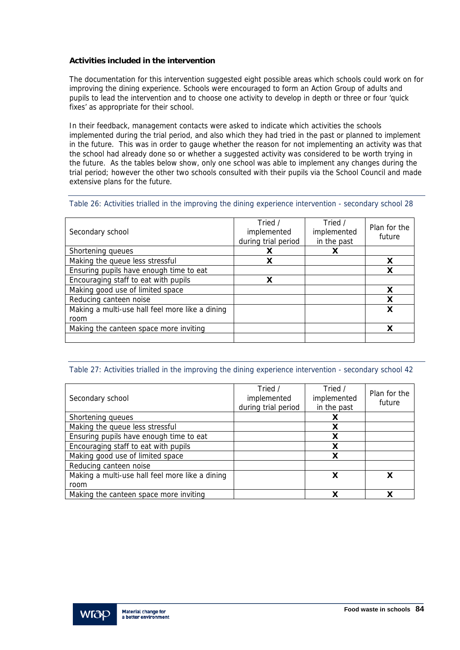### **Activities included in the intervention**

The documentation for this intervention suggested eight possible areas which schools could work on for improving the dining experience. Schools were encouraged to form an Action Group of adults and pupils to lead the intervention and to choose one activity to develop in depth or three or four 'quick fixes' as appropriate for their school.

In their feedback, management contacts were asked to indicate which activities the schools implemented during the trial period, and also which they had tried in the past or planned to implement in the future. This was in order to gauge whether the reason for not implementing an activity was that the school had already done so or whether a suggested activity was considered to be worth trying in the future. As the tables below show, only one school was able to implement any changes during the trial period; however the other two schools consulted with their pupils via the School Council and made extensive plans for the future.

#### Table 26: Activities trialled in the improving the dining experience intervention - secondary school 28

| Secondary school                                | Tried /<br>implemented<br>during trial period | Tried /<br>implemented<br>in the past | Plan for the<br>future |
|-------------------------------------------------|-----------------------------------------------|---------------------------------------|------------------------|
| Shortening queues                               |                                               |                                       |                        |
| Making the queue less stressful                 | χ                                             |                                       |                        |
| Ensuring pupils have enough time to eat         |                                               |                                       | X                      |
| Encouraging staff to eat with pupils            | χ                                             |                                       |                        |
| Making good use of limited space                |                                               |                                       | X                      |
| Reducing canteen noise                          |                                               |                                       | x                      |
| Making a multi-use hall feel more like a dining |                                               |                                       | X                      |
| room                                            |                                               |                                       |                        |
| Making the canteen space more inviting          |                                               |                                       | x                      |
|                                                 |                                               |                                       |                        |

#### Table 27: Activities trialled in the improving the dining experience intervention - secondary school 42

| Secondary school                                | Tried /<br>implemented<br>during trial period | Tried /<br>implemented<br>in the past | Plan for the<br>future |
|-------------------------------------------------|-----------------------------------------------|---------------------------------------|------------------------|
| Shortening queues                               |                                               | X                                     |                        |
| Making the queue less stressful                 |                                               | X                                     |                        |
| Ensuring pupils have enough time to eat         |                                               | X                                     |                        |
| Encouraging staff to eat with pupils            |                                               | X                                     |                        |
| Making good use of limited space                |                                               | X                                     |                        |
| Reducing canteen noise                          |                                               |                                       |                        |
| Making a multi-use hall feel more like a dining |                                               | x                                     | x                      |
| room                                            |                                               |                                       |                        |
| Making the canteen space more inviting          |                                               | x                                     | x                      |

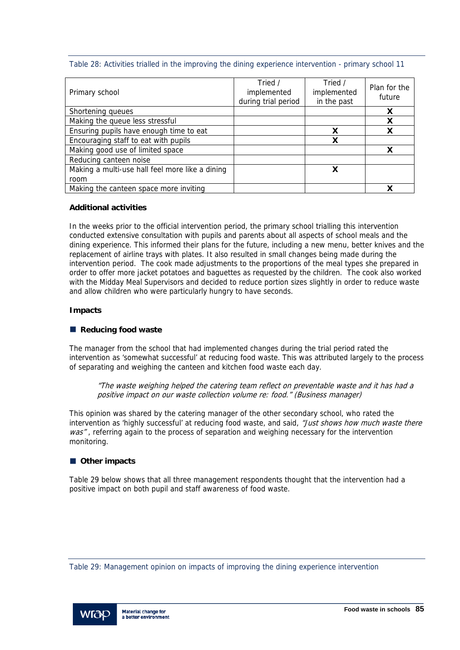Table 28: Activities trialled in the improving the dining experience intervention - primary school 11

| Primary school                                  | Tried /<br>implemented<br>during trial period | Tried /<br>implemented<br>in the past | Plan for the<br>future |
|-------------------------------------------------|-----------------------------------------------|---------------------------------------|------------------------|
| Shortening queues                               |                                               |                                       | X                      |
| Making the queue less stressful                 |                                               |                                       | X                      |
| Ensuring pupils have enough time to eat         |                                               | х                                     |                        |
| Encouraging staff to eat with pupils            |                                               | х                                     |                        |
| Making good use of limited space                |                                               |                                       | x                      |
| Reducing canteen noise                          |                                               |                                       |                        |
| Making a multi-use hall feel more like a dining |                                               | X                                     |                        |
| room                                            |                                               |                                       |                        |
| Making the canteen space more inviting          |                                               |                                       |                        |

## **Additional activities**

In the weeks prior to the official intervention period, the primary school trialling this intervention conducted extensive consultation with pupils and parents about all aspects of school meals and the dining experience. This informed their plans for the future, including a new menu, better knives and the replacement of airline trays with plates. It also resulted in small changes being made during the intervention period. The cook made adjustments to the proportions of the meal types she prepared in order to offer more jacket potatoes and baguettes as requested by the children. The cook also worked with the Midday Meal Supervisors and decided to reduce portion sizes slightly in order to reduce waste and allow children who were particularly hungry to have seconds.

#### **Impacts**

### ■ Reducing food waste

The manager from the school that had implemented changes during the trial period rated the intervention as 'somewhat successful' at reducing food waste. This was attributed largely to the process of separating and weighing the canteen and kitchen food waste each day.

"The waste weighing helped the catering team reflect on preventable waste and it has had a positive impact on our waste collection volume re: food." (Business manager)

This opinion was shared by the catering manager of the other secondary school, who rated the intervention as 'highly successful' at reducing food waste, and said, "Just shows how much waste there was", referring again to the process of separation and weighing necessary for the intervention monitoring.

## ■ Other impacts

Table 29 below shows that all three management respondents thought that the intervention had a positive impact on both pupil and staff awareness of food waste.

Table 29: Management opinion on impacts of improving the dining experience intervention

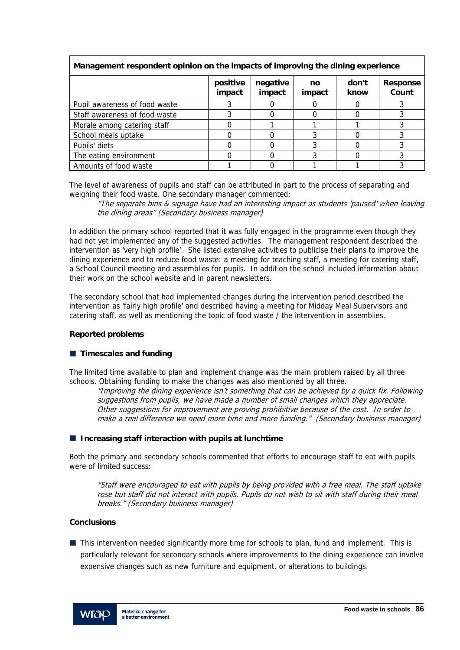| management respondent opinion on the impacts or improving the alling experience |                    |                    |              |               |                          |  |  |
|---------------------------------------------------------------------------------|--------------------|--------------------|--------------|---------------|--------------------------|--|--|
|                                                                                 | positive<br>impact | negative<br>impact | no<br>impact | don't<br>know | <b>Response</b><br>Count |  |  |
| Pupil awareness of food waste                                                   |                    |                    |              |               |                          |  |  |
| Staff awareness of food waste                                                   |                    |                    |              |               |                          |  |  |
| Morale among catering staff                                                     |                    |                    |              |               |                          |  |  |
| School meals uptake                                                             |                    |                    |              |               |                          |  |  |
| Pupils' diets                                                                   |                    |                    |              |               |                          |  |  |
| The eating environment                                                          |                    |                    |              |               |                          |  |  |
| Amounts of food waste                                                           |                    |                    |              |               |                          |  |  |

## **Management respondent opinion on the impacts of improving the dining experience**

The level of awareness of pupils and staff can be attributed in part to the process of separating and weighing their food waste. One secondary manager commented:

"The separate bins & signage have had an interesting impact as students 'paused' when leaving the dining areas" (Secondary business manager)

In addition the primary school reported that it was fully engaged in the programme even though they had not yet implemented any of the suggested activities. The management respondent described the intervention as 'very high profile'. She listed extensive activities to publicise their plans to improve the dining experience and to reduce food waste: a meeting for teaching staff, a meeting for catering staff, a School Council meeting and assemblies for pupils. In addition the school included information about their work on the school website and in parent newsletters.

The secondary school that had implemented changes during the intervention period described the intervention as 'fairly high profile' and described having a meeting for Midday Meal Supervisors and catering staff, as well as mentioning the topic of food waste / the intervention in assemblies.

#### **Reported problems**

#### **Timescales and funding**

The limited time available to plan and implement change was the main problem raised by all three schools. Obtaining funding to make the changes was also mentioned by all three.

"Improving the dining experience isn't something that can be achieved by a quick fix. Following suggestions from pupils, we have made a number of small changes which they appreciate. Other suggestions for improvement are proving prohibitive because of the cost. In order to make a real difference we need more time and more funding." (Secondary business manager)

#### **Increasing staff interaction with pupils at lunchtime**

Both the primary and secondary schools commented that efforts to encourage staff to eat with pupils were of limited success:

"Staff were encouraged to eat with pupils by being provided with a free meal. The staff uptake rose but staff did not interact with pupils. Pupils do not wish to sit with staff during their meal breaks." (Secondary business manager)

#### **Conclusions**

■ This intervention needed significantly more time for schools to plan, fund and implement. This is particularly relevant for secondary schools where improvements to the dining experience can involve expensive changes such as new furniture and equipment, or alterations to buildings.

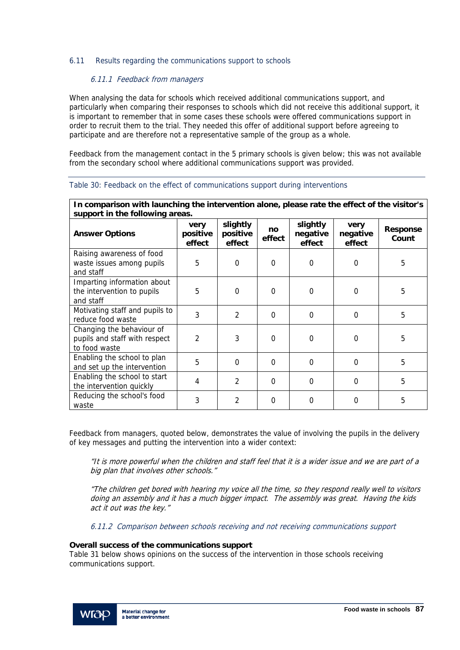#### 6.11 Results regarding the communications support to schools

#### 6.11.1 Feedback from managers

When analysing the data for schools which received additional communications support, and particularly when comparing their responses to schools which did not receive this additional support, it is important to remember that in some cases these schools were offered communications support in order to recruit them to the trial. They needed this offer of additional support before agreeing to participate and are therefore not a representative sample of the group as a whole.

Feedback from the management contact in the 5 primary schools is given below; this was not available from the secondary school where additional communications support was provided.

| In comparison with launching the intervention alone, please rate the effect of the visitor's<br>support in the following areas. |                            |                                |              |                                |                            |                          |
|---------------------------------------------------------------------------------------------------------------------------------|----------------------------|--------------------------------|--------------|--------------------------------|----------------------------|--------------------------|
| <b>Answer Options</b>                                                                                                           | very<br>positive<br>effect | slightly<br>positive<br>effect | no<br>effect | slightly<br>negative<br>effect | very<br>negative<br>effect | <b>Response</b><br>Count |
| Raising awareness of food<br>waste issues among pupils<br>and staff                                                             | 5                          | 0                              | 0            | 0                              | 0                          | 5                        |
| Imparting information about<br>the intervention to pupils<br>and staff                                                          | 5                          | $\Omega$                       | $\Omega$     | $\mathbf 0$                    | 0                          | 5                        |
| Motivating staff and pupils to<br>reduce food waste                                                                             | 3                          | $\mathcal{P}$                  | $\Omega$     | $\Omega$                       | $\Omega$                   | 5                        |
| Changing the behaviour of<br>pupils and staff with respect<br>to food waste                                                     | $\overline{2}$             | 3                              | $\mathbf 0$  | $\overline{0}$                 | 0                          | 5                        |
| Enabling the school to plan<br>and set up the intervention                                                                      | 5                          | $\Omega$                       | $\Omega$     | $\Omega$                       | $\Omega$                   | 5                        |
| Enabling the school to start<br>the intervention quickly                                                                        | $\overline{4}$             | $\overline{2}$                 | $\Omega$     | $\Omega$                       | $\Omega$                   | 5                        |
| Reducing the school's food<br>waste                                                                                             | 3                          | $\overline{2}$                 | $\Omega$     | $\Omega$                       | $\Omega$                   | 5                        |

#### Table 30: Feedback on the effect of communications support during interventions

Feedback from managers, quoted below, demonstrates the value of involving the pupils in the delivery of key messages and putting the intervention into a wider context:

"It is more powerful when the children and staff feel that it is a wider issue and we are part of a big plan that involves other schools."

"The children get bored with hearing my voice all the time, so they respond really well to visitors doing an assembly and it has a much bigger impact. The assembly was great. Having the kids act it out was the key."

6.11.2 Comparison between schools receiving and not receiving communications support

#### **Overall success of the communications support**

Table 31 below shows opinions on the success of the intervention in those schools receiving communications support.

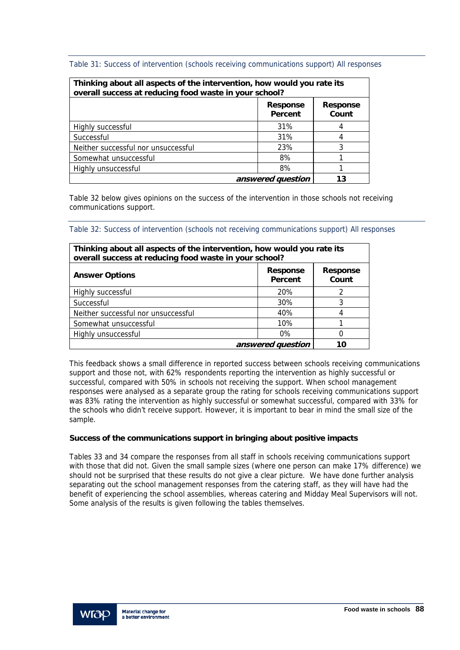Table 31: Success of intervention (schools receiving communications support) All responses

| Thinking about all aspects of the intervention, how would you rate its<br>overall success at reducing food waste in your school? |                                                        |   |  |  |  |  |
|----------------------------------------------------------------------------------------------------------------------------------|--------------------------------------------------------|---|--|--|--|--|
|                                                                                                                                  | <b>Response</b><br><b>Response</b><br>Count<br>Percent |   |  |  |  |  |
| Highly successful                                                                                                                | 31%                                                    |   |  |  |  |  |
| Successful                                                                                                                       | 31%                                                    |   |  |  |  |  |
| Neither successful nor unsuccessful                                                                                              | 23%                                                    | 3 |  |  |  |  |
| Somewhat unsuccessful                                                                                                            | 8%                                                     |   |  |  |  |  |
| Highly unsuccessful                                                                                                              |                                                        |   |  |  |  |  |
| answered question                                                                                                                | 13                                                     |   |  |  |  |  |

Table 32 below gives opinions on the success of the intervention in those schools not receiving communications support.

Table 32: Success of intervention (schools not receiving communications support) All responses

| Thinking about all aspects of the intervention, how would you rate its<br>overall success at reducing food waste in your school? |            |   |  |  |  |
|----------------------------------------------------------------------------------------------------------------------------------|------------|---|--|--|--|
| <b>Response</b><br><b>Response</b><br><b>Answer Options</b><br>Percent                                                           |            |   |  |  |  |
| Highly successful                                                                                                                | <b>20%</b> | 2 |  |  |  |
| Successful                                                                                                                       | 30%        | 3 |  |  |  |
| Neither successful nor unsuccessful                                                                                              | 40%        |   |  |  |  |
| Somewhat unsuccessful                                                                                                            | 10%        |   |  |  |  |
| Highly unsuccessful                                                                                                              | $0\%$      | ი |  |  |  |
| answered question                                                                                                                | 10         |   |  |  |  |

This feedback shows a small difference in reported success between schools receiving communications support and those not, with 62% respondents reporting the intervention as highly successful or successful, compared with 50% in schools not receiving the support. When school management responses were analysed as a separate group the rating for schools receiving communications support was 83% rating the intervention as highly successful or somewhat successful, compared with 33% for the schools who didn't receive support. However, it is important to bear in mind the small size of the sample.

## **Success of the communications support in bringing about positive impacts**

Tables 33 and 34 compare the responses from all staff in schools receiving communications support with those that did not. Given the small sample sizes (where one person can make 17% difference) we should not be surprised that these results do not give a clear picture. We have done further analysis separating out the school management responses from the catering staff, as they will have had the benefit of experiencing the school assemblies, whereas catering and Midday Meal Supervisors will not. Some analysis of the results is given following the tables themselves.

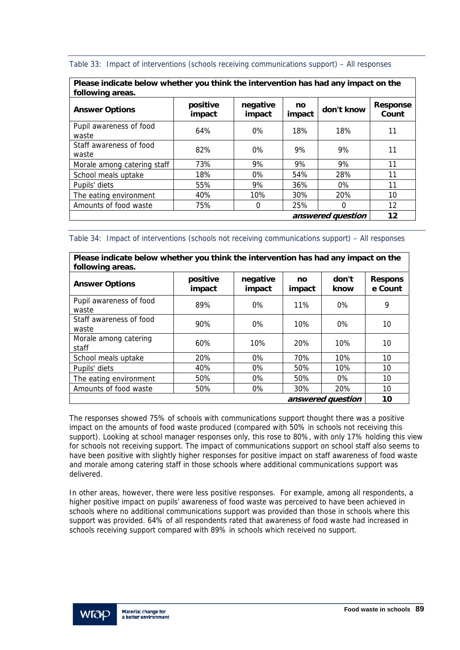| Table 33: Impact of interventions (schools receiving communications support) - All responses |  |  |
|----------------------------------------------------------------------------------------------|--|--|
|                                                                                              |  |  |

| Please indicate below whether you think the intervention has had any impact on the<br>following areas. |                    |                    |              |            |                          |  |
|--------------------------------------------------------------------------------------------------------|--------------------|--------------------|--------------|------------|--------------------------|--|
| <b>Answer Options</b>                                                                                  | positive<br>impact | negative<br>impact | no<br>impact | don't know | <b>Response</b><br>Count |  |
| Pupil awareness of food<br>waste                                                                       | 64%                | $0\%$              | 18%          | 18%        | 11                       |  |
| Staff awareness of food<br>waste                                                                       | 82%                | $0\%$              | 9%           | 9%         | 11                       |  |
| Morale among catering staff                                                                            | 73%                | 9%                 | 9%           | 9%         | 11                       |  |
| School meals uptake                                                                                    | 18%                | $0\%$              | 54%          | 28%        | 11                       |  |
| Pupils' diets                                                                                          | 55%                | 9%                 | 36%          | $0\%$      | 11                       |  |
| The eating environment                                                                                 | 40%                | 10%                | 30%          | 20%        | 10                       |  |
| Amounts of food waste                                                                                  | 75%                | 0                  | 25%          | 0          | 12                       |  |
| answered question                                                                                      |                    |                    |              |            | 12                       |  |

Table 34: Impact of interventions (schools not receiving communications support) – All responses

| Please indicate below whether you think the intervention has had any impact on the<br>following areas. |                    |                    |              |               |                           |
|--------------------------------------------------------------------------------------------------------|--------------------|--------------------|--------------|---------------|---------------------------|
| <b>Answer Options</b>                                                                                  | positive<br>impact | negative<br>impact | no<br>impact | don't<br>know | <b>Respons</b><br>e Count |
| Pupil awareness of food<br>waste                                                                       | 89%                | $0\%$              | $11\%$       | $0\%$         | 9                         |
| Staff awareness of food<br>waste                                                                       | 90%                | $0\%$              | 10%          | $0\%$         | 10                        |
| Morale among catering<br>staff                                                                         | 60%                | 10%                | 20%          | 10%           | 10                        |
| School meals uptake                                                                                    | 20%                | $0\%$              | 70%          | 10%           | 10                        |
| Pupils' diets                                                                                          | 40%                | $0\%$              | 50%          | 10%           | 10                        |
| The eating environment                                                                                 | 50%                | $0\%$              | 50%          | $0\%$         | 10                        |
| Amounts of food waste                                                                                  | 50%                | 0%                 | 30%          | 20%           | 10                        |
| answered question                                                                                      |                    |                    |              |               | 10                        |

The responses showed 75% of schools with communications support thought there was a positive impact on the amounts of food waste produced (compared with 50% in schools not receiving this support). Looking at school manager responses only, this rose to 80%, with only 17% holding this view for schools not receiving support. The impact of communications support on school staff also seems to have been positive with slightly higher responses for positive impact on staff awareness of food waste and morale among catering staff in those schools where additional communications support was delivered.

In other areas, however, there were less positive responses. For example, among all respondents, a higher positive impact on pupils' awareness of food waste was perceived to have been achieved in schools where no additional communications support was provided than those in schools where this support was provided. 64% of all respondents rated that awareness of food waste had increased in schools receiving support compared with 89% in schools which received no support.

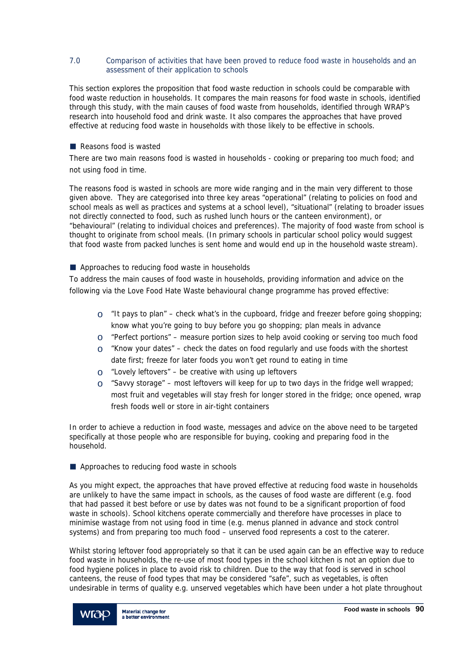#### 7.0 Comparison of activities that have been proved to reduce food waste in households and an assessment of their application to schools

This section explores the proposition that food waste reduction in schools could be comparable with food waste reduction in households. It compares the main reasons for food waste in schools, identified through this study, with the main causes of food waste from households, identified through WRAP's research into household food and drink waste. It also compares the approaches that have proved effective at reducing food waste in households with those likely to be effective in schools.

#### Reasons food is wasted

There are two main reasons food is wasted in households - cooking or preparing too much food; and not using food in time.

The reasons food is wasted in schools are more wide ranging and in the main very different to those given above. They are categorised into three key areas "operational" (relating to policies on food and school meals as well as practices and systems at a school level), "situational" (relating to broader issues not directly connected to food, such as rushed lunch hours or the canteen environment), or "behavioural" (relating to individual choices and preferences). The majority of food waste from school is thought to originate from school meals. (In primary schools in particular school policy would suggest that food waste from packed lunches is sent home and would end up in the household waste stream).

Approaches to reducing food waste in households

To address the main causes of food waste in households, providing information and advice on the following via the Love Food Hate Waste behavioural change programme has proved effective:

- $\circ$  "It pays to plan" check what's in the cupboard, fridge and freezer before going shopping; know what you're going to buy before you go shopping; plan meals in advance
- $\circ$  "Perfect portions" measure portion sizes to help avoid cooking or serving too much food
- $\circ$  "Know your dates" check the dates on food regularly and use foods with the shortest date first; freeze for later foods you won't get round to eating in time
- $\circ$  "Lovely leftovers" be creative with using up leftovers
- $\circ$  "Savvy storage" most leftovers will keep for up to two days in the fridge well wrapped; most fruit and vegetables will stay fresh for longer stored in the fridge; once opened, wrap fresh foods well or store in air-tight containers

In order to achieve a reduction in food waste, messages and advice on the above need to be targeted specifically at those people who are responsible for buying, cooking and preparing food in the household.

#### Approaches to reducing food waste in schools

As you might expect, the approaches that have proved effective at reducing food waste in households are unlikely to have the same impact in schools, as the causes of food waste are different (e.g. food that had passed it best before or use by dates was not found to be a significant proportion of food waste in schools). School kitchens operate commercially and therefore have processes in place to minimise wastage from not using food in time (e.g. menus planned in advance and stock control systems) and from preparing too much food – unserved food represents a cost to the caterer.

Whilst storing leftover food appropriately so that it can be used again can be an effective way to reduce food waste in households, the re-use of most food types in the school kitchen is not an option due to food hygiene polices in place to avoid risk to children. Due to the way that food is served in school canteens, the reuse of food types that may be considered "safe", such as vegetables, is often undesirable in terms of quality e.g. unserved vegetables which have been under a hot plate throughout

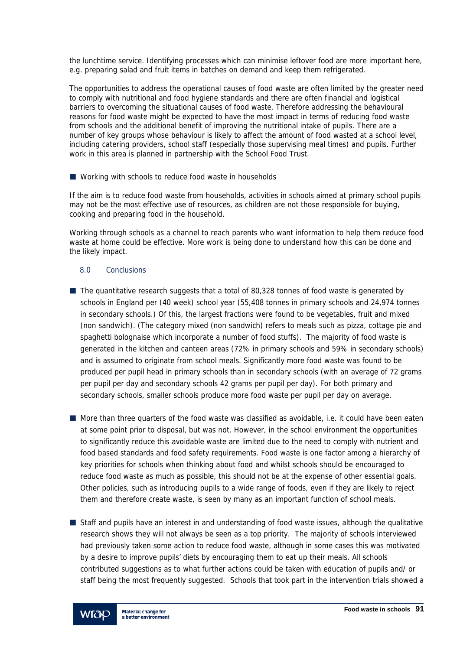the lunchtime service. Identifying processes which can minimise leftover food are more important here, e.g. preparing salad and fruit items in batches on demand and keep them refrigerated.

The opportunities to address the operational causes of food waste are often limited by the greater need to comply with nutritional and food hygiene standards and there are often financial and logistical barriers to overcoming the situational causes of food waste. Therefore addressing the behavioural reasons for food waste might be expected to have the most impact in terms of reducing food waste from schools and the additional benefit of improving the nutritional intake of pupils. There are a number of key groups whose behaviour is likely to affect the amount of food wasted at a school level, including catering providers, school staff (especially those supervising meal times) and pupils. Further work in this area is planned in partnership with the School Food Trust.

■ Working with schools to reduce food waste in households

If the aim is to reduce food waste from households, activities in schools aimed at primary school pupils may not be the most effective use of resources, as children are not those responsible for buying, cooking and preparing food in the household.

Working through schools as a channel to reach parents who want information to help them reduce food waste at home could be effective. More work is being done to understand how this can be done and the likely impact.

#### 8.0 Conclusions

- $\blacksquare$  The quantitative research suggests that a total of 80,328 tonnes of food waste is generated by schools in England per (40 week) school year (55,408 tonnes in primary schools and 24,974 tonnes in secondary schools.) Of this, the largest fractions were found to be vegetables, fruit and mixed (non sandwich). (The category mixed (non sandwich) refers to meals such as pizza, cottage pie and spaghetti bolognaise which incorporate a number of food stuffs). The majority of food waste is generated in the kitchen and canteen areas (72% in primary schools and 59% in secondary schools) and is assumed to originate from school meals. Significantly more food waste was found to be produced per pupil head in primary schools than in secondary schools (with an average of 72 grams per pupil per day and secondary schools 42 grams per pupil per day). For both primary and secondary schools, smaller schools produce more food waste per pupil per day on average.
- **More than three quarters of the food waste was classified as avoidable, i.e. it could have been eaten** at some point prior to disposal, but was not. However, in the school environment the opportunities to significantly reduce this avoidable waste are limited due to the need to comply with nutrient and food based standards and food safety requirements. Food waste is one factor among a hierarchy of key priorities for schools when thinking about food and whilst schools should be encouraged to reduce food waste as much as possible, this should not be at the expense of other essential goals. Other policies, such as introducing pupils to a wide range of foods, even if they are likely to reject them and therefore create waste, is seen by many as an important function of school meals.
- Staff and pupils have an interest in and understanding of food waste issues, although the qualitative research shows they will not always be seen as a top priority. The majority of schools interviewed had previously taken some action to reduce food waste, although in some cases this was motivated by a desire to improve pupils' diets by encouraging them to eat up their meals. All schools contributed suggestions as to what further actions could be taken with education of pupils and/ or staff being the most frequently suggested. Schools that took part in the intervention trials showed a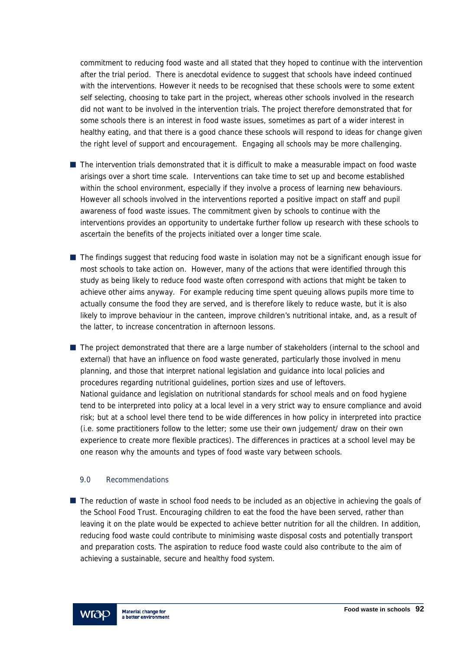commitment to reducing food waste and all stated that they hoped to continue with the intervention after the trial period. There is anecdotal evidence to suggest that schools have indeed continued with the interventions. However it needs to be recognised that these schools were to some extent self selecting, choosing to take part in the project, whereas other schools involved in the research did not want to be involved in the intervention trials. The project therefore demonstrated that for some schools there is an interest in food waste issues, sometimes as part of a wider interest in healthy eating, and that there is a good chance these schools will respond to ideas for change given the right level of support and encouragement. Engaging all schools may be more challenging.

- The intervention trials demonstrated that it is difficult to make a measurable impact on food waste arisings over a short time scale. Interventions can take time to set up and become established within the school environment, especially if they involve a process of learning new behaviours. However all schools involved in the interventions reported a positive impact on staff and pupil awareness of food waste issues. The commitment given by schools to continue with the interventions provides an opportunity to undertake further follow up research with these schools to ascertain the benefits of the projects initiated over a longer time scale.
- The findings suggest that reducing food waste in isolation may not be a significant enough issue for most schools to take action on. However, many of the actions that were identified through this study as being likely to reduce food waste often correspond with actions that might be taken to achieve other aims anyway. For example reducing time spent queuing allows pupils more time to actually consume the food they are served, and is therefore likely to reduce waste, but it is also likely to improve behaviour in the canteen, improve children's nutritional intake, and, as a result of the latter, to increase concentration in afternoon lessons.
- The project demonstrated that there are a large number of stakeholders (internal to the school and external) that have an influence on food waste generated, particularly those involved in menu planning, and those that interpret national legislation and guidance into local policies and procedures regarding nutritional guidelines, portion sizes and use of leftovers. National guidance and legislation on nutritional standards for school meals and on food hygiene tend to be interpreted into policy at a local level in a very strict way to ensure compliance and avoid risk; but at a school level there tend to be wide differences in how policy in interpreted into practice (i.e. some practitioners follow to the letter; some use their own judgement/ draw on their own experience to create more flexible practices). The differences in practices at a school level may be one reason why the amounts and types of food waste vary between schools.

#### 9.0 Recommendations

■ The reduction of waste in school food needs to be included as an objective in achieving the goals of the School Food Trust. Encouraging children to eat the food the have been served, rather than leaving it on the plate would be expected to achieve better nutrition for all the children. In addition, reducing food waste could contribute to minimising waste disposal costs and potentially transport and preparation costs. The aspiration to reduce food waste could also contribute to the aim of achieving a sustainable, secure and healthy food system.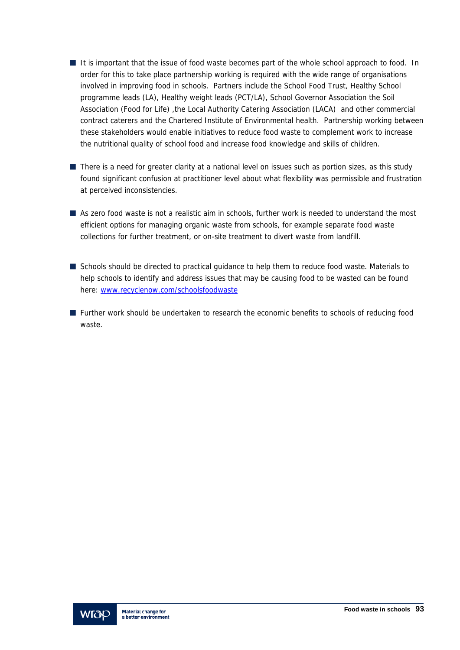- It is important that the issue of food waste becomes part of the whole school approach to food. In order for this to take place partnership working is required with the wide range of organisations involved in improving food in schools. Partners include the School Food Trust, Healthy School programme leads (LA), Healthy weight leads (PCT/LA), School Governor Association the Soil Association (Food for Life) ,the Local Authority Catering Association (LACA) and other commercial contract caterers and the Chartered Institute of Environmental health. Partnership working between these stakeholders would enable initiatives to reduce food waste to complement work to increase the nutritional quality of school food and increase food knowledge and skills of children.
- There is a need for greater clarity at a national level on issues such as portion sizes, as this study found significant confusion at practitioner level about what flexibility was permissible and frustration at perceived inconsistencies.
- As zero food waste is not a realistic aim in schools, further work is needed to understand the most efficient options for managing organic waste from schools, for example separate food waste collections for further treatment, or on-site treatment to divert waste from landfill.
- Schools should be directed to practical guidance to help them to reduce food waste. Materials to help schools to identify and address issues that may be causing food to be wasted can be found here: www.recyclenow.com/schoolsfoodwaste
- **Further work should be undertaken to research the economic benefits to schools of reducing food** waste.

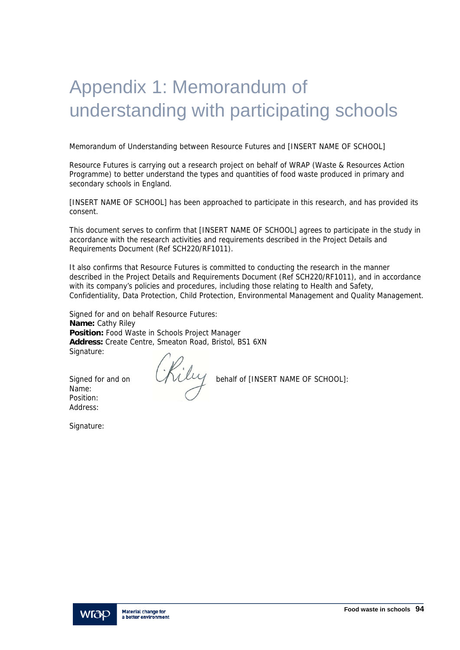## Appendix 1: Memorandum of understanding with participating schools

Memorandum of Understanding between Resource Futures and [INSERT NAME OF SCHOOL]

Resource Futures is carrying out a research project on behalf of WRAP (Waste & Resources Action Programme) to better understand the types and quantities of food waste produced in primary and secondary schools in England.

[INSERT NAME OF SCHOOL] has been approached to participate in this research, and has provided its consent.

This document serves to confirm that [INSERT NAME OF SCHOOL] agrees to participate in the study in accordance with the research activities and requirements described in the Project Details and Requirements Document (Ref SCH220/RF1011).

It also confirms that Resource Futures is committed to conducting the research in the manner described in the Project Details and Requirements Document (Ref SCH220/RF1011), and in accordance with its company's policies and procedures, including those relating to Health and Safety, Confidentiality, Data Protection, Child Protection, Environmental Management and Quality Management.

Signed for and on behalf Resource Futures: **Name:** Cathy Riley **Position:** Food Waste in Schools Project Manager **Address:** Create Centre, Smeaton Road, Bristol, BS1 6XN Signature:

Name: Position: Address:

Signed for and on **Chilly** behalf of [INSERT NAME OF SCHOOL]:

Signature:

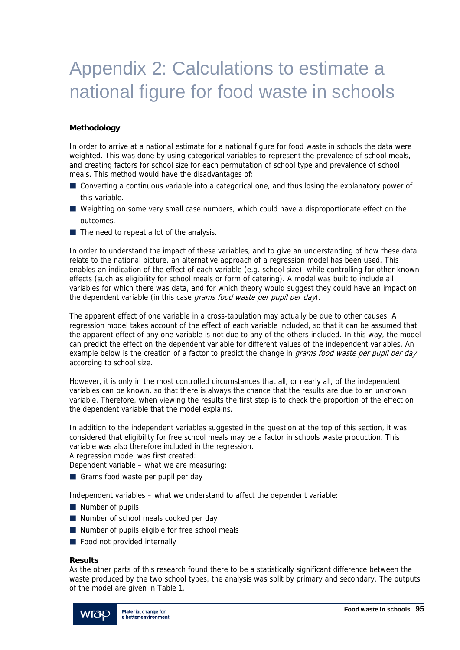## Appendix 2: Calculations to estimate a national figure for food waste in schools

## **Methodology**

In order to arrive at a national estimate for a national figure for food waste in schools the data were weighted. This was done by using categorical variables to represent the prevalence of school meals, and creating factors for school size for each permutation of school type and prevalence of school meals. This method would have the disadvantages of:

- Converting a continuous variable into a categorical one, and thus losing the explanatory power of this variable.
- Weighting on some very small case numbers, which could have a disproportionate effect on the outcomes.
- $\blacksquare$  The need to repeat a lot of the analysis.

In order to understand the impact of these variables, and to give an understanding of how these data relate to the national picture, an alternative approach of a regression model has been used. This enables an indication of the effect of each variable (e.g. school size), while controlling for other known effects (such as eligibility for school meals or form of catering). A model was built to include all variables for which there was data, and for which theory would suggest they could have an impact on the dependent variable (in this case grams food waste per pupil per day).

The apparent effect of one variable in a cross-tabulation may actually be due to other causes. A regression model takes account of the effect of each variable included, so that it can be assumed that the apparent effect of any one variable is not due to any of the others included. In this way, the model can predict the effect on the dependent variable for different values of the independent variables. An example below is the creation of a factor to predict the change in *grams food waste per pupil per day* according to school size.

However, it is only in the most controlled circumstances that all, or nearly all, of the independent variables can be known, so that there is always the chance that the results are due to an unknown variable. Therefore, when viewing the results the first step is to check the proportion of the effect on the dependent variable that the model explains.

In addition to the independent variables suggested in the question at the top of this section, it was considered that eligibility for free school meals may be a factor in schools waste production. This variable was also therefore included in the regression.

A regression model was first created:

Dependent variable – what we are measuring:

Grams food waste per pupil per day

Independent variables – what we understand to affect the dependent variable:

- Number of pupils
- Number of school meals cooked per day
- Number of pupils eligible for free school meals
- Food not provided internally

#### **Results**

As the other parts of this research found there to be a statistically significant difference between the waste produced by the two school types, the analysis was split by primary and secondary. The outputs of the model are given in Table 1.

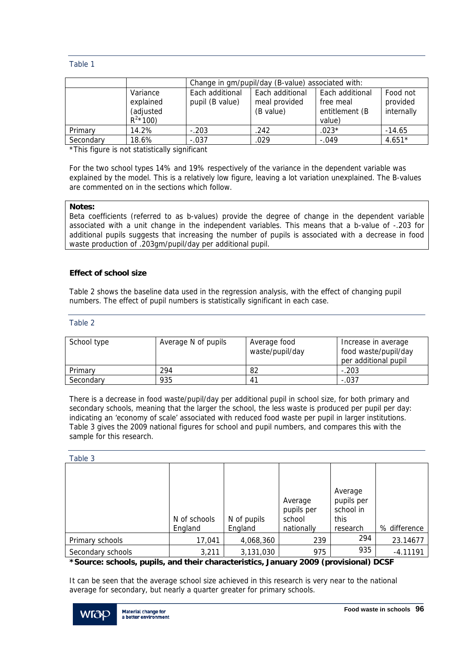#### Table 1

|           |                                                     | Change in gm/pupil/day (B-value) associated with: |                                               |                                                          |                                    |  |
|-----------|-----------------------------------------------------|---------------------------------------------------|-----------------------------------------------|----------------------------------------------------------|------------------------------------|--|
|           | Variance<br>explained<br>(adjusted<br>$R^{2*}$ 100) | Each additional<br>pupil (B value)                | Each additional<br>meal provided<br>(B value) | Each additional<br>free meal<br>entitlement (B<br>value) | Food not<br>provided<br>internally |  |
| Primary   | 14.2%                                               | $-.203$                                           | .242                                          | $.023*$                                                  | $-14.65$                           |  |
| Secondary | 18.6%                                               | $-.037$                                           | .029                                          | $-.049$                                                  | $4.651*$                           |  |

\*This figure is not statistically significant

For the two school types 14% and 19% respectively of the variance in the dependent variable was explained by the model. This is a relatively low figure, leaving a lot variation unexplained. The B-values are commented on in the sections which follow.

#### **Notes:**

Beta coefficients (referred to as b-values) provide the degree of change in the dependent variable associated with a unit change in the independent variables. This means that a b-value of -.203 for additional pupils suggests that increasing the number of pupils is associated with a decrease in food waste production of .203gm/pupil/day per additional pupil.

#### **Effect of school size**

Table 2 shows the baseline data used in the regression analysis, with the effect of changing pupil numbers. The effect of pupil numbers is statistically significant in each case.

#### Table 2

| School type | Average N of pupils | Average food<br>waste/pupil/day | Increase in average<br>food waste/pupil/day<br>per additional pupil |
|-------------|---------------------|---------------------------------|---------------------------------------------------------------------|
| Primary     | 294                 | 82                              | $-.203$                                                             |
| Secondary   | 935                 | 4 <sup>1</sup>                  | $-.037$                                                             |

There is a decrease in food waste/pupil/day per additional pupil in school size, for both primary and secondary schools, meaning that the larger the school, the less waste is produced per pupil per day: indicating an 'economy of scale' associated with reduced food waste per pupil in larger institutions. Table 3 gives the 2009 national figures for school and pupil numbers, and compares this with the sample for this research.

| Table 3           |              |             |                       |                                    |              |
|-------------------|--------------|-------------|-----------------------|------------------------------------|--------------|
|                   |              |             | Average<br>pupils per | Average<br>pupils per<br>school in |              |
|                   | N of schools | N of pupils | school                | this                               |              |
|                   | England      | England     | nationally            | research                           | % difference |
| Primary schools   | 17,041       | 4,068,360   | 239                   | 294                                | 23.14677     |
| Secondary schools | 3,211        | 3,131,030   | 975                   | 935                                | $-4.11191$   |

## **\*Source: schools, pupils, and their characteristics, January 2009 (provisional) DCSF**

It can be seen that the average school size achieved in this research is very near to the national average for secondary, but nearly a quarter greater for primary schools.

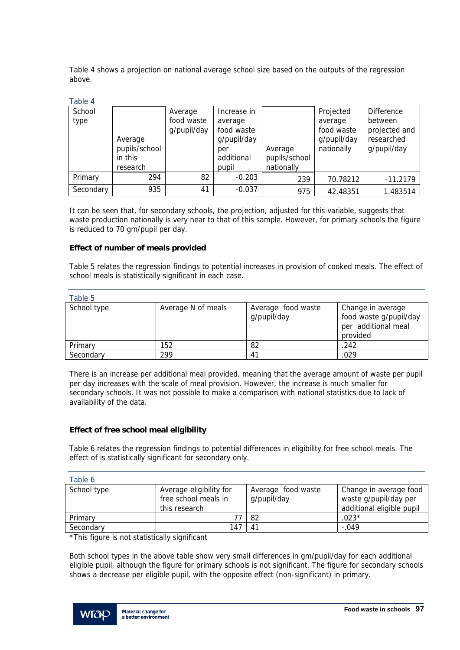Table 4 shows a projection on national average school size based on the outputs of the regression above.

| Table 4        |                                                 |                                      |                                                                                   |                                        |                                                                 |                                                                            |
|----------------|-------------------------------------------------|--------------------------------------|-----------------------------------------------------------------------------------|----------------------------------------|-----------------------------------------------------------------|----------------------------------------------------------------------------|
| School<br>type | Average<br>pupils/school<br>in this<br>research | Average<br>food waste<br>g/pupil/day | Increase in<br>average<br>food waste<br>g/pupil/day<br>per<br>additional<br>pupil | Average<br>pupils/school<br>nationally | Projected<br>average<br>food waste<br>g/pupil/day<br>nationally | <b>Difference</b><br>between<br>projected and<br>researched<br>g/pupil/day |
| Primary        | 294                                             | 82                                   | $-0.203$                                                                          | 239                                    | 70.78212                                                        | $-11.2179$                                                                 |
| Secondary      | 935                                             | 41                                   | $-0.037$                                                                          | 975                                    | 42.48351                                                        | 1.483514                                                                   |

It can be seen that, for secondary schools, the projection, adjusted for this variable, suggests that waste production nationally is very near to that of this sample. However, for primary schools the figure is reduced to 70 gm/pupil per day.

#### **Effect of number of meals provided**

Table 5 relates the regression findings to potential increases in provision of cooked meals. The effect of school meals is statistically significant in each case.

| Table 5     |                    |                                   |                                                                                |
|-------------|--------------------|-----------------------------------|--------------------------------------------------------------------------------|
| School type | Average N of meals | Average food waste<br>g/pupil/day | Change in average<br>food waste g/pupil/day<br>per additional meal<br>provided |
| Primary     | 152                | 82                                | .242                                                                           |
| Secondary   | 299                | 41                                | .029                                                                           |

There is an increase per additional meal provided, meaning that the average amount of waste per pupil per day increases with the scale of meal provision. However, the increase is much smaller for secondary schools. It was not possible to make a comparison with national statistics due to lack of availability of the data.

#### **Effect of free school meal eligibility**

Table 6 relates the regression findings to potential differences in eligibility for free school meals. The effect of is statistically significant for secondary only.

| Table 6     |                                                                  |                                   |                                                                              |
|-------------|------------------------------------------------------------------|-----------------------------------|------------------------------------------------------------------------------|
| School type | Average eligibility for<br>free school meals in<br>this research | Average food waste<br>g/pupil/day | Change in average food<br>waste g/pupil/day per<br>additional eligible pupil |
| Primary     |                                                                  | 82                                | $.023*$                                                                      |
| Secondary   | 147                                                              | 4 <sup>1</sup>                    | $-.049$                                                                      |

\*This figure is not statistically significant

Both school types in the above table show very small differences in gm/pupil/day for each additional eligible pupil, although the figure for primary schools is not significant. The figure for secondary schools shows a decrease per eligible pupil, with the opposite effect (non-significant) in primary.

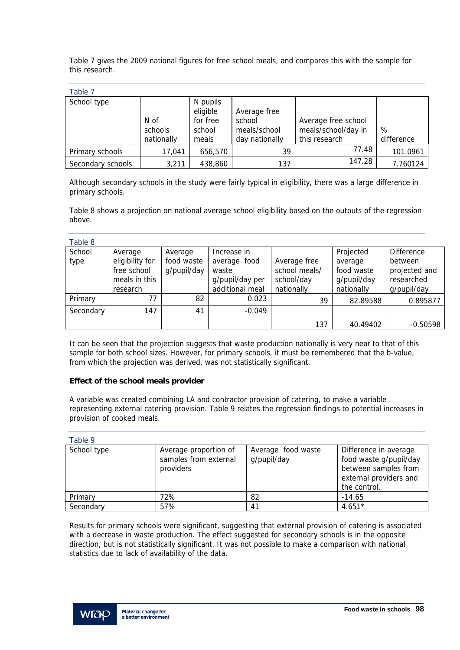Table 7 gives the 2009 national figures for free school meals, and compares this with the sample for this research.

| × | ۰. | ۰.<br>× |  |
|---|----|---------|--|

| rapie z           |            |          |                |                     |            |
|-------------------|------------|----------|----------------|---------------------|------------|
| School type       |            | N pupils |                |                     |            |
|                   |            | eligible | Average free   |                     |            |
|                   | N of       | for free | school         | Average free school |            |
|                   | schools    | school   | meals/school   | meals/school/day in | %          |
|                   | nationally | meals    | day nationally | this research       | difference |
| Primary schools   | 17,041     | 656,570  | 39             | 77.48               | 101.0961   |
| Secondary schools | 3,211      | 438,860  | 137            | 147.28              | 7.760124   |

Although secondary schools in the study were fairly typical in eligibility, there was a large difference in primary schools.

Table 8 shows a projection on national average school eligibility based on the outputs of the regression above.

| Table 8   |                 |             |                 |               |             |                   |
|-----------|-----------------|-------------|-----------------|---------------|-------------|-------------------|
| School    | Average         | Average     | Increase in     |               | Projected   | <b>Difference</b> |
| type      | eligibility for | food waste  | average food    | Average free  | average     | between           |
|           | free school     | g/pupil/day | waste           | school meals/ | food waste  | projected and     |
|           | meals in this   |             | g/pupil/day per | school/day    | g/pupil/day | researched        |
|           | research        |             | additional meal | nationally    | nationally  | g/pupil/day       |
| Primary   | 77              | 82          | 0.023           | 39            | 82.89588    | 0.895877          |
| Secondary | 147             | 41          | $-0.049$        |               |             |                   |
|           |                 |             |                 | 137           | 40.49402    | $-0.50598$        |

It can be seen that the projection suggests that waste production nationally is very near to that of this sample for both school sizes. However, for primary schools, it must be remembered that the b-value, from which the projection was derived, was not statistically significant.

#### **Effect of the school meals provider**

A variable was created combining LA and contractor provision of catering, to make a variable representing external catering provision. Table 9 relates the regression findings to potential increases in provision of cooked meals.

| Table 9     |                                                             |                                   |                                                                                                                   |
|-------------|-------------------------------------------------------------|-----------------------------------|-------------------------------------------------------------------------------------------------------------------|
| School type | Average proportion of<br>samples from external<br>providers | Average food waste<br>g/pupil/day | Difference in average<br>food waste g/pupil/day<br>between samples from<br>external providers and<br>the control. |
| Primary     | 72%                                                         | 82                                | $-14.65$                                                                                                          |
| Secondary   | 57%                                                         | 41                                | $4.651*$                                                                                                          |

Results for primary schools were significant, suggesting that external provision of catering is associated with a decrease in waste production. The effect suggested for secondary schools is in the opposite direction, but is not statistically significant. It was not possible to make a comparison with national statistics due to lack of availability of the data.

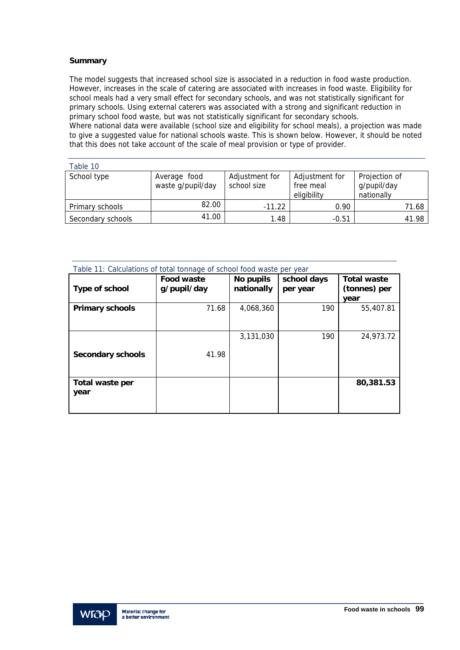## **Summary**

The model suggests that increased school size is associated in a reduction in food waste production. However, increases in the scale of catering are associated with increases in food waste. Eligibility for school meals had a very small effect for secondary schools, and was not statistically significant for primary schools. Using external caterers was associated with a strong and significant reduction in primary school food waste, but was not statistically significant for secondary schools. Where national data were available (school size and eligibility for school meals), a projection was made

to give a suggested value for national schools waste. This is shown below. However, it should be noted that this does not take account of the scale of meal provision or type of provider.

| Table 10          |                   |                |                |               |
|-------------------|-------------------|----------------|----------------|---------------|
| School type       | Average food      | Adjustment for | Adjustment for | Projection of |
|                   | waste g/pupil/day | school size    | free meal      | g/pupil/day   |
|                   |                   |                | eligibility    | nationally    |
| Primary schools   | 82.00             | $-11.22$       | 0.90           | 71.68         |
| Secondary schools | 41.00             | 1.48           | $-0.51$        | 41.98         |

| Table 11: Calculations of total tonnage of school food waste per year |                                  |                         |                         |                                            |  |
|-----------------------------------------------------------------------|----------------------------------|-------------------------|-------------------------|--------------------------------------------|--|
| Type of school                                                        | <b>Food waste</b><br>g/pupil/day | No pupils<br>nationally | school days<br>per year | <b>Total waste</b><br>(tonnes) per<br>year |  |
| <b>Primary schools</b>                                                | 71.68                            | 4,068,360               | 190                     | 55,407.81                                  |  |
| <b>Secondary schools</b>                                              | 41.98                            | 3.131.030               | 190                     | 24,973.72                                  |  |
| Total waste per<br>year                                               |                                  |                         |                         | 80,381.53                                  |  |

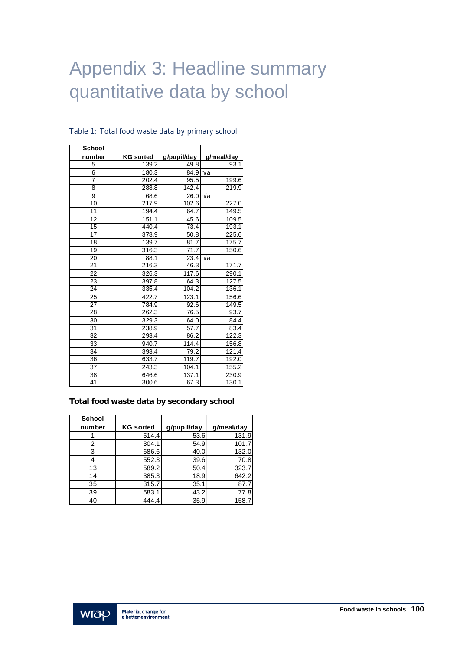# Appendix 3: Headline summary quantitative data by school

| <b>School</b> |                  |             |            |
|---------------|------------------|-------------|------------|
| number        | <b>KG</b> sorted | g/pupil/day | g/meal/day |
| 5             | 139.2            | 49.8        | 93.1       |
| 6             | 180.3            | 84.9 n/a    |            |
|               | 202.4            | 95.5        | 199.6      |
| 8             | 288.8            | 142.4       | 219.9      |
| 9             | 68.6             | 26.0 n/a    |            |
| 10            | 217.9            | 102.6       | 227.0      |
| 11            | 194.4            | 64.7        | 149.5      |
| 12            | 151.1            | 45.6        | 109.5      |
| 15            | 440.4            | 73.4        | 193.1      |
| 17            | 378.9            | 50.8        | 225.6      |
| 18            | 139.7            | 81.7        | 175.7      |
| 19            | 316.3            | 71.7        | 150.6      |
| 20            | 88.1             | 23.4        | n/a        |
| 21            | 216.3            | 46.3        | 171.7      |
| 22            | 326.3            | 117.6       | 290.1      |
| 23            | 397.8            | 64.3        | 127.5      |
| 24            | 335.4            | 104.2       | 136.1      |
| 25            | 422.7            | 123.1       | 156.6      |
| 27            | 784.9            | 92.6        | 149.5      |
| 28            | 262.3            | 76.5        | 93.7       |
| 30            | 329.3            | 64.0        | 84.4       |
| 31            | 238.9            | 57.7        | 83.4       |
| 32            | 293.4            | 86.2        | 122.3      |
| 33            | 940.7            | 114.4       | 156.8      |
| 34            | 393.4            | 79.2        | 121.4      |
| 36            | 633.7            | 119.7       | 192.0      |
| 37            | 243.3            | 104.1       | 155.2      |
| 38            | 646.6            | 137.1       | 230.9      |
| 41            | 300.6            | 67.3        | 130.1      |

#### Table 1: Total food waste data by primary school

#### **Total food waste data by secondary school**

| <b>School</b> |                  |             |            |
|---------------|------------------|-------------|------------|
| number        | <b>KG sorted</b> | g/pupil/day | q/meal/day |
|               | 514.4            | 53.6        | 131.9      |
| 2             | 304.1            | 54.9        | 101.7      |
| 3             | 686.6            | 40.0        | 132.0      |
|               | 552.3            | 39.6        | 70.8       |
| 13            | 589.2            | 50.4        | 323.7      |
| 14            | 385.3            | 18.9        | 642.2      |
| 35            | 315.7            | 35.1        | 87.7       |
| 39            | 583.1            | 43.2        | 77.8       |
| 40            | 444.4            | 35.9        | 158.7      |

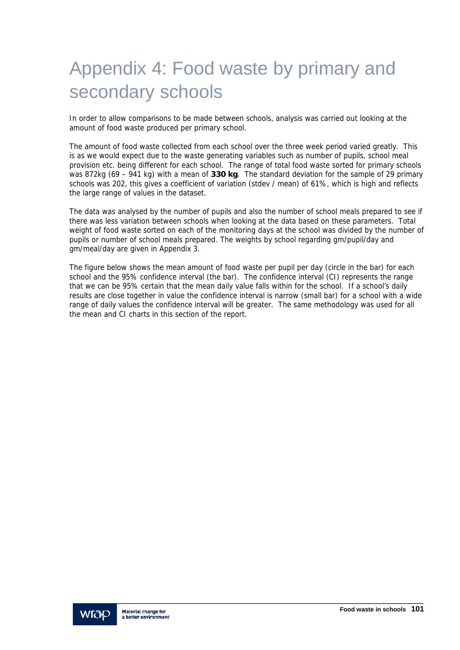# Appendix 4: Food waste by primary and secondary schools

In order to allow comparisons to be made between schools, analysis was carried out looking at the amount of food waste produced per primary school.

The amount of food waste collected from each school over the three week period varied greatly. This is as we would expect due to the waste generating variables such as number of pupils, school meal provision etc. being different for each school. The range of total food waste sorted for primary schools was 872kg (69 – 941 kg) with a mean of **330 kg**. The standard deviation for the sample of 29 primary schools was 202, this gives a coefficient of variation (stdev / mean) of 61%, which is high and reflects the large range of values in the dataset.

The data was analysed by the number of pupils and also the number of school meals prepared to see if there was less variation between schools when looking at the data based on these parameters. Total weight of food waste sorted on each of the monitoring days at the school was divided by the number of pupils or number of school meals prepared. The weights by school regarding gm/pupil/day and gm/meal/day are given in Appendix 3.

The figure below shows the mean amount of food waste per pupil per day (circle in the bar) for each school and the 95% confidence interval (the bar). The confidence interval (CI) represents the range that we can be 95% certain that the mean daily value falls within for the school. If a school's daily results are close together in value the confidence interval is narrow (small bar) for a school with a wide range of daily values the confidence interval will be greater. The same methodology was used for all the mean and CI charts in this section of the report.

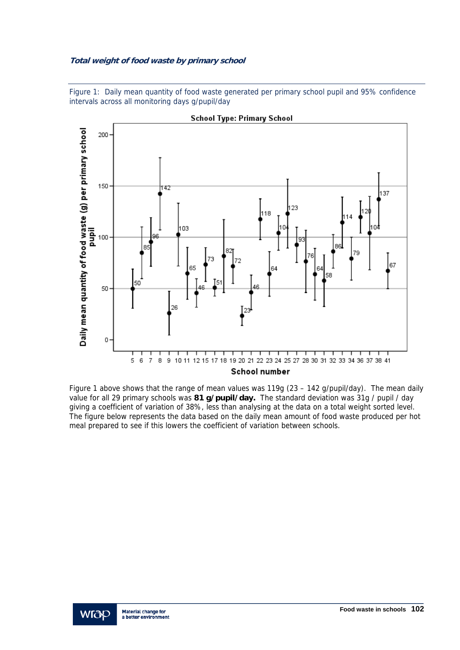## **Total weight of food waste by primary school**

Figure 1: Daily mean quantity of food waste generated per primary school pupil and 95% confidence intervals across all monitoring days g/pupil/day



**School Type: Primary School** 

 Figure 1 above shows that the range of mean values was 119g (23 – 142 g/pupil/day). The mean daily value for all 29 primary schools was **81 g/pupil/day.** The standard deviation was 31g / pupil / day giving a coefficient of variation of 38%, less than analysing at the data on a total weight sorted level. The figure below represents the data based on the daily mean amount of food waste produced per hot meal prepared to see if this lowers the coefficient of variation between schools.

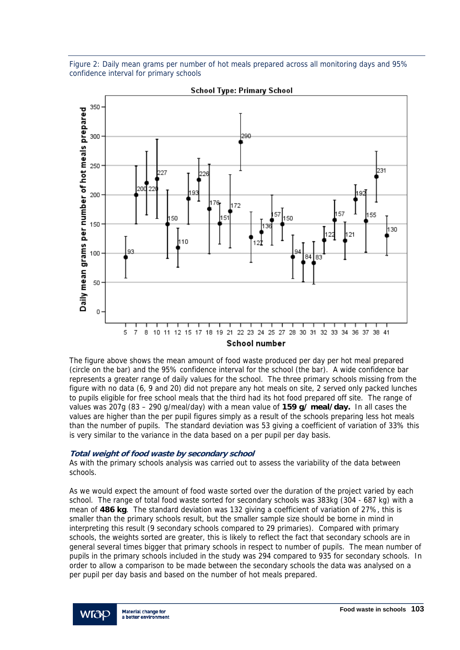Figure 2: Daily mean grams per number of hot meals prepared across all monitoring days and 95% confidence interval for primary schools



**School Type: Primary School** 

The figure above shows the mean amount of food waste produced per day per hot meal prepared (circle on the bar) and the 95% confidence interval for the school (the bar). A wide confidence bar represents a greater range of daily values for the school. The three primary schools missing from the figure with no data (6, 9 and 20) did not prepare any hot meals on site, 2 served only packed lunches to pupils eligible for free school meals that the third had its hot food prepared off site. The range of values was 207g (83 – 290 g/meal/day) with a mean value of **159 g/ meal/day.** In all cases the values are higher than the per pupil figures simply as a result of the schools preparing less hot meals than the number of pupils. The standard deviation was 53 giving a coefficient of variation of 33% this is very similar to the variance in the data based on a per pupil per day basis.

#### **Total weight of food waste by secondary school**

As with the primary schools analysis was carried out to assess the variability of the data between schools.

As we would expect the amount of food waste sorted over the duration of the project varied by each school. The range of total food waste sorted for secondary schools was 383kg (304 - 687 kg) with a mean of **486 kg**. The standard deviation was 132 giving a coefficient of variation of 27%, this is smaller than the primary schools result, but the smaller sample size should be borne in mind in interpreting this result (9 secondary schools compared to 29 primaries). Compared with primary schools, the weights sorted are greater, this is likely to reflect the fact that secondary schools are in general several times bigger that primary schools in respect to number of pupils. The mean number of pupils in the primary schools included in the study was 294 compared to 935 for secondary schools. In order to allow a comparison to be made between the secondary schools the data was analysed on a per pupil per day basis and based on the number of hot meals prepared.

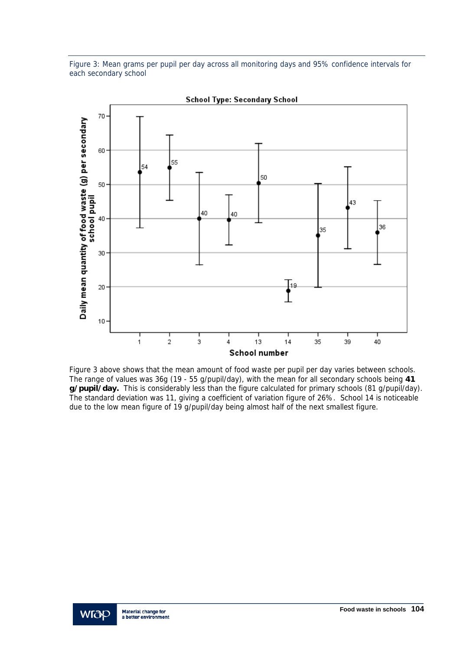Figure 3: Mean grams per pupil per day across all monitoring days and 95% confidence intervals for each secondary school



**School Type: Secondary School** 

Figure 3 above shows that the mean amount of food waste per pupil per day varies between schools. The range of values was 36g (19 - 55 g/pupil/day), with the mean for all secondary schools being **41 g/pupil/day.** This is considerably less than the figure calculated for primary schools (81 g/pupil/day). The standard deviation was 11, giving a coefficient of variation figure of 26%. School 14 is noticeable due to the low mean figure of 19 g/pupil/day being almost half of the next smallest figure.

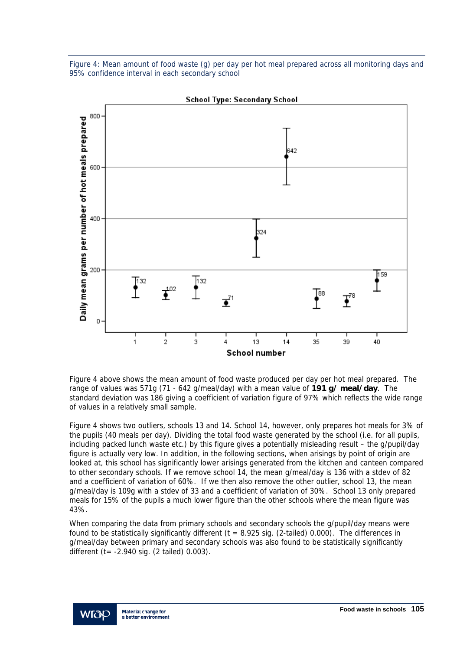Figure 4: Mean amount of food waste (g) per day per hot meal prepared across all monitoring days and 95% confidence interval in each secondary school



**School Type: Secondary School** 

Figure 4 above shows the mean amount of food waste produced per day per hot meal prepared. The range of values was 571g (71 - 642 g/meal/day) with a mean value of **191 g/ meal/day**. The standard deviation was 186 giving a coefficient of variation figure of 97% which reflects the wide range of values in a relatively small sample.

Figure 4 shows two outliers, schools 13 and 14. School 14, however, only prepares hot meals for 3% of the pupils (40 meals per day). Dividing the total food waste generated by the school (i.e. for all pupils, including packed lunch waste etc.) by this figure gives a potentially misleading result – the g/pupil/day figure is actually very low. In addition, in the following sections, when arisings by point of origin are looked at, this school has significantly lower arisings generated from the kitchen and canteen compared to other secondary schools. If we remove school 14, the mean g/meal/day is 136 with a stdev of 82 and a coefficient of variation of 60%. If we then also remove the other outlier, school 13, the mean g/meal/day is 109g with a stdev of 33 and a coefficient of variation of 30%. School 13 only prepared meals for 15% of the pupils a much lower figure than the other schools where the mean figure was 43%.

When comparing the data from primary schools and secondary schools the g/pupil/day means were found to be statistically significantly different ( $t = 8.925$  sig. (2-tailed) 0.000). The differences in g/meal/day between primary and secondary schools was also found to be statistically significantly different (t= -2.940 sig. (2 tailed) 0.003).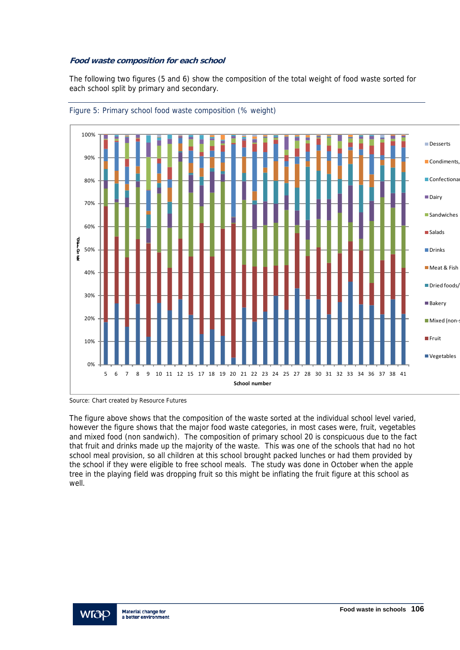## **Food waste composition for each school**

The following two figures (5 and 6) show the composition of the total weight of food waste sorted for each school split by primary and secondary.





The figure above shows that the composition of the waste sorted at the individual school level varied, however the figure shows that the major food waste categories, in most cases were, fruit, vegetables and mixed food (non sandwich). The composition of primary school 20 is conspicuous due to the fact that fruit and drinks made up the majority of the waste. This was one of the schools that had no hot school meal provision, so all children at this school brought packed lunches or had them provided by the school if they were eligible to free school meals. The study was done in October when the apple tree in the playing field was dropping fruit so this might be inflating the fruit figure at this school as well.

Source: Chart created by Resource Futures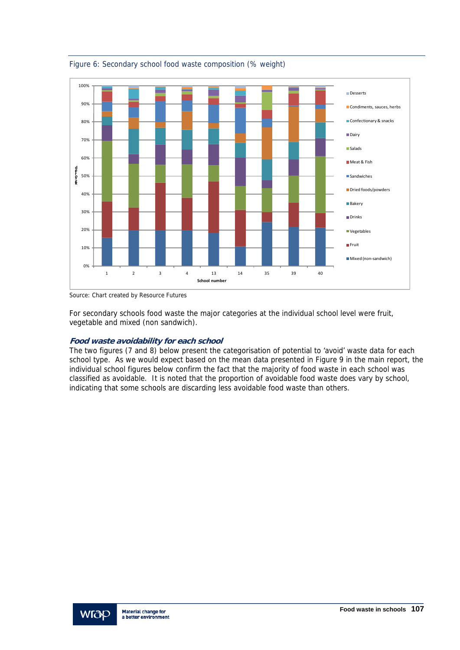

Figure 6: Secondary school food waste composition (% weight)

Source: Chart created by Resource Futures

For secondary schools food waste the major categories at the individual school level were fruit, vegetable and mixed (non sandwich).

## **Food waste avoidability for each school**

The two figures (7 and 8) below present the categorisation of potential to 'avoid' waste data for each school type. As we would expect based on the mean data presented in Figure 9 in the main report, the individual school figures below confirm the fact that the majority of food waste in each school was classified as avoidable. It is noted that the proportion of avoidable food waste does vary by school, indicating that some schools are discarding less avoidable food waste than others.

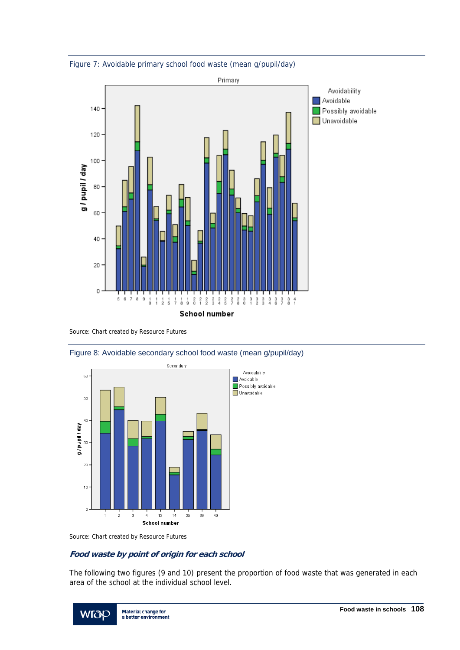



Source: Chart created by Resource Futures





Source: Chart created by Resource Futures

## **Food waste by point of origin for each school**

The following two figures (9 and 10) present the proportion of food waste that was generated in each area of the school at the individual school level.

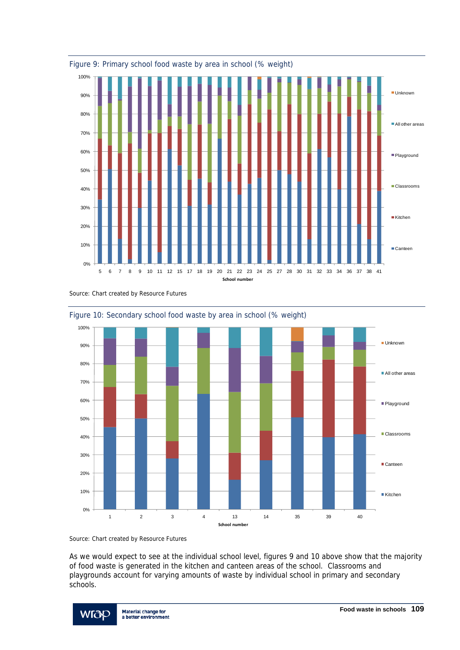







Figure 10: Secondary school food waste by area in school (% weight)

Source: Chart created by Resource Futures

As we would expect to see at the individual school level, figures 9 and 10 above show that the majority of food waste is generated in the kitchen and canteen areas of the school. Classrooms and playgrounds account for varying amounts of waste by individual school in primary and secondary schools.

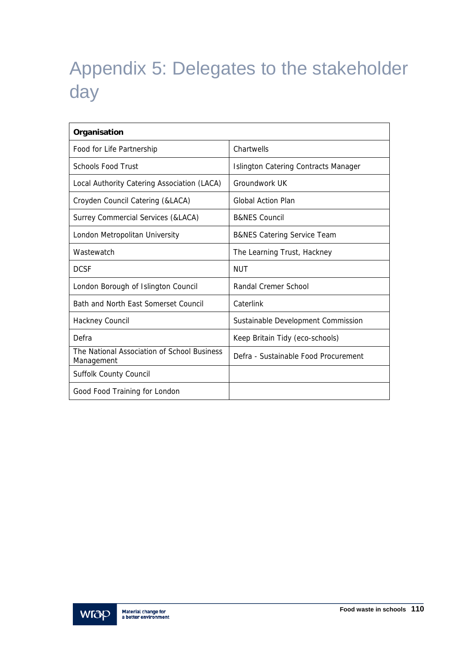# Appendix 5: Delegates to the stakeholder day

| Organisation                                              |                                        |  |  |  |
|-----------------------------------------------------------|----------------------------------------|--|--|--|
| Food for Life Partnership                                 | Chartwells                             |  |  |  |
| <b>Schools Food Trust</b>                                 | Islington Catering Contracts Manager   |  |  |  |
| Local Authority Catering Association (LACA)               | Groundwork UK                          |  |  |  |
| Croyden Council Catering (&LACA)                          | <b>Global Action Plan</b>              |  |  |  |
| Surrey Commercial Services (&LACA)                        | <b>B&amp;NES Council</b>               |  |  |  |
| London Metropolitan University                            | <b>B&amp;NES Catering Service Team</b> |  |  |  |
| Wastewatch                                                | The Learning Trust, Hackney            |  |  |  |
| <b>DCSF</b>                                               | NUT                                    |  |  |  |
| London Borough of Islington Council                       | Randal Cremer School                   |  |  |  |
| Bath and North Fast Somerset Council                      | Caterlink                              |  |  |  |
| Hackney Council                                           | Sustainable Development Commission     |  |  |  |
| Defra                                                     | Keep Britain Tidy (eco-schools)        |  |  |  |
| The National Association of School Business<br>Management | Defra - Sustainable Food Procurement   |  |  |  |
| <b>Suffolk County Council</b>                             |                                        |  |  |  |
| Good Food Training for London                             |                                        |  |  |  |

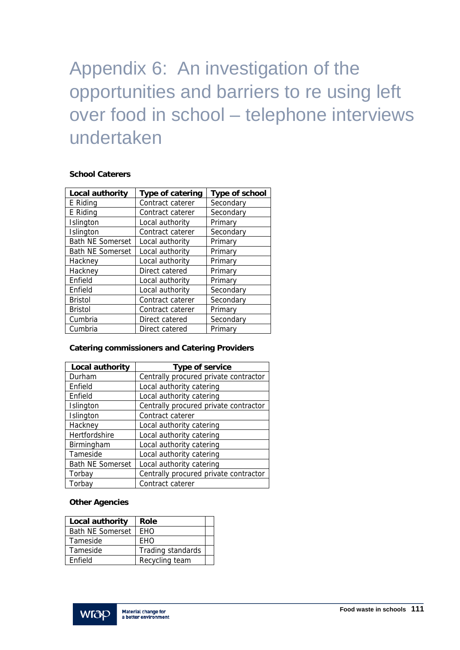# Appendix 6: An investigation of the opportunities and barriers to re using left over food in school – telephone interviews undertaken

### **School Caterers**

| Local authority         | Type of catering | Type of school |  |
|-------------------------|------------------|----------------|--|
| E Riding                | Contract caterer | Secondary      |  |
| E Riding                | Contract caterer | Secondary      |  |
| Islington               | Local authority  | Primary        |  |
| Islington               | Contract caterer | Secondary      |  |
| <b>Bath NE Somerset</b> | Local authority  | Primary        |  |
| <b>Bath NE Somerset</b> | Local authority  | Primary        |  |
| Hackney                 | Local authority  | Primary        |  |
| Hackney                 | Direct catered   | Primary        |  |
| Enfield                 | Local authority  | Primary        |  |
| Enfield                 | Local authority  | Secondary      |  |
| <b>Bristol</b>          | Contract caterer | Secondary      |  |
| <b>Bristol</b>          | Contract caterer | Primary        |  |
| Cumbria                 | Direct catered   | Secondary      |  |
| Cumbria                 | Direct catered   | Primary        |  |

### **Catering commissioners and Catering Providers**

| Local authority         | Type of service                       |  |  |  |
|-------------------------|---------------------------------------|--|--|--|
| Durham                  | Centrally procured private contractor |  |  |  |
| Enfield                 | Local authority catering              |  |  |  |
| Enfield                 | Local authority catering              |  |  |  |
| Islington               | Centrally procured private contractor |  |  |  |
| Islington               | Contract caterer                      |  |  |  |
| Hackney                 | Local authority catering              |  |  |  |
| Hertfordshire           | Local authority catering              |  |  |  |
| Birmingham              | Local authority catering              |  |  |  |
| Tameside                | Local authority catering              |  |  |  |
| <b>Bath NE Somerset</b> | Local authority catering              |  |  |  |
| Torbay                  | Centrally procured private contractor |  |  |  |
| Torbay                  | Contract caterer                      |  |  |  |

### **Other Agencies**

| Local authority         | Role              |  |
|-------------------------|-------------------|--|
| <b>Bath NE Somerset</b> | <b>FHO</b>        |  |
| Tameside                | FHO               |  |
| Tameside                | Trading standards |  |
| <b>Fnfield</b>          | Recycling team    |  |

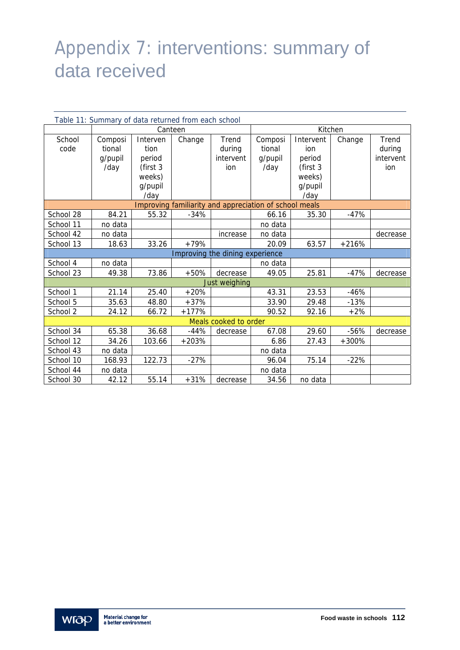# Appendix 7: interventions: summary of data received

| Table 11: Summary of data returned from each school |         |           |         |                                                        |         |           |         |           |
|-----------------------------------------------------|---------|-----------|---------|--------------------------------------------------------|---------|-----------|---------|-----------|
|                                                     | Canteen |           | Kitchen |                                                        |         |           |         |           |
| School                                              | Composi | Interven  | Change  | Trend                                                  | Composi | Intervent | Change  | Trend     |
| code                                                | tional  | tion      |         | during                                                 | tional  | ion       |         | during    |
|                                                     | g/pupil | period    |         | intervent                                              | g/pupil | period    |         | intervent |
|                                                     | /day    | (first 3) |         | ion                                                    | /day    | (first 3  |         | ion       |
|                                                     |         | weeks)    |         |                                                        |         | weeks)    |         |           |
|                                                     |         | g/pupil   |         |                                                        |         | g/pupil   |         |           |
|                                                     |         | /day      |         |                                                        |         | /day      |         |           |
|                                                     |         |           |         | Improving familiarity and appreciation of school meals |         |           |         |           |
| School 28                                           | 84.21   | 55.32     | $-34%$  |                                                        | 66.16   | 35.30     | $-47%$  |           |
| School 11                                           | no data |           |         |                                                        | no data |           |         |           |
| School 42                                           | no data |           |         | increase                                               | no data |           |         | decrease  |
| School 13                                           | 18.63   | 33.26     | $+79%$  |                                                        | 20.09   | 63.57     | $+216%$ |           |
|                                                     |         |           |         | Improving the dining experience                        |         |           |         |           |
| School 4                                            | no data |           |         |                                                        | no data |           |         |           |
| School 23                                           | 49.38   | 73.86     | $+50%$  | decrease                                               | 49.05   | 25.81     | $-47%$  | decrease  |
|                                                     |         |           |         | Just weighing                                          |         |           |         |           |
| School 1                                            | 21.14   | 25.40     | $+20%$  |                                                        | 43.31   | 23.53     | $-46%$  |           |
| School 5                                            | 35.63   | 48.80     | $+37%$  |                                                        | 33.90   | 29.48     | $-13%$  |           |
| School 2                                            | 24.12   | 66.72     | $+177%$ |                                                        | 90.52   | 92.16     | $+2%$   |           |
| Meals cooked to order                               |         |           |         |                                                        |         |           |         |           |
| School 34                                           | 65.38   | 36.68     | $-44%$  | decrease                                               | 67.08   | 29.60     | $-56%$  | decrease  |
| School 12                                           | 34.26   | 103.66    | $+203%$ |                                                        | 6.86    | 27.43     | $+300%$ |           |
| School 43                                           | no data |           |         |                                                        | no data |           |         |           |
| School 10                                           | 168.93  | 122.73    | $-27%$  |                                                        | 96.04   | 75.14     | $-22%$  |           |
| School 44                                           | no data |           |         |                                                        | no data |           |         |           |
| School 30                                           | 42.12   | 55.14     | $+31%$  | decrease                                               | 34.56   | no data   |         |           |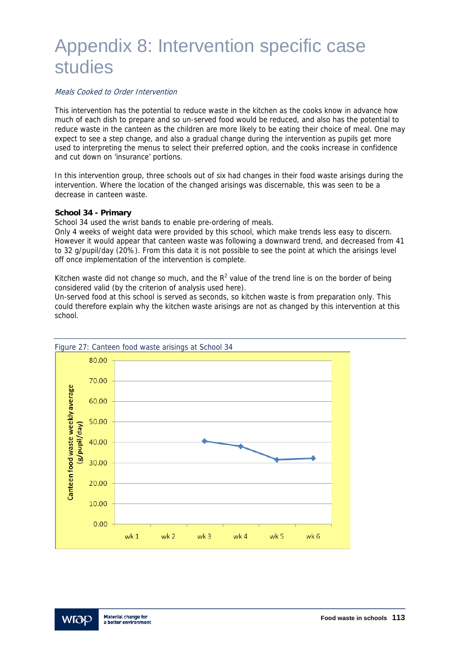## Appendix 8: Intervention specific case studies

#### Meals Cooked to Order Intervention

This intervention has the potential to reduce waste in the kitchen as the cooks know in advance how much of each dish to prepare and so un-served food would be reduced, and also has the potential to reduce waste in the canteen as the children are more likely to be eating their choice of meal. One may expect to see a step change, and also a gradual change during the intervention as pupils get more used to interpreting the menus to select their preferred option, and the cooks increase in confidence and cut down on 'insurance' portions.

In this intervention group, three schools out of six had changes in their food waste arisings during the intervention. Where the location of the changed arisings was discernable, this was seen to be a decrease in canteen waste.

#### **School 34 - Primary**

School 34 used the wrist bands to enable pre-ordering of meals.

Only 4 weeks of weight data were provided by this school, which make trends less easy to discern. However it would appear that canteen waste was following a downward trend, and decreased from 41 to 32 g/pupil/day (20%). From this data it is not possible to see the point at which the arisings level off once implementation of the intervention is complete.

Kitchen waste did not change so much, and the  $R^2$  value of the trend line is on the border of being considered valid (by the criterion of analysis used here).

Un-served food at this school is served as seconds, so kitchen waste is from preparation only. This could therefore explain why the kitchen waste arisings are not as changed by this intervention at this school.



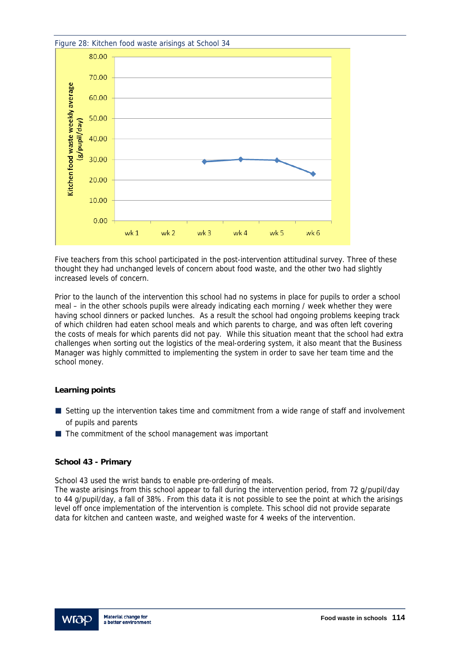

Five teachers from this school participated in the post-intervention attitudinal survey. Three of these thought they had unchanged levels of concern about food waste, and the other two had slightly increased levels of concern.

Prior to the launch of the intervention this school had no systems in place for pupils to order a school meal – in the other schools pupils were already indicating each morning / week whether they were having school dinners or packed lunches. As a result the school had ongoing problems keeping track of which children had eaten school meals and which parents to charge, and was often left covering the costs of meals for which parents did not pay. While this situation meant that the school had extra challenges when sorting out the logistics of the meal-ordering system, it also meant that the Business Manager was highly committed to implementing the system in order to save her team time and the school money.

#### **Learning points**

- Setting up the intervention takes time and commitment from a wide range of staff and involvement of pupils and parents
- The commitment of the school management was important

#### **School 43 - Primary**

School 43 used the wrist bands to enable pre-ordering of meals.

The waste arisings from this school appear to fall during the intervention period, from 72 g/pupil/day to 44 g/pupil/day, a fall of 38%. From this data it is not possible to see the point at which the arisings level off once implementation of the intervention is complete. This school did not provide separate data for kitchen and canteen waste, and weighed waste for 4 weeks of the intervention.

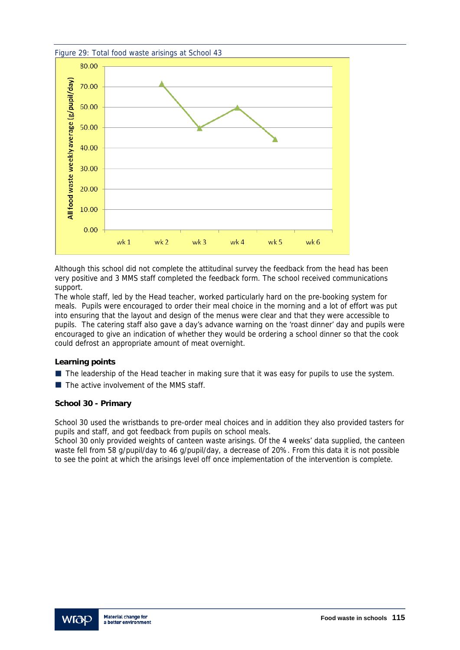

Although this school did not complete the attitudinal survey the feedback from the head has been very positive and 3 MMS staff completed the feedback form. The school received communications support.

The whole staff, led by the Head teacher, worked particularly hard on the pre-booking system for meals. Pupils were encouraged to order their meal choice in the morning and a lot of effort was put into ensuring that the layout and design of the menus were clear and that they were accessible to pupils. The catering staff also gave a day's advance warning on the 'roast dinner' day and pupils were encouraged to give an indication of whether they would be ordering a school dinner so that the cook could defrost an appropriate amount of meat overnight.

#### **Learning points**

- The leadership of the Head teacher in making sure that it was easy for pupils to use the system.
- $\blacksquare$  The active involvement of the MMS staff.

#### **School 30 - Primary**

School 30 used the wristbands to pre-order meal choices and in addition they also provided tasters for pupils and staff, and got feedback from pupils on school meals.

School 30 only provided weights of canteen waste arisings. Of the 4 weeks' data supplied, the canteen waste fell from 58 g/pupil/day to 46 g/pupil/day, a decrease of 20%. From this data it is not possible to see the point at which the arisings level off once implementation of the intervention is complete.

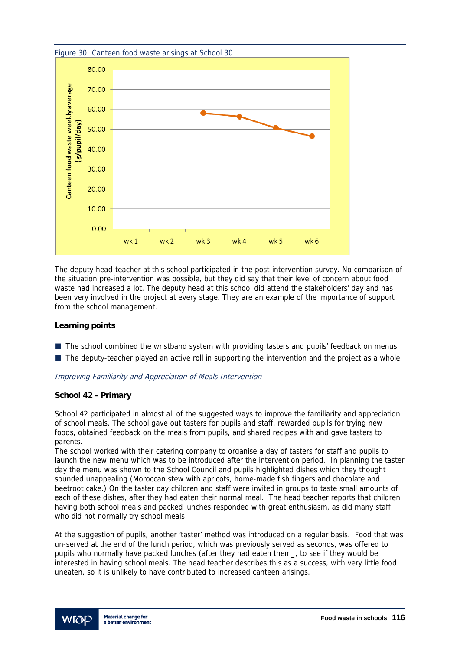

The deputy head-teacher at this school participated in the post-intervention survey. No comparison of the situation pre-intervention was possible, but they did say that their level of concern about food waste had increased a lot. The deputy head at this school did attend the stakeholders' day and has been very involved in the project at every stage. They are an example of the importance of support from the school management.

#### **Learning points**

- $\blacksquare$  The school combined the wristband system with providing tasters and pupils' feedback on menus.
- The deputy-teacher played an active roll in supporting the intervention and the project as a whole.

#### Improving Familiarity and Appreciation of Meals Intervention

#### **School 42 - Primary**

School 42 participated in almost all of the suggested ways to improve the familiarity and appreciation of school meals. The school gave out tasters for pupils and staff, rewarded pupils for trying new foods, obtained feedback on the meals from pupils, and shared recipes with and gave tasters to parents.

The school worked with their catering company to organise a day of tasters for staff and pupils to launch the new menu which was to be introduced after the intervention period. In planning the taster day the menu was shown to the School Council and pupils highlighted dishes which they thought sounded unappealing (Moroccan stew with apricots, home-made fish fingers and chocolate and beetroot cake.) On the taster day children and staff were invited in groups to taste small amounts of each of these dishes, after they had eaten their normal meal. The head teacher reports that children having both school meals and packed lunches responded with great enthusiasm, as did many staff who did not normally try school meals

At the suggestion of pupils, another 'taster' method was introduced on a regular basis. Food that was un-served at the end of the lunch period, which was previously served as seconds, was offered to pupils who normally have packed lunches (after they had eaten them\_, to see if they would be interested in having school meals. The head teacher describes this as a success, with very little food uneaten, so it is unlikely to have contributed to increased canteen arisings.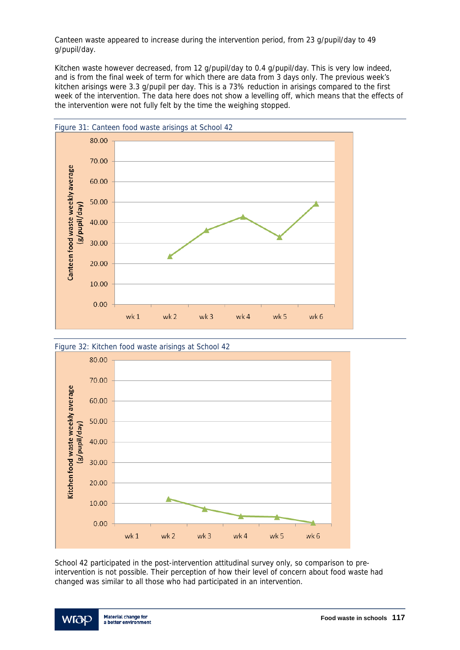Canteen waste appeared to increase during the intervention period, from 23 g/pupil/day to 49 g/pupil/day.

Kitchen waste however decreased, from 12 g/pupil/day to 0.4 g/pupil/day. This is very low indeed, and is from the final week of term for which there are data from 3 days only. The previous week's kitchen arisings were 3.3 g/pupil per day. This is a 73% reduction in arisings compared to the first week of the intervention. The data here does not show a levelling off, which means that the effects of the intervention were not fully felt by the time the weighing stopped.





School 42 participated in the post-intervention attitudinal survey only, so comparison to preintervention is not possible. Their perception of how their level of concern about food waste had changed was similar to all those who had participated in an intervention.

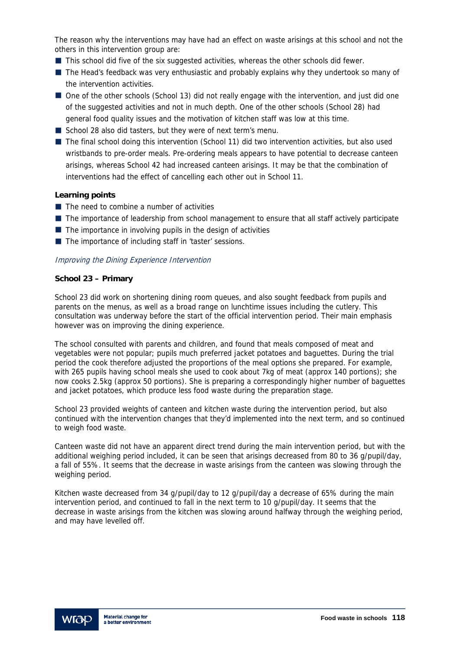The reason why the interventions may have had an effect on waste arisings at this school and not the others in this intervention group are:

- **This school did five of the six suggested activities, whereas the other schools did fewer.**
- The Head's feedback was very enthusiastic and probably explains why they undertook so many of the intervention activities.
- One of the other schools (School 13) did not really engage with the intervention, and just did one of the suggested activities and not in much depth. One of the other schools (School 28) had general food quality issues and the motivation of kitchen staff was low at this time.
- School 28 also did tasters, but they were of next term's menu.
- The final school doing this intervention (School 11) did two intervention activities, but also used wristbands to pre-order meals. Pre-ordering meals appears to have potential to decrease canteen arisings, whereas School 42 had increased canteen arisings. It may be that the combination of interventions had the effect of cancelling each other out in School 11.

#### **Learning points**

- $\blacksquare$  The need to combine a number of activities
- The importance of leadership from school management to ensure that all staff actively participate
- $\blacksquare$  The importance in involving pupils in the design of activities
- The importance of including staff in 'taster' sessions.

#### Improving the Dining Experience Intervention

#### **School 23 – Primary**

School 23 did work on shortening dining room queues, and also sought feedback from pupils and parents on the menus, as well as a broad range on lunchtime issues including the cutlery. This consultation was underway before the start of the official intervention period. Their main emphasis however was on improving the dining experience.

The school consulted with parents and children, and found that meals composed of meat and vegetables were not popular; pupils much preferred jacket potatoes and baguettes. During the trial period the cook therefore adjusted the proportions of the meal options she prepared. For example, with 265 pupils having school meals she used to cook about 7kg of meat (approx 140 portions); she now cooks 2.5kg (approx 50 portions). She is preparing a correspondingly higher number of baguettes and jacket potatoes, which produce less food waste during the preparation stage.

School 23 provided weights of canteen and kitchen waste during the intervention period, but also continued with the intervention changes that they'd implemented into the next term, and so continued to weigh food waste.

Canteen waste did not have an apparent direct trend during the main intervention period, but with the additional weighing period included, it can be seen that arisings decreased from 80 to 36 g/pupil/day, a fall of 55%. It seems that the decrease in waste arisings from the canteen was slowing through the weighing period.

Kitchen waste decreased from 34 g/pupil/day to 12 g/pupil/day a decrease of 65% during the main intervention period, and continued to fall in the next term to 10 g/pupil/day. It seems that the decrease in waste arisings from the kitchen was slowing around halfway through the weighing period, and may have levelled off.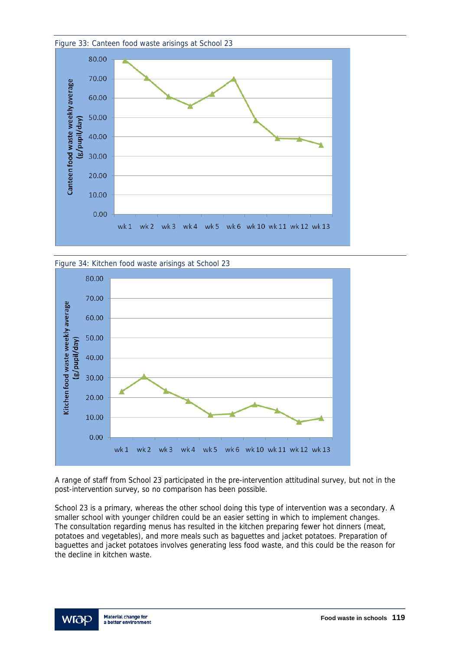





A range of staff from School 23 participated in the pre-intervention attitudinal survey, but not in the post-intervention survey, so no comparison has been possible.

School 23 is a primary, whereas the other school doing this type of intervention was a secondary. A smaller school with younger children could be an easier setting in which to implement changes. The consultation regarding menus has resulted in the kitchen preparing fewer hot dinners (meat, potatoes and vegetables), and more meals such as baguettes and jacket potatoes. Preparation of baguettes and jacket potatoes involves generating less food waste, and this could be the reason for the decline in kitchen waste.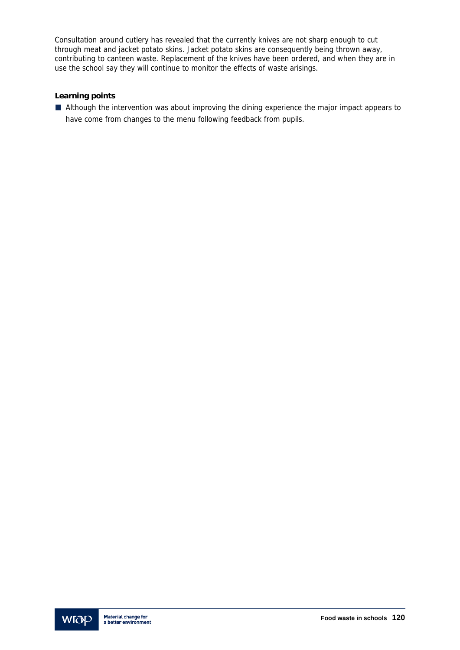Consultation around cutlery has revealed that the currently knives are not sharp enough to cut through meat and jacket potato skins. Jacket potato skins are consequently being thrown away, contributing to canteen waste. Replacement of the knives have been ordered, and when they are in use the school say they will continue to monitor the effects of waste arisings.

#### **Learning points**

Although the intervention was about improving the dining experience the major impact appears to have come from changes to the menu following feedback from pupils.